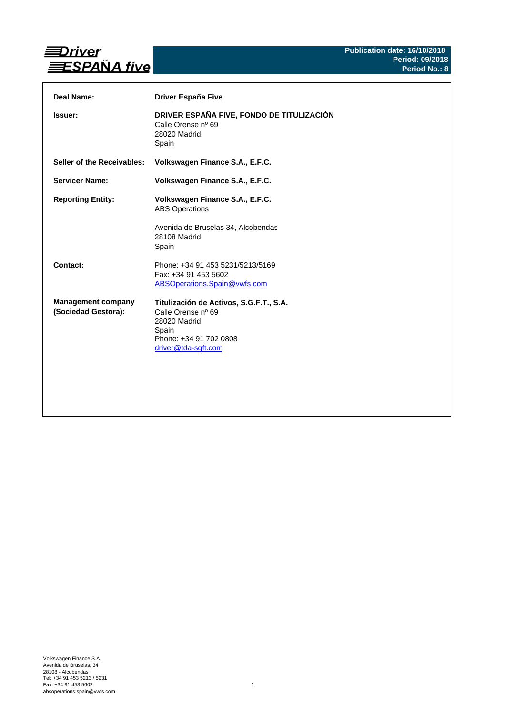

| Deal Name:                                       | Driver España Five                                                                                                                      |
|--------------------------------------------------|-----------------------------------------------------------------------------------------------------------------------------------------|
| Issuer:                                          | DRIVER ESPAÑA FIVE, FONDO DE TITULIZACIÓN<br>Calle Orense nº 69<br>28020 Madrid<br>Spain                                                |
| Seller of the Receivables:                       | Volkswagen Finance S.A., E.F.C.                                                                                                         |
| <b>Servicer Name:</b>                            | Volkswagen Finance S.A., E.F.C.                                                                                                         |
| <b>Reporting Entity:</b>                         | Volkswagen Finance S.A., E.F.C.<br><b>ABS Operations</b><br>Avenida de Bruselas 34, Alcobendas<br>28108 Madrid<br>Spain                 |
| Contact:                                         | Phone: +34 91 453 5231/5213/5169<br>Fax: +34 91 453 5602<br>ABSOperations.Spain@vwfs.com                                                |
| <b>Management company</b><br>(Sociedad Gestora): | Titulización de Activos, S.G.F.T., S.A.<br>Calle Orense nº 69<br>28020 Madrid<br>Spain<br>Phone: +34 91 702 0808<br>driver@tda-sgft.com |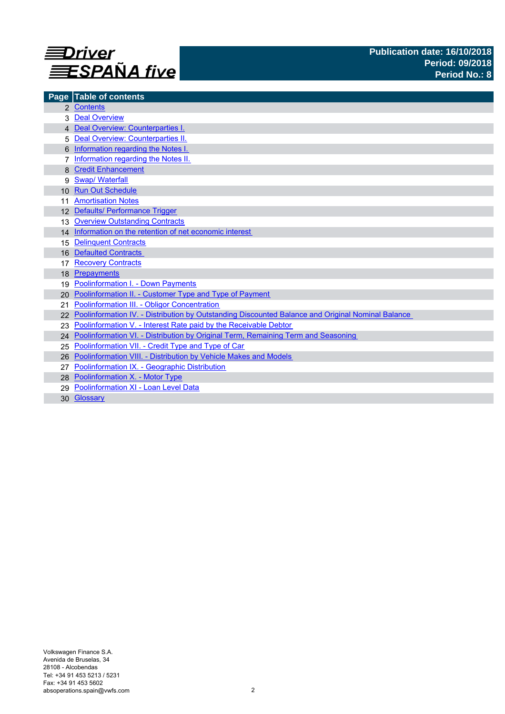

| Page            | <b>Table of contents</b>                                                                          |
|-----------------|---------------------------------------------------------------------------------------------------|
|                 | 2 Contents                                                                                        |
|                 | <b>Deal Overview</b>                                                                              |
|                 | 4 Deal Overview: Counterparties I.                                                                |
|                 | Deal Overview: Counterparties II.                                                                 |
|                 | Information regarding the Notes I.                                                                |
|                 | Information regarding the Notes II.                                                               |
|                 | <b>Credit Enhancement</b>                                                                         |
| 9               | <b>Swap/Waterfall</b>                                                                             |
| 10 <sup>1</sup> | <b>Run Out Schedule</b>                                                                           |
|                 | <b>Amortisation Notes</b>                                                                         |
|                 | 12 Defaults/ Performance Trigger                                                                  |
| 13              | <b>Overview Outstanding Contracts</b>                                                             |
|                 | 14 Information on the retention of net economic interest                                          |
| 15              | <b>Delinquent Contracts</b>                                                                       |
| 16              | <b>Defaulted Contracts</b>                                                                        |
| 17              | <b>Recovery Contracts</b>                                                                         |
| 18              | Prepayments                                                                                       |
| 19              | <b>Poolinformation I. - Down Payments</b>                                                         |
| 20              | Poolinformation II. - Customer Type and Type of Payment                                           |
| 21              | Poolinformation III. - Obligor Concentration                                                      |
|                 | Poolinformation IV. - Distribution by Outstanding Discounted Balance and Original Nominal Balance |
|                 | Poolinformation V. - Interest Rate paid by the Receivable Debtor                                  |
|                 | 24 Poolinformation VI. - Distribution by Original Term, Remaining Term and Seasoning              |
| 25              | Poolinformation VII. - Credit Type and Type of Car                                                |
| 26              | Poolinformation VIII. - Distribution by Vehicle Makes and Models                                  |
|                 | Poolinformation IX. - Geographic Distribution                                                     |
|                 | 28 Poolinformation X. - Motor Type                                                                |
| 29              | Poolinformation XI - Loan Level Data                                                              |
|                 | 30 Glossary                                                                                       |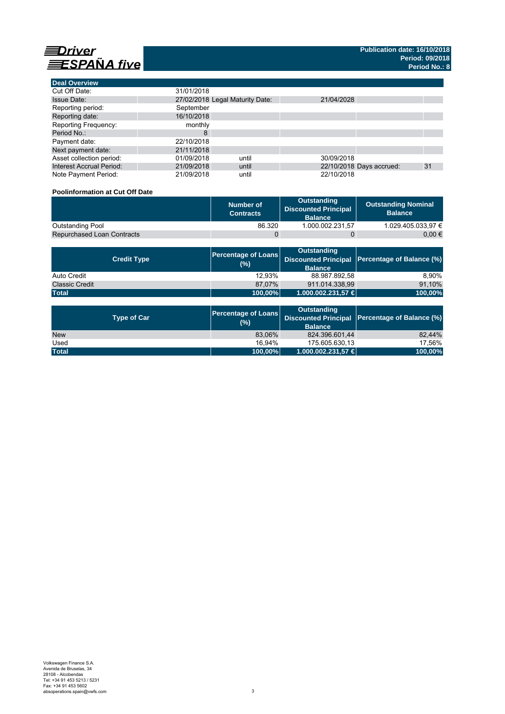

**Deal Overview**

| <b>Deal Overview</b>            |                                 |       |            |                          |    |
|---------------------------------|---------------------------------|-------|------------|--------------------------|----|
| Cut Off Date:                   | 31/01/2018                      |       |            |                          |    |
| <b>Issue Date:</b>              | 27/02/2018 Legal Maturity Date: |       | 21/04/2028 |                          |    |
| Reporting period:               | September                       |       |            |                          |    |
| Reporting date:                 | 16/10/2018                      |       |            |                          |    |
| <b>Reporting Frequency:</b>     | monthly                         |       |            |                          |    |
| Period No.:                     | 8                               |       |            |                          |    |
| Payment date:                   | 22/10/2018                      |       |            |                          |    |
| Next payment date:              | 21/11/2018                      |       |            |                          |    |
| Asset collection period:        | 01/09/2018                      | until | 30/09/2018 |                          |    |
| <b>Interest Accrual Period:</b> | 21/09/2018                      | until |            | 22/10/2018 Days accrued: | 31 |
| Note Payment Period:            | 21/09/2018                      | until | 22/10/2018 |                          |    |

## **Poolinformation at Cut Off Date**

|                                   | Number of<br><b>Contracts</b> | Outstanding<br><b>Discounted Principal</b><br><b>Balance</b> | <b>Outstanding Nominal</b><br><b>Balance</b> |
|-----------------------------------|-------------------------------|--------------------------------------------------------------|----------------------------------------------|
| Outstanding Pool                  | 86.320                        | 1.000.002.231.57                                             | 1.029.405.033.97 €                           |
| <b>Repurchased Loan Contracts</b> |                               |                                                              | 0.00 €                                       |

| <b>Credit Type</b>    | (%)          | <b>Outstanding</b><br><b>Balance</b> | Percentage of Loans Discounted Principal Percentage of Balance (%) |
|-----------------------|--------------|--------------------------------------|--------------------------------------------------------------------|
| Auto Credit           | 12.93%       | 88.987.892.58                        | 8.90%                                                              |
| <b>Classic Credit</b> | 87.07%       | 911.014.338.99                       | 91,10%                                                             |
| <b>Total</b>          | $ 100,00\% $ | 1.000.002.231,57 €                   | 100,00%                                                            |

| <b>Type of Car</b> | <b>Percentage of Loans</b><br>(%) | <b>Outstanding</b><br><b>Balance</b> | Discounted Principal   Percentage of Balance (%) |  |
|--------------------|-----------------------------------|--------------------------------------|--------------------------------------------------|--|
| <b>New</b>         | 83,06%                            | 824.396.601,44                       | 82.44%                                           |  |
| Used               | 16.94%                            | 175.605.630.13                       | 17.56%                                           |  |
| <b>Total</b>       | 100,00%                           | $1.000.002.231.57 \in$               | 100,00%                                          |  |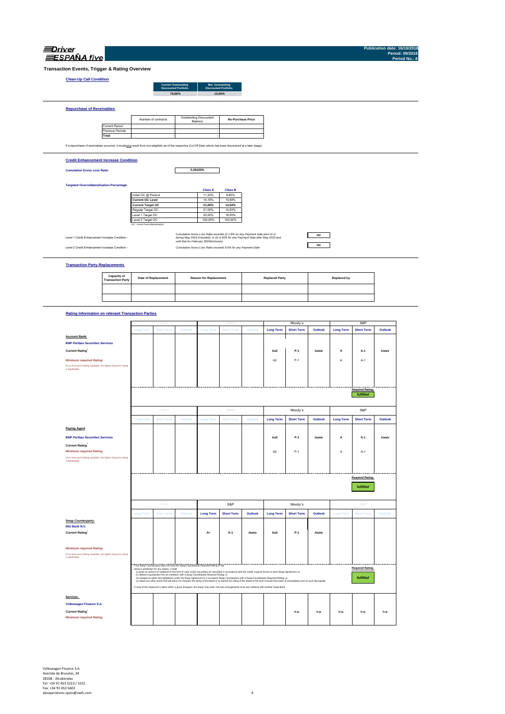| Transaction Events, Trigger & Rating Overview<br><b>Clean-Up Call Condition</b><br><b>Repurchase of Receivables</b><br>If a repurchase of receivables occurred, it wouldonly result from non-eligibility as of the respective Cut Off Date (which has been discovered at a later stage).<br><b>Credit Enhancement Increase Condition</b><br><b>Cumulative Gross Loss Ratio</b><br><b>Targeted Overcollateralisation Percentage</b><br>Level 1 Credit Enhancement Increase Condition -<br>Level 2 Credit Enhancement Increase Condition<br><b>Transaction Party Replacements</b> | <b>Current Period</b><br>Previous Periods<br>Total | Number of contracts<br>Initial OC @ Poolcut<br><b>Current OC Level</b><br><b>Current Target OC</b><br>Regular Target OC<br>Level 1 Target OC<br>Level 2 Target OC<br>OC = Asset Overcollateralisation |                   | <b>Current Outstanding</b><br>Discounted Portfolio<br>79,66% | Min. Outstanding<br>Discounted Portfolio<br>Outstanding Discounted<br>Balance<br>0,05420%<br><b>Class A</b><br>11,20%<br>14,16%<br>21,00%<br>21,00%<br>25,00%<br>100,00%<br>until that for February 2020(inclusive) | 10,00%<br><b>Class B</b><br>8,60%<br>10,89%<br>14,50%<br>14,50%<br>18,00%<br>100,00%<br>Cumulative Gross Loss Ratio exceeds (i) 1.8% on any Payment Date prior to or<br>during May 2019 (included); or (ii) 4.00% for any Payment Date after May 2019 and | <b>Re-Purchase Price</b> |                       |                   | $\boldsymbol{n}$ |                    |                                      |               |  |
|---------------------------------------------------------------------------------------------------------------------------------------------------------------------------------------------------------------------------------------------------------------------------------------------------------------------------------------------------------------------------------------------------------------------------------------------------------------------------------------------------------------------------------------------------------------------------------|----------------------------------------------------|-------------------------------------------------------------------------------------------------------------------------------------------------------------------------------------------------------|-------------------|--------------------------------------------------------------|---------------------------------------------------------------------------------------------------------------------------------------------------------------------------------------------------------------------|-----------------------------------------------------------------------------------------------------------------------------------------------------------------------------------------------------------------------------------------------------------|--------------------------|-----------------------|-------------------|------------------|--------------------|--------------------------------------|---------------|--|
|                                                                                                                                                                                                                                                                                                                                                                                                                                                                                                                                                                                 |                                                    |                                                                                                                                                                                                       |                   |                                                              |                                                                                                                                                                                                                     |                                                                                                                                                                                                                                                           |                          |                       |                   |                  |                    |                                      |               |  |
|                                                                                                                                                                                                                                                                                                                                                                                                                                                                                                                                                                                 |                                                    |                                                                                                                                                                                                       |                   |                                                              |                                                                                                                                                                                                                     |                                                                                                                                                                                                                                                           |                          |                       |                   |                  |                    |                                      |               |  |
|                                                                                                                                                                                                                                                                                                                                                                                                                                                                                                                                                                                 |                                                    |                                                                                                                                                                                                       |                   |                                                              |                                                                                                                                                                                                                     |                                                                                                                                                                                                                                                           |                          |                       |                   |                  |                    |                                      |               |  |
|                                                                                                                                                                                                                                                                                                                                                                                                                                                                                                                                                                                 |                                                    |                                                                                                                                                                                                       |                   |                                                              |                                                                                                                                                                                                                     |                                                                                                                                                                                                                                                           |                          |                       |                   |                  |                    |                                      |               |  |
|                                                                                                                                                                                                                                                                                                                                                                                                                                                                                                                                                                                 |                                                    |                                                                                                                                                                                                       |                   |                                                              |                                                                                                                                                                                                                     |                                                                                                                                                                                                                                                           |                          |                       |                   |                  |                    |                                      |               |  |
|                                                                                                                                                                                                                                                                                                                                                                                                                                                                                                                                                                                 |                                                    |                                                                                                                                                                                                       |                   |                                                              |                                                                                                                                                                                                                     |                                                                                                                                                                                                                                                           |                          |                       |                   |                  |                    |                                      |               |  |
|                                                                                                                                                                                                                                                                                                                                                                                                                                                                                                                                                                                 |                                                    |                                                                                                                                                                                                       |                   |                                                              |                                                                                                                                                                                                                     |                                                                                                                                                                                                                                                           |                          |                       |                   |                  |                    |                                      |               |  |
|                                                                                                                                                                                                                                                                                                                                                                                                                                                                                                                                                                                 |                                                    |                                                                                                                                                                                                       |                   |                                                              |                                                                                                                                                                                                                     |                                                                                                                                                                                                                                                           |                          |                       |                   |                  |                    |                                      |               |  |
|                                                                                                                                                                                                                                                                                                                                                                                                                                                                                                                                                                                 |                                                    |                                                                                                                                                                                                       |                   |                                                              |                                                                                                                                                                                                                     |                                                                                                                                                                                                                                                           |                          |                       |                   |                  |                    |                                      |               |  |
|                                                                                                                                                                                                                                                                                                                                                                                                                                                                                                                                                                                 |                                                    |                                                                                                                                                                                                       |                   |                                                              |                                                                                                                                                                                                                     |                                                                                                                                                                                                                                                           |                          |                       |                   |                  |                    |                                      |               |  |
|                                                                                                                                                                                                                                                                                                                                                                                                                                                                                                                                                                                 |                                                    |                                                                                                                                                                                                       |                   |                                                              |                                                                                                                                                                                                                     |                                                                                                                                                                                                                                                           |                          |                       |                   |                  |                    |                                      |               |  |
|                                                                                                                                                                                                                                                                                                                                                                                                                                                                                                                                                                                 |                                                    |                                                                                                                                                                                                       |                   |                                                              |                                                                                                                                                                                                                     |                                                                                                                                                                                                                                                           |                          |                       |                   |                  |                    |                                      |               |  |
|                                                                                                                                                                                                                                                                                                                                                                                                                                                                                                                                                                                 |                                                    |                                                                                                                                                                                                       |                   |                                                              |                                                                                                                                                                                                                     |                                                                                                                                                                                                                                                           |                          |                       |                   |                  |                    |                                      |               |  |
|                                                                                                                                                                                                                                                                                                                                                                                                                                                                                                                                                                                 |                                                    |                                                                                                                                                                                                       |                   |                                                              |                                                                                                                                                                                                                     |                                                                                                                                                                                                                                                           |                          |                       |                   |                  |                    |                                      |               |  |
|                                                                                                                                                                                                                                                                                                                                                                                                                                                                                                                                                                                 |                                                    |                                                                                                                                                                                                       |                   |                                                              |                                                                                                                                                                                                                     |                                                                                                                                                                                                                                                           |                          |                       |                   |                  |                    |                                      |               |  |
|                                                                                                                                                                                                                                                                                                                                                                                                                                                                                                                                                                                 |                                                    |                                                                                                                                                                                                       |                   |                                                              |                                                                                                                                                                                                                     |                                                                                                                                                                                                                                                           |                          |                       |                   |                  |                    |                                      |               |  |
|                                                                                                                                                                                                                                                                                                                                                                                                                                                                                                                                                                                 |                                                    |                                                                                                                                                                                                       |                   |                                                              |                                                                                                                                                                                                                     |                                                                                                                                                                                                                                                           |                          |                       |                   |                  |                    |                                      |               |  |
|                                                                                                                                                                                                                                                                                                                                                                                                                                                                                                                                                                                 |                                                    |                                                                                                                                                                                                       |                   |                                                              |                                                                                                                                                                                                                     |                                                                                                                                                                                                                                                           |                          |                       |                   |                  |                    |                                      |               |  |
|                                                                                                                                                                                                                                                                                                                                                                                                                                                                                                                                                                                 |                                                    |                                                                                                                                                                                                       |                   |                                                              |                                                                                                                                                                                                                     |                                                                                                                                                                                                                                                           |                          |                       |                   |                  |                    |                                      |               |  |
|                                                                                                                                                                                                                                                                                                                                                                                                                                                                                                                                                                                 |                                                    |                                                                                                                                                                                                       |                   |                                                              |                                                                                                                                                                                                                     |                                                                                                                                                                                                                                                           |                          |                       |                   |                  |                    |                                      |               |  |
|                                                                                                                                                                                                                                                                                                                                                                                                                                                                                                                                                                                 |                                                    |                                                                                                                                                                                                       |                   |                                                              |                                                                                                                                                                                                                     |                                                                                                                                                                                                                                                           |                          |                       |                   |                  |                    |                                      |               |  |
|                                                                                                                                                                                                                                                                                                                                                                                                                                                                                                                                                                                 |                                                    |                                                                                                                                                                                                       |                   |                                                              |                                                                                                                                                                                                                     | Cumulative Gross Loss Ratio exceeds 8.0% for any Payment Date                                                                                                                                                                                             |                          |                       |                   | no               |                    |                                      |               |  |
|                                                                                                                                                                                                                                                                                                                                                                                                                                                                                                                                                                                 | Capacity of<br><b>Transaction Party</b>            | Date of Replacement                                                                                                                                                                                   |                   |                                                              | <b>Reason for Replacement</b>                                                                                                                                                                                       |                                                                                                                                                                                                                                                           |                          | <b>Replaced Party</b> |                   |                  | <b>Replaced by</b> |                                      |               |  |
|                                                                                                                                                                                                                                                                                                                                                                                                                                                                                                                                                                                 |                                                    |                                                                                                                                                                                                       |                   |                                                              |                                                                                                                                                                                                                     |                                                                                                                                                                                                                                                           |                          |                       |                   |                  |                    |                                      |               |  |
|                                                                                                                                                                                                                                                                                                                                                                                                                                                                                                                                                                                 |                                                    |                                                                                                                                                                                                       |                   |                                                              |                                                                                                                                                                                                                     |                                                                                                                                                                                                                                                           |                          |                       |                   |                  |                    |                                      |               |  |
| <b>Rating Information on relevant Transaction Parties</b>                                                                                                                                                                                                                                                                                                                                                                                                                                                                                                                       |                                                    |                                                                                                                                                                                                       |                   |                                                              |                                                                                                                                                                                                                     |                                                                                                                                                                                                                                                           |                          |                       |                   |                  |                    |                                      |               |  |
|                                                                                                                                                                                                                                                                                                                                                                                                                                                                                                                                                                                 |                                                    |                                                                                                                                                                                                       |                   |                                                              |                                                                                                                                                                                                                     |                                                                                                                                                                                                                                                           |                          |                       | Moody's           |                  |                    | S&P                                  |               |  |
|                                                                                                                                                                                                                                                                                                                                                                                                                                                                                                                                                                                 |                                                    | <b>Long Term</b>                                                                                                                                                                                      | <b>Short Tern</b> | Outlook                                                      | <b>Long Term</b>                                                                                                                                                                                                    | <b>Short Term</b>                                                                                                                                                                                                                                         | Outlook                  | <b>Long Term</b>      | <b>Short Term</b> | Outlook          | <b>Long Term</b>   | <b>Short Term</b>                    | Outlook       |  |
| <b>Account Bank:</b>                                                                                                                                                                                                                                                                                                                                                                                                                                                                                                                                                            |                                                    |                                                                                                                                                                                                       |                   |                                                              |                                                                                                                                                                                                                     |                                                                                                                                                                                                                                                           |                          |                       |                   |                  |                    |                                      |               |  |
| <b>BNP Paribas Securities Services</b>                                                                                                                                                                                                                                                                                                                                                                                                                                                                                                                                          |                                                    |                                                                                                                                                                                                       |                   |                                                              |                                                                                                                                                                                                                     |                                                                                                                                                                                                                                                           |                          |                       |                   |                  |                    |                                      |               |  |
| <b>Current Rating</b>                                                                                                                                                                                                                                                                                                                                                                                                                                                                                                                                                           |                                                    |                                                                                                                                                                                                       |                   |                                                              |                                                                                                                                                                                                                     |                                                                                                                                                                                                                                                           |                          | Aa <sub>3</sub>       | P-1               | <b>Stable</b>    | A                  | $A-1$                                | Stable        |  |
|                                                                                                                                                                                                                                                                                                                                                                                                                                                                                                                                                                                 |                                                    |                                                                                                                                                                                                       |                   |                                                              |                                                                                                                                                                                                                     |                                                                                                                                                                                                                                                           |                          | A <sub>2</sub>        | $P-1$             |                  | A                  |                                      |               |  |
| <b>Minimum required Rating</b><br>(if no short term Rating available, the higher long term rating                                                                                                                                                                                                                                                                                                                                                                                                                                                                               |                                                    |                                                                                                                                                                                                       |                   |                                                              |                                                                                                                                                                                                                     |                                                                                                                                                                                                                                                           |                          |                       |                   |                  |                    | $A-1$                                |               |  |
| is applicable)                                                                                                                                                                                                                                                                                                                                                                                                                                                                                                                                                                  |                                                    |                                                                                                                                                                                                       |                   |                                                              |                                                                                                                                                                                                                     |                                                                                                                                                                                                                                                           |                          |                       |                   |                  |                    |                                      |               |  |
|                                                                                                                                                                                                                                                                                                                                                                                                                                                                                                                                                                                 |                                                    |                                                                                                                                                                                                       |                   |                                                              |                                                                                                                                                                                                                     |                                                                                                                                                                                                                                                           |                          |                       |                   |                  |                    |                                      |               |  |
|                                                                                                                                                                                                                                                                                                                                                                                                                                                                                                                                                                                 |                                                    |                                                                                                                                                                                                       |                   |                                                              |                                                                                                                                                                                                                     |                                                                                                                                                                                                                                                           |                          |                       |                   |                  |                    |                                      |               |  |
|                                                                                                                                                                                                                                                                                                                                                                                                                                                                                                                                                                                 |                                                    |                                                                                                                                                                                                       |                   |                                                              |                                                                                                                                                                                                                     |                                                                                                                                                                                                                                                           |                          |                       |                   |                  |                    | <b>Required Rating:</b><br>fulfilled |               |  |
|                                                                                                                                                                                                                                                                                                                                                                                                                                                                                                                                                                                 |                                                    |                                                                                                                                                                                                       |                   |                                                              |                                                                                                                                                                                                                     |                                                                                                                                                                                                                                                           |                          |                       |                   |                  |                    |                                      |               |  |
|                                                                                                                                                                                                                                                                                                                                                                                                                                                                                                                                                                                 |                                                    |                                                                                                                                                                                                       | Fitch             |                                                              |                                                                                                                                                                                                                     | DBRS                                                                                                                                                                                                                                                      |                          |                       | Moody's           |                  |                    | S&P                                  |               |  |
|                                                                                                                                                                                                                                                                                                                                                                                                                                                                                                                                                                                 |                                                    | Long Term                                                                                                                                                                                             | <b>Short Ter</b>  | Outloo                                                       | Long Terr                                                                                                                                                                                                           | <b>Short Ten</b>                                                                                                                                                                                                                                          | Outlook                  | <b>Long Term</b>      | <b>Short Term</b> | Outlook          | <b>Long Term</b>   | <b>Short Term</b>                    | Outlook       |  |
| <b>Paying Agent</b>                                                                                                                                                                                                                                                                                                                                                                                                                                                                                                                                                             |                                                    |                                                                                                                                                                                                       |                   |                                                              |                                                                                                                                                                                                                     |                                                                                                                                                                                                                                                           |                          |                       |                   |                  |                    |                                      |               |  |
| <b>BNP Paribas Securities Services</b>                                                                                                                                                                                                                                                                                                                                                                                                                                                                                                                                          |                                                    |                                                                                                                                                                                                       |                   |                                                              |                                                                                                                                                                                                                     |                                                                                                                                                                                                                                                           |                          | Aa3                   | P-1               | <b>Stable</b>    | А                  | A-1                                  | <b>Stable</b> |  |
| <b>Current Rating</b><br><b>Minimum required Rating</b>                                                                                                                                                                                                                                                                                                                                                                                                                                                                                                                         |                                                    |                                                                                                                                                                                                       |                   |                                                              |                                                                                                                                                                                                                     |                                                                                                                                                                                                                                                           |                          |                       |                   |                  |                    |                                      |               |  |

|                                                                                                   |                         | Fitch                                                                                                                                                                                                                                                                                                                                              |         | <b>DBRS</b>      |                   | Moody's        |                  | S&P               |                |                  |                         |               |
|---------------------------------------------------------------------------------------------------|-------------------------|----------------------------------------------------------------------------------------------------------------------------------------------------------------------------------------------------------------------------------------------------------------------------------------------------------------------------------------------------|---------|------------------|-------------------|----------------|------------------|-------------------|----------------|------------------|-------------------------|---------------|
|                                                                                                   | <b>Long Term</b>        | <b>Short Term</b>                                                                                                                                                                                                                                                                                                                                  | Outlook | <b>Long Term</b> | <b>Short Term</b> | Outlook        | <b>Long Term</b> | <b>Short Term</b> | <b>Outlook</b> | <b>Long Term</b> | <b>Short Term</b>       | Outlook       |
| <b>Paying Agent</b>                                                                               |                         |                                                                                                                                                                                                                                                                                                                                                    |         |                  |                   |                |                  |                   |                |                  |                         |               |
| <b>BNP Paribas Securities Services</b>                                                            |                         |                                                                                                                                                                                                                                                                                                                                                    |         |                  |                   |                | Aa3              | $P-1$             | <b>Stable</b>  | А                | A-1                     | <b>Stable</b> |
| <b>Current Rating</b>                                                                             |                         |                                                                                                                                                                                                                                                                                                                                                    |         |                  |                   |                |                  |                   |                |                  |                         |               |
| <b>Minimum required Rating</b>                                                                    |                         |                                                                                                                                                                                                                                                                                                                                                    |         |                  |                   |                | A <sub>2</sub>   | $P-1$             |                | A                | $A-1$                   |               |
| (if no short term Rating available, the higher long term rating<br>is applicable)                 |                         |                                                                                                                                                                                                                                                                                                                                                    |         |                  |                   |                |                  |                   |                |                  |                         |               |
|                                                                                                   |                         |                                                                                                                                                                                                                                                                                                                                                    |         |                  |                   |                |                  |                   |                |                  |                         |               |
|                                                                                                   |                         | <b>Required Rating:</b>                                                                                                                                                                                                                                                                                                                            |         |                  |                   |                |                  |                   |                |                  |                         |               |
|                                                                                                   |                         |                                                                                                                                                                                                                                                                                                                                                    |         |                  |                   |                |                  |                   |                |                  | fulfilled               |               |
|                                                                                                   |                         |                                                                                                                                                                                                                                                                                                                                                    |         |                  |                   |                |                  |                   |                |                  |                         |               |
|                                                                                                   | S&P<br>Fitch<br>Moody's |                                                                                                                                                                                                                                                                                                                                                    |         |                  |                   |                |                  |                   |                | S&P              |                         |               |
|                                                                                                   |                         |                                                                                                                                                                                                                                                                                                                                                    |         |                  |                   |                |                  |                   |                |                  |                         |               |
|                                                                                                   | <b>Long Term</b>        | <b>Short Term</b>                                                                                                                                                                                                                                                                                                                                  | Outlook | <b>Long Term</b> | <b>Short Term</b> | <b>Outlook</b> | <b>Long Term</b> | <b>Short Term</b> | <b>Outlook</b> | <b>Long Term</b> | <b>Short Term</b>       | Outlook       |
| Swap Counterparty:<br><b>ING Bank N.V.</b>                                                        |                         |                                                                                                                                                                                                                                                                                                                                                    |         |                  |                   |                |                  |                   |                |                  |                         |               |
| <b>Current Rating</b>                                                                             |                         |                                                                                                                                                                                                                                                                                                                                                    |         | $A+$             | $A-1$             | <b>Stable</b>  | Aa <sub>3</sub>  | $P-1$             | <b>Stable</b>  |                  |                         |               |
|                                                                                                   |                         |                                                                                                                                                                                                                                                                                                                                                    |         |                  |                   |                |                  |                   |                |                  |                         |               |
|                                                                                                   |                         |                                                                                                                                                                                                                                                                                                                                                    |         |                  |                   |                |                  |                   |                |                  |                         |               |
| <b>Minimum required Rating</b><br>(if no short term Rating available, the higher long term rating |                         |                                                                                                                                                                                                                                                                                                                                                    |         |                  |                   |                |                  |                   |                |                  |                         |               |
| is applicable)                                                                                    |                         |                                                                                                                                                                                                                                                                                                                                                    |         |                  |                   |                |                  |                   |                |                  |                         |               |
|                                                                                                   |                         | If the Swap Counterparty does not have the Swap Counterparty Required Rating or the<br>rating is withdrawn for any reason, it shall                                                                                                                                                                                                                |         |                  |                   |                |                  |                   |                |                  | <b>Required Rating:</b> |               |
|                                                                                                   |                         | (i) posts an amount of collateral (in the form of cash and/or securities) as calculated in accordance with the Credit support Annex to each Swap Agreement; or<br>(ii) obtains a guarantee from an institution with a Swap Counterparty Required Rating; or                                                                                        |         |                  |                   |                |                  |                   |                |                  |                         |               |
|                                                                                                   |                         | (ii) assigns its rights and obligations under the Swap Agreement to a successor Swap Counterparty with a Swap Counterparty Required Rating; or<br>(iv) takes any other action that will allow it to maintain the rating of the Notes or to restore the rating of the Notes to the level it would have been at immediately prior to such downgrade. |         |                  |                   |                |                  |                   |                |                  | fulfilled               |               |
|                                                                                                   |                         | If none of the measures is taken within a given timespan, the Issuer may enter into new arrangements at its own initiative with another Swap Bank.                                                                                                                                                                                                 |         |                  |                   |                |                  |                   |                |                  |                         |               |
| Servicer:                                                                                         |                         |                                                                                                                                                                                                                                                                                                                                                    |         |                  |                   |                |                  |                   |                |                  |                         |               |
| Volkswagen Finance S.A.                                                                           |                         |                                                                                                                                                                                                                                                                                                                                                    |         |                  |                   |                |                  |                   |                |                  |                         |               |
| <b>Current Rating</b>                                                                             |                         |                                                                                                                                                                                                                                                                                                                                                    |         |                  |                   |                |                  | n.a.              | n.a.           | n.a.             | n.a.                    | n.a.          |
| <b>Minimum required Rating</b>                                                                    |                         |                                                                                                                                                                                                                                                                                                                                                    |         |                  |                   |                |                  |                   |                |                  |                         |               |
|                                                                                                   |                         |                                                                                                                                                                                                                                                                                                                                                    |         |                  |                   |                |                  |                   |                |                  |                         |               |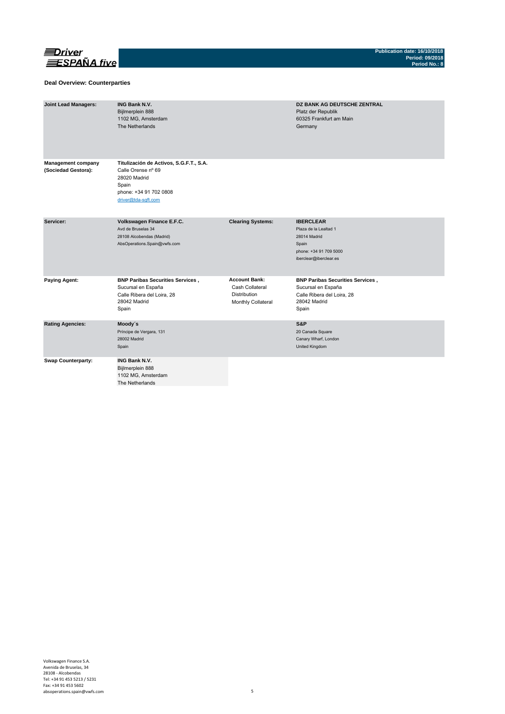

### **Deal Overview: Counterparties**

| <b>Joint Lead Managers:</b>                      | <b>ING Bank N.V.</b><br>Bijlmerplein 888<br>1102 MG, Amsterdam<br>The Netherlands                                                       |                                                                               | DZ BANK AG DEUTSCHE ZENTRAL<br>Platz der Republik<br>60325 Frankfurt am Main<br>Germany                                |
|--------------------------------------------------|-----------------------------------------------------------------------------------------------------------------------------------------|-------------------------------------------------------------------------------|------------------------------------------------------------------------------------------------------------------------|
| <b>Management company</b><br>(Sociedad Gestora): | Titulización de Activos, S.G.F.T., S.A.<br>Calle Orense nº 69<br>28020 Madrid<br>Spain<br>phone: +34 91 702 0808<br>driver@tda-sqft.com |                                                                               |                                                                                                                        |
| Servicer:                                        | Volkswagen Finance E.F.C.<br>Avd de Bruselas 34<br>28108 Alcobendas (Madrid)<br>AbsOperations.Spain@vwfs.com                            | <b>Clearing Systems:</b>                                                      | <b>IBERCLEAR</b><br>Plaza de la Lealtad 1<br>28014 Madrid<br>Spain<br>phone: +34 91 709 5000<br>iberclear@iberclear.es |
| <b>Paying Agent:</b>                             | <b>BNP Paribas Securities Services,</b><br>Sucursal en España<br>Calle Ribera del Loira, 28<br>28042 Madrid<br>Spain                    | <b>Account Bank:</b><br>Cash Collateral<br>Distribution<br>Monthly Collateral | <b>BNP Paribas Securities Services,</b><br>Sucursal en España<br>Calle Ribera del Loira, 28<br>28042 Madrid<br>Spain   |
| <b>Rating Agencies:</b>                          | Moody's<br>Príncipe de Vergara, 131<br>28002 Madrid<br>Spain                                                                            |                                                                               | S&P<br>20 Canada Square<br>Canary Wharf, London<br>United Kingdom                                                      |
| <b>Swap Counterparty:</b>                        | <b>ING Bank N.V.</b><br>Bijlmerplein 888<br>1102 MG, Amsterdam<br>The Netherlands                                                       |                                                                               |                                                                                                                        |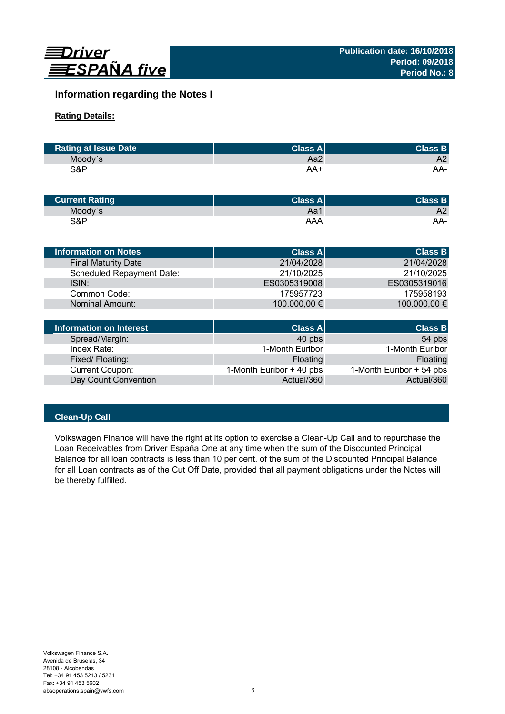

# **Information regarding the Notes I**

# **Rating Details:**

| <b>Rating at Issue Date</b> | <b>Class Al</b> | <b>Class B</b> |
|-----------------------------|-----------------|----------------|
| Moody's                     | Aa2             | A2             |
| S&P                         | AA+             | AA-            |

| <b>Current Rating</b> | Class Al | <b>Class B</b> |
|-----------------------|----------|----------------|
| Moody's               | Aa1      | A2             |
| S&P                   | AAA      | AA-            |

| Information on Notes             | <b>Class All</b> | <b>Class B</b> |
|----------------------------------|------------------|----------------|
| <b>Final Maturity Date</b>       | 21/04/2028       | 21/04/2028     |
| <b>Scheduled Repayment Date:</b> | 21/10/2025       | 21/10/2025     |
| ISIN:                            | ES0305319008     | ES0305319016   |
| Common Code:                     | 175957723        | 175958193      |
| Nominal Amount:                  | 100.000,00 €     | 100.000,00 €   |
|                                  |                  |                |

| Information on Interest | <b>Class A</b>           | <b>Class B</b>           |
|-------------------------|--------------------------|--------------------------|
| Spread/Margin:          | 40 pbs                   | 54 pbs                   |
| Index Rate:             | 1-Month Euribor          | 1-Month Euribor          |
| Fixed/Floating:         | Floating                 | Floating                 |
| <b>Current Coupon:</b>  | 1-Month Euribor + 40 pbs | 1-Month Euribor + 54 pbs |
| Day Count Convention    | Actual/360               | Actual/360               |

# **Clean-Up Call**

Volkswagen Finance will have the right at its option to exercise a Clean-Up Call and to repurchase the Loan Receivables from Driver España One at any time when the sum of the Discounted Principal Balance for all loan contracts is less than 10 per cent. of the sum of the Discounted Principal Balance for all Loan contracts as of the Cut Off Date, provided that all payment obligations under the Notes will be thereby fulfilled.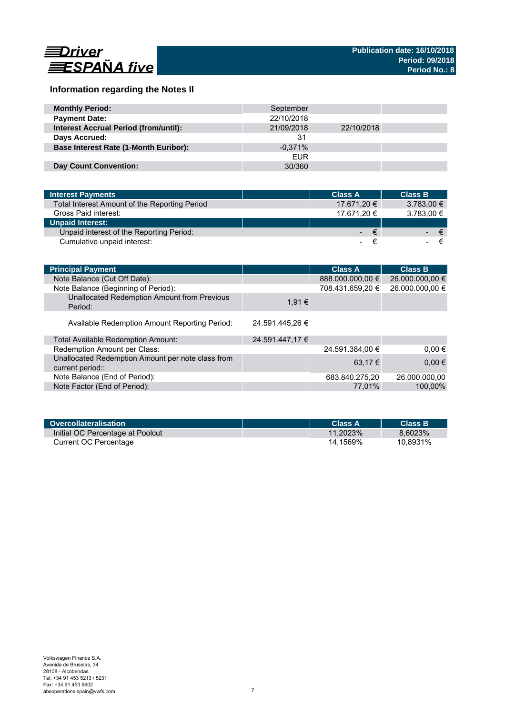

# **Information regarding the Notes II**

| <b>Monthly Period:</b>                       | September  |            |  |
|----------------------------------------------|------------|------------|--|
| <b>Payment Date:</b>                         | 22/10/2018 |            |  |
| <b>Interest Accrual Period (from/until):</b> | 21/09/2018 | 22/10/2018 |  |
| Days Accrued:                                | 31         |            |  |
| <b>Base Interest Rate (1-Month Euribor):</b> | $-0.371%$  |            |  |
|                                              | <b>EUR</b> |            |  |
| <b>Day Count Convention:</b>                 | 30/360     |            |  |

| <b>Interest Payments</b>                      | <b>Class A</b> | <b>Class B</b> |
|-----------------------------------------------|----------------|----------------|
| Total Interest Amount of the Reporting Period | 17.671,20 €    | $3.783,00 \in$ |
| Gross Paid interest:                          | 17.671.20 €    | 3.783,00 €     |
| <b>Unpaid Interest:</b>                       |                |                |
| Unpaid interest of the Reporting Period:      | $ \in$         | $ \epsilon$    |
| Cumulative unpaid interest:                   | ≂<br>-         | €              |

| <b>Principal Payment</b>                                              |                 | <b>Class A</b>   | <b>Class B</b>  |
|-----------------------------------------------------------------------|-----------------|------------------|-----------------|
| Note Balance (Cut Off Date):                                          |                 | 888.000.000,00 € | 26.000.000,00 € |
| Note Balance (Beginning of Period):                                   |                 | 708.431.659,20 € | 26.000.000,00 € |
| Unallocated Redemption Amount from Previous<br>Period:                | 1.91 €          |                  |                 |
| Available Redemption Amount Reporting Period:                         | 24.591.445.26 € |                  |                 |
| Total Available Redemption Amount:                                    | 24.591.447,17 € |                  |                 |
| Redemption Amount per Class:                                          |                 | 24.591.384,00 €  | $0.00 \in$      |
| Unallocated Redemption Amount per note class from<br>current period:: |                 | 63.17 €          | $0,00 \in$      |
| Note Balance (End of Period):                                         |                 | 683.840.275,20   | 26.000.000.00   |
| Note Factor (End of Period):                                          |                 | 77.01%           | 100,00%         |

| Overcollateralisation            | <b>Class A</b> | <b>Class B</b> |
|----------------------------------|----------------|----------------|
| Initial OC Percentage at Poolcut | 11.2023%       | 8.6023%        |
| Current OC Percentage            | 14.1569%       | 10.8931%       |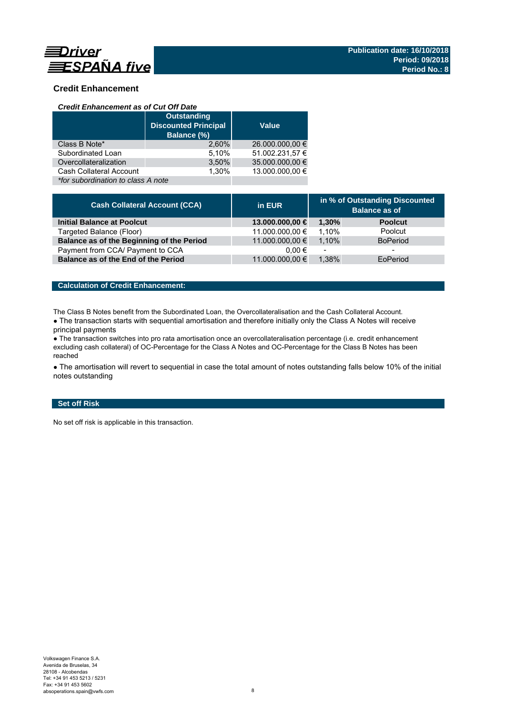

# **Credit Enhancement**

### *Credit Enhancement as of Cut Off Date*

|                                    | <b>Outstanding</b><br><b>Discounted Principal</b><br>Balance (%) | <b>Value</b>    |  |  |
|------------------------------------|------------------------------------------------------------------|-----------------|--|--|
| Class B Note*                      | 2.60%                                                            | 26.000.000,00 € |  |  |
| Subordinated Loan                  | 5,10%                                                            | 51.002.231,57 € |  |  |
| Overcollateralization              | 3,50%                                                            | 35.000.000,00 € |  |  |
| Cash Collateral Account            | 1.30%                                                            | 13.000.000.00 € |  |  |
| *for subordination to class A note |                                                                  |                 |  |  |

| <b>Cash Collateral Account (CCA)</b>      | in EUR          | in % of Outstanding Discounted<br><b>Balance as of</b> |                 |
|-------------------------------------------|-----------------|--------------------------------------------------------|-----------------|
| Initial Balance at Poolcut                | 13.000.000,00 € | 1.30%                                                  | <b>Poolcut</b>  |
| Targeted Balance (Floor)                  | 11.000.000,00 € | 1.10%                                                  | Poolcut         |
| Balance as of the Beginning of the Period | 11.000.000,00 € | 1.10%                                                  | <b>BoPeriod</b> |
| Payment from CCA/ Payment to CCA          | $0.00 \in$      | $\overline{\phantom{a}}$                               | -               |
| Balance as of the End of the Period       | 11.000.000,00 € | 1.38%                                                  | EoPeriod        |

## **Calculation of Credit Enhancement:**

The Class B Notes benefit from the Subordinated Loan, the Overcollateralisation and the Cash Collateral Account.

• The transaction starts with sequential amortisation and therefore initially only the Class A Notes will receive principal payments

● The transaction switches into pro rata amortisation once an overcollateralisation percentage (i.e. credit enhancement excluding cash collateral) of OC-Percentage for the Class A Notes and OC-Percentage for the Class B Notes has been reached

• The amortisation will revert to sequential in case the total amount of notes outstanding falls below 10% of the initial notes outstanding

## **Set off Risk**

No set off risk is applicable in this transaction.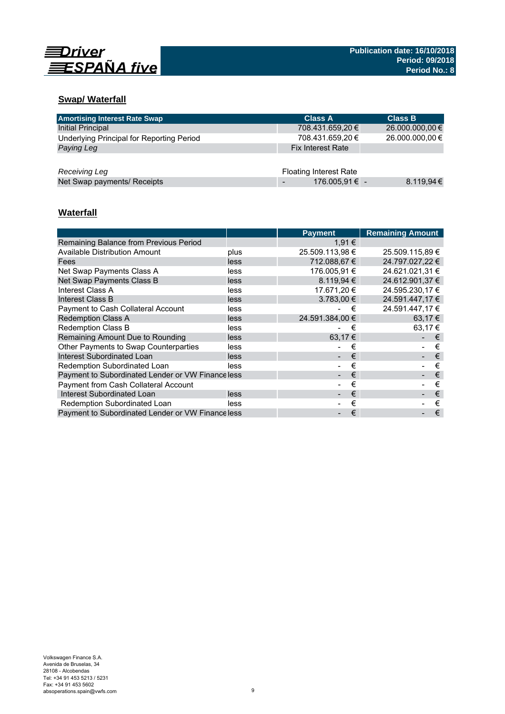

# **Swap/ Waterfall**

| <b>Amortising Interest Rate Swap</b>      | <b>Class A</b>                | <b>Class B</b>  |
|-------------------------------------------|-------------------------------|-----------------|
| <b>Initial Principal</b>                  | 708.431.659,20 €              | 26.000.000,00 € |
| Underlying Principal for Reporting Period | 708.431.659,20 €              | 26.000.000,00 € |
| Paying Leg                                | <b>Fix Interest Rate</b>      |                 |
|                                           |                               |                 |
| Receiving Leg                             | <b>Floating Interest Rate</b> |                 |
| Net Swap payments/ Receipts               | 176.005,91 € -                | 8.119.94€       |

# **Waterfall**

|                                                  |      | <b>Payment</b>  | <b>Remaining Amount</b> |
|--------------------------------------------------|------|-----------------|-------------------------|
| Remaining Balance from Previous Period           |      | 1,91 €          |                         |
| Available Distribution Amount                    | plus | 25.509.113,98 € | 25.509.115,89 €         |
| Fees                                             | less | 712.088.67 €    | 24.797.027.22 €         |
| Net Swap Payments Class A                        | less | 176.005.91 €    | 24.621.021.31 €         |
| Net Swap Payments Class B                        | less | 8.119.94 €      | 24.612.901,37 €         |
| Interest Class A                                 | less | 17.671.20 €     | 24.595.230.17 €         |
| Interest Class B                                 | less | $3.783.00 \in$  | 24.591.447.17 €         |
| <b>Payment to Cash Collateral Account</b>        | less | €               | 24.591.447,17 €         |
| <b>Redemption Class A</b>                        | less | 24.591.384.00 € | 63.17 €                 |
| Redemption Class B                               | less | €               | 63.17 €                 |
| Remaining Amount Due to Rounding                 | less | 63.17 €         | €                       |
| Other Payments to Swap Counterparties            | less | €               | €                       |
| Interest Subordinated Loan                       | less | €               | €                       |
| Redemption Subordinated Loan                     | less | €               | €                       |
| Payment to Subordinated Lender or VW Financeless |      | €               | €                       |
| <b>Payment from Cash Collateral Account</b>      |      | €               | €                       |
| Interest Subordinated Loan                       | less | €               | €                       |
| Redemption Subordinated Loan                     | less | €               | €                       |
| Payment to Subordinated Lender or VW Financeless |      | €               | €                       |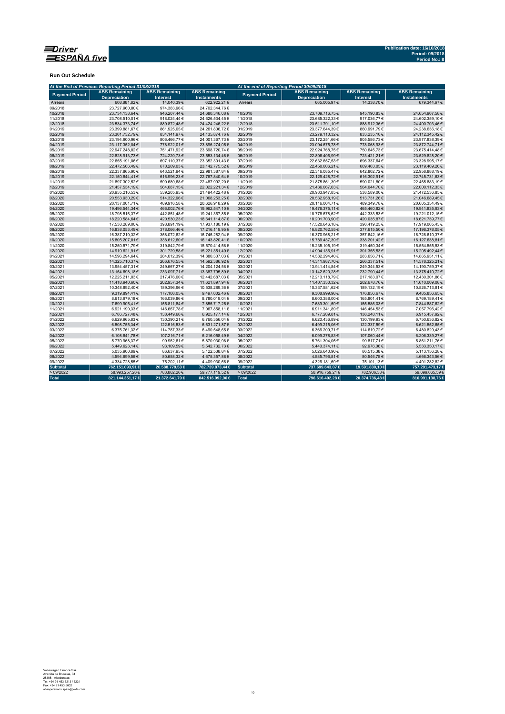

**Run Out Schedule**

|                       | At the End of Previous Reporting Period 31/08/2018 |                                         |                                            | At the end of Reporting Period 30/09/2018 |                                             |                                         |                                            |
|-----------------------|----------------------------------------------------|-----------------------------------------|--------------------------------------------|-------------------------------------------|---------------------------------------------|-----------------------------------------|--------------------------------------------|
| <b>Payment Period</b> | <b>ABS Remaining</b><br><b>Depreciation</b>        | <b>ABS Remaining</b><br><b>Interest</b> | <b>ABS Remaining</b><br><b>Instalments</b> | <b>Payment Period</b>                     | <b>ABS Remaining</b><br><b>Depreciation</b> | <b>ABS Remaining</b><br><b>Interest</b> | <b>ABS Remaining</b><br><b>Instalments</b> |
| Arrears               | 608.881,82€                                        | 14.040,39€                              | 622.922.21€                                | Arrears                                   | 665.005.97€                                 | 14.338.70€                              | 679.344.67€                                |
| 09/2018               | 23.727.960.80€                                     | 974.383.96€                             | 24.702.344.76€                             |                                           |                                             |                                         |                                            |
| 10/2018               | 23.734.138.64€                                     | 946.207.44€                             | 24.680.346.08€                             | 10/2018                                   | 23.709.716,75€                              | 945.190.83€                             | 24.654.907.58€                             |
| 11/2018               | 23.708.510,01€                                     | 918.024,44 €                            | 24.626.534,45€                             | 11/2018                                   | 23.685.322,33€                              | 917.036,77€                             | 24.602.359,10€                             |
| 12/2018               | 23.534.373,74€                                     | 889.872,48€                             | 24.424.246,22€                             | 12/2018                                   | 23.511.791,10€                              | 888.912,36€                             | 24.400.703,46€                             |
| 01/2019               | 23.399.881,67€                                     | 861.925,05€                             | 24.261.806,72€                             | 01/2019                                   | 23.377.644,39€                              | 860.991,79€                             | 24.238.636,18€                             |
| 02/2019               | 23.301.732,79€                                     | 834.141,97€                             | 24.135.874,76€                             | 02/2019                                   | 23.279.110,32€                              | 833.235,10€                             | 24.112.345,42€                             |
| 03/2019               | 23.194.900,96€                                     | 806.466,77€                             | 24.001.367,73€                             | 03/2019                                   | 23.172.251,66€                              | 805.586,73€                             | 23.977.838,39€                             |
| 04/2019               | 23.117.352,04€                                     | 778.922,01€                             | 23.896.274,05€                             | 04/2019                                   | 23.094.675,78€                              | 778.068,93€                             | 23.872.744,71€                             |
| 05/2019               | 22.947.248,82€                                     | 751.471,92€                             | 23.698.720,74€                             | 05/2019                                   | 22.924.768,75€                              | 750.645,73€                             | 23.675.414,48€                             |
| 06/2019               | 22.828.913,73€                                     | 724.220,73€                             | 23.553.134,46€                             | 06/2019                                   | 22.806.406,99€                              | 723.421,21€                             | 23.529.828,20€                             |
| 07/2019               | 22.655.191,06€                                     | 697.110,37€                             | 23.352.301,43€                             | 07/2019                                   | 22.632.657,53€                              | 696.337,64€                             | 23.328.995,17€                             |
| 08/2019               | 22.472.566,49€                                     | 670.209,03€                             | 23.142.775,52€                             | 08/2019                                   | 22.450.006,21€                              | 669.463,05€                             | 23.119.469,26€                             |
| 09/2019               | 22.337.865,90€                                     | 643.521,94€                             | 22.981.387,84€                             | 09/2019                                   | 22.316.085,47€                              | 642.802,72€                             | 22.958.888,19€                             |
| 10/2019               | 22.150.844,41€                                     | 616.996.23€                             | 22.767.840,64€                             | 10/2019                                   | 22.129.428,72€                              | 616.302.91€                             | 22.745.731,63€                             |
| 11/2019               | 21.897.302,52€                                     | 590.689,68€                             | 22.487.992,20€                             | 11/2019                                   | 21.875.861,39€                              | 590.021,80€                             | 22.465.883,19€                             |
| 12/2019               | 21.457.534,19€                                     | 564.687,15€                             | 22.022.221,34€                             | 12/2019                                   | 21.436.067,63€                              | 564.044,70€                             | 22.000.112,33€                             |
| 01/2020               | 20.955.216,53€                                     | 539.205,95€                             | 21.494.422,48€                             | 01/2020                                   | 20.933.947,85€                              | 538.589,00 €                            | 21.472.536,85€                             |
| 02/2020               | 20.553.930,29€                                     | 514.322,96€                             | 21.068.253,25€                             | 02/2020                                   | 20.532.958,19€                              | 513.731,26€                             | 21.046.689,45€                             |
| 03/2020               | 20.137.001.71€                                     | 489.916.58€                             | 20.626.918.29€                             | 03/2020                                   | 20.116.004.71€                              | 489.349.78€                             | 20.605.354.49€                             |
| 04/2020               | 19.496.544,34€                                     | 466.002,76€                             | 19.962.547,10€                             | 04/2020                                   | 19.476.375,11€                              | 465.460,82€                             | 19.941.835,93€                             |
| 05/2020               | 18.798.516,37€                                     | 442.851,48€                             | 19.241.367,85€                             | 05/2020                                   | 18.778.678,62€                              | 442.333,53€                             | 19.221.012,15€                             |
| 06/2020               | 18.220.584,64€                                     | 420.530,23€                             | 18.641.114,87€                             | 06/2020                                   | 18.201.703,90€                              | 420.035,87€                             | 18.621.739,77€                             |
| 07/2020               | 17.538.289.00€                                     | 398.891,19€                             | 17.937.180,19€                             | 07/2020                                   | 17.520.646,18€                              | 398.419,25€                             | 17.919.065,43€                             |
| 08/2020               | 16.838.053,49€                                     | 378.066,46€                             | 17.216.119,95€                             | 08/2020                                   | 16.820.762,55€                              | 377.615,50€                             | 17.198.378,05€                             |
| 09/2020               | 16.387.210,32€                                     | 358.072,62€                             | 16.745.282,94€                             | 09/2020                                   | 16.370.968,21€                              | 357.642,16€                             | 16.728.610,37€                             |
| 10/2020               | 15.805.207,81€                                     | 338.612,60 €                            | 16.143.820,41€                             | 10/2020                                   | 15.789.437,39€                              | 338.201,42€                             | 16.127.638,81€                             |
| 11/2020               | 15.250.571,79€                                     | 319.842,79€                             | 15.570.414,58€                             | 11/2020                                   | 15.235.105,19€                              | 319.450,34 €                            | 15.554.555,53€                             |
| 12/2020               | 14.919.621,91€                                     | 301.729,58€                             | 15.221.351,49€                             | 12/2020                                   | 14.904.136,91€                              | 301.355,53€                             | 15.205.492,44€                             |
| 01/2021               | 14.596.294,64€                                     | 284.012,39€                             | 14.880.307,03€                             | 01/2021                                   | 14.582.294,40€                              | 283.656,71€                             | 14.865.951,11€                             |
| 02/2021               | 14.325.710,37€                                     | 266.676,55€                             | 14.592.386,92€                             | 02/2021                                   | 14.311.987,70€                              | 266.337,51€                             | 14.578.325,21€                             |
| 03/2021               | 13.954.457.31€                                     | 249.667.27€                             | 14.204.124,58€                             | 03/2021                                   | 13.941.414,84€                              | 249.344,53€                             | 14.190.759,37€                             |
| 04/2021               | 13.154.698,18€                                     | 233.097,71€                             | 13.387.795,89€                             | 04/2021                                   | 13.142.620,28€                              | 232.790,44€                             | 13.375.410,72€                             |
| 05/2021               | 12.225.211,03€                                     | 217.476,00€                             | 12.442.687,03€                             | 05/2021                                   | 12.213.118,79€                              | 217.183,07€                             | 12.430.301,86€                             |
| 06/2021               | 11.418.940,60€                                     | 202.957,34 €                            | 11.621.897,94€                             | 06/2021                                   | 11.407.330,32€                              | 202.678,76€                             | 11.610.009,08€                             |
| 07/2021               | 10.348.892,40€                                     | 189.396,96€                             | 10.538.289,36€                             | 07/2021                                   | 10.337.581,62€                              | 189.132,19€                             | 10.526.713,81€                             |
| 08/2021               | 9.319.894,41€                                      | 177.108,05€                             | 9.497.002,46€                              | 08/2021                                   | 9.308.999,98€                               | 176.856.67€                             | 9.485.856,65€                              |
| 09/2021               | 8.613.979,18€                                      | 166.039,86€                             | 8.780.019,04€                              | 09/2021                                   | 8.603.388,00€                               | 165.801,41€                             | 8.769.189,41€                              |
| 10/2021               | 7.699.905,41€                                      | 155.811,84 €                            | 7.855.717,25€                              | 10/2021                                   | 7.689.301,59€                               | 155.586,03€                             | 7.844.887,62€                              |
| 11/2021               | 6.921.190,33€                                      | 146.667,78€                             | 7.067.858,11€                              | 11/2021                                   | 6.911.341,89€                               | 146.454,53€                             | 7.057.796,42€                              |
| 12/2021               | 6.786.727,48€                                      | 138.449,66€                             | 6.925.177,14€                              | 12/2021                                   | 6.777.209,81€                               | 138.248,11€                             | 6.915.457,92€                              |
| 01/2022               | 6.629.965,83€                                      | 130.390,21€                             | 6.760.356,04€                              | 01/2022                                   | 6.620.436,89€                               | 130.199,93€                             | 6.750.636,82€                              |
| 02/2022               |                                                    |                                         |                                            | 02/2022                                   |                                             |                                         |                                            |
|                       | 6.508.755,34€                                      | 122.516,53€                             | 6.631.271,87€                              |                                           | 6.499.215,06€                               | 122.337,59€                             | 6.621.552,65€                              |
| 03/2022               | 6.375.761,32€                                      | 114.787,33€                             | 6.490.548,65€                              | 03/2022                                   | 6.366.209,71€                               | 114.619,72€                             | 6.480.829,43€                              |
| 04/2022               | 6.108.841,78€                                      | 107.216,71€                             | 6.216.058,49€                              | 04/2022                                   | 6.099.278,83€                               | 107.060,44 €                            | 6.206.339,27€                              |
| 05/2022               | 5.770.968,37€                                      | 99.962,61€                              | 5.870.930,98€                              | 05/2022                                   | 5.761.394,05€                               | 99.817,71€                              | 5.861.211,76€                              |
| 06/2022               | 5.449.623,14€                                      | 93.109,59€                              | 5.542.732,73€                              | 06/2022                                   | 5.440.374,11€                               | 92.976,06€                              | 5.533.350,17€                              |
| 07/2022               | 5.035.900,89€                                      | 86.637,95€                              | 5.122.538,84 €                             | 07/2022                                   | 5.026.640,90€                               | 86.515,38€                              | 5.113.156,28€                              |
| 08/2022               | 4.594.699.56€                                      | 80.658.32€                              | 4.675.357.88€                              | 08/2022                                   | 4.585.796.81€                               | 80.546,75€                              | 4.666.343.56€                              |
| 09/2022               | 4.334.728,55€                                      | 75.202,11€                              | 4.409.930,66 €                             | 09/2022                                   | 4.326.181,69€                               | 75.101,13€                              | 4.401.282,82€                              |
| <b>Subtotal</b>       | 762.151.093,91 €                                   | 20.588.779,53 €                         | 782.739.873,44 €                           | Subtotal                                  | 737.699.643,07 €                            | 19.591.830,10€                          | 757.291.473,17€                            |
| >09/2022              | 58.993.257,26€                                     | 783.862,26€                             | 59.777.119,52€                             | >09/2022                                  | 58.916.759,21€                              | 782.906,38€                             | 59.699.665,59€                             |
| <b>Total</b>          | 821.144.351,17€                                    | 21.372.641,79 €                         | 842.516.992,96 €                           | Total                                     | 796.616.402,28 €                            | 20.374.736,48€                          | 816.991.138,76€                            |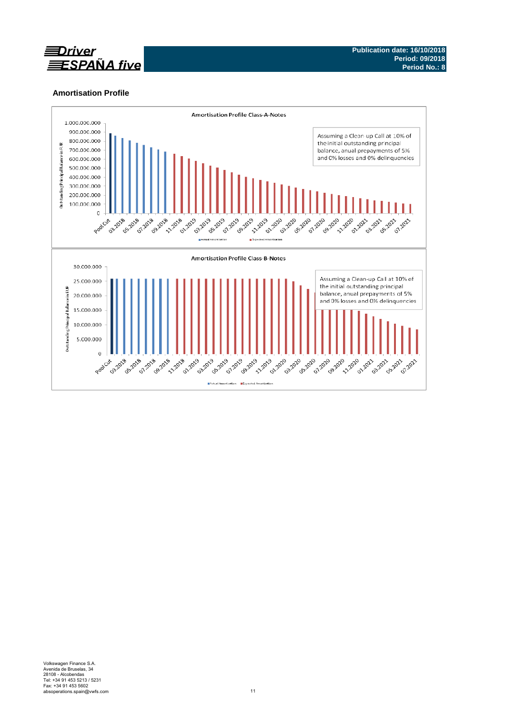

## **Amortisation Profile**

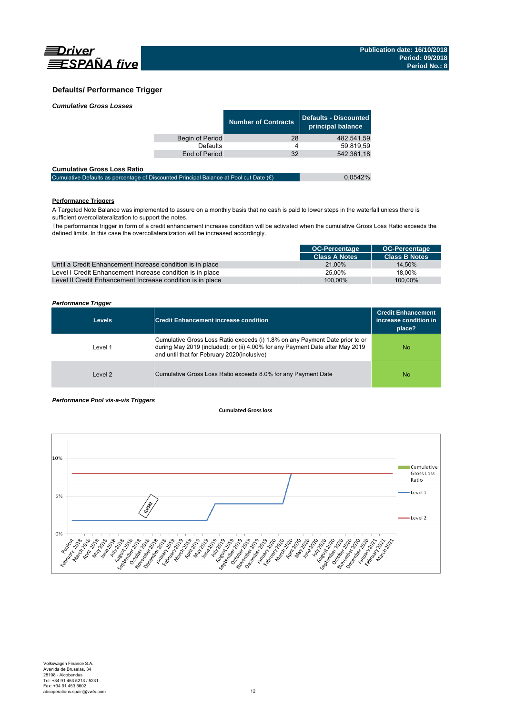

0,0542%

### **Defaults/ Performance Trigger**

|                 | <b>Number of Contracts</b> | Defaults - Discounted<br>principal balance |
|-----------------|----------------------------|--------------------------------------------|
| Begin of Period | 28                         | 482.541,59                                 |
| Defaults        | 4                          | 59.819.59                                  |
| End of Period   | 32                         | 542.361,18                                 |
|                 |                            |                                            |

| <b>Cumulative Gross Loss Ratio</b>                                                              |  |
|-------------------------------------------------------------------------------------------------|--|
| Cumulative Defaults as percentage of Discounted Principal Balance at Pool cut Date $(\epsilon)$ |  |

### **Performance Triggers**

A Targeted Note Balance was implemented to assure on a monthly basis that no cash is paid to lower steps in the waterfall unless there is sufficient overcollateralization to support the notes.

The performance trigger in form of a credit enhancement increase condition will be activated when the cumulative Gross Loss Ratio exceeds the defined limits. In this case the overcollateralization will be increased accordingly.

|                                                            | <b>OC-Percentage</b> | <b>OC-Percentage</b> |
|------------------------------------------------------------|----------------------|----------------------|
|                                                            | <b>Class A Notes</b> | <b>Class B Notes</b> |
| Until a Credit Enhancement Increase condition is in place  | 21.00%               | 14.50%               |
| Level I Credit Enhancement Increase condition is in place  | 25.00%               | 18.00%               |
| Level II Credit Enhancement Increase condition is in place | 100.00%              | 100.00%              |

#### *Performance Trigger*

| <b>Levels</b> | <b>Credit Enhancement increase condition</b>                                                                                                                                                                 | <b>Credit Enhancement</b><br>increase condition in<br>place? |
|---------------|--------------------------------------------------------------------------------------------------------------------------------------------------------------------------------------------------------------|--------------------------------------------------------------|
| Level 1       | Cumulative Gross Loss Ratio exceeds (i) 1.8% on any Payment Date prior to or<br>during May 2019 (included); or (ii) 4.00% for any Payment Date after May 2019<br>and until that for February 2020(inclusive) | No                                                           |
| Level 2       | Cumulative Gross Loss Ratio exceeds 8.0% for any Payment Date                                                                                                                                                | No                                                           |

#### *Performance Pool vis-a-vis Triggers*

#### **Cumulated Grossloss**

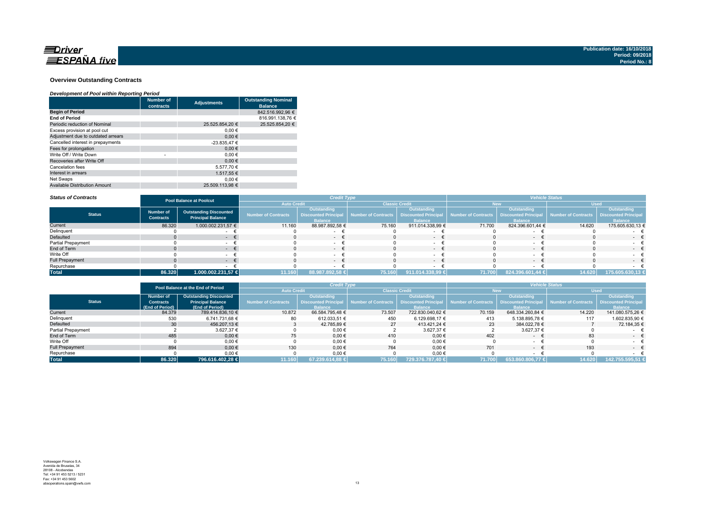

#### **Overview Outstanding Contracts**

#### *Development of Pool within Reporting Period*

|                                      | <b>Number of</b><br>contracts | <b>Adjustments</b> | <b>Outstanding Nominal</b><br><b>Balance</b> |  |  |
|--------------------------------------|-------------------------------|--------------------|----------------------------------------------|--|--|
| <b>Begin of Period</b>               |                               |                    | 842.516.992.96 €                             |  |  |
| <b>End of Period</b>                 |                               |                    | 816.991.138.76 €                             |  |  |
| Periodic reduction of Nominal        |                               | 25.525.854.20 €    | 25.525.854.20 €                              |  |  |
| Excess provision at pool cut         |                               | 0.00€              |                                              |  |  |
| Adjustment due to outdated arrears   |                               | 0.00€              |                                              |  |  |
| Cancelled interest in prepayments    |                               | -23.835.47 €       |                                              |  |  |
| Fees for prolongation                |                               | 0.00€              |                                              |  |  |
| Write Off / Write Down               | ٠                             | 0.00€              |                                              |  |  |
| Recoveries after Write Off           |                               | 0.00€              |                                              |  |  |
| Cancelation fees                     |                               | 5.577.70 €         |                                              |  |  |
| Interest in arrears                  |                               | 1.517.55 €         |                                              |  |  |
| Net Swaps                            |                               | 0.00€              |                                              |  |  |
| <b>Available Distribution Amount</b> |                               | 25.509.113.98 €    |                                              |  |  |

#### *Status of Contracts*

| <b>Status of Contracts</b> | <b>Pool Balance at Poolcut</b>       |                                                           |                            | <b>Credit Type</b>                                    |                     |                                                              | <b>Vehicle Status</b> |                                                              |                     |                                                              |  |
|----------------------------|--------------------------------------|-----------------------------------------------------------|----------------------------|-------------------------------------------------------|---------------------|--------------------------------------------------------------|-----------------------|--------------------------------------------------------------|---------------------|--------------------------------------------------------------|--|
|                            |                                      |                                                           |                            | <b>Auto Credit</b>                                    |                     | <b>Classic Credit</b>                                        |                       | <b>New</b>                                                   | <b>Used</b>         |                                                              |  |
| <b>Status</b>              | <b>Number of</b><br><b>Contracts</b> | <b>Outstanding Discounted</b><br><b>Principal Balance</b> | <b>Number of Contracts</b> | Outstanding<br>Discounted Principal<br><b>Balance</b> | Number of Contracts | Outstanding<br><b>Discounted Principal</b><br><b>Balance</b> | Number of Contracts   | Outstanding<br><b>Discounted Principal</b><br><b>Balance</b> | Number of Contracts | Outstanding<br><b>Discounted Principal</b><br><b>Balance</b> |  |
| Current                    | 86.320                               | 1.000.002.231,57 €                                        | 11.160                     | 88.987.892,58 €                                       | 75.160              | 911.014.338,99 €                                             | 71.700                | 824.396.601,44 €                                             | 14.620              | 175.605.630,13 €                                             |  |
| Delinquent                 |                                      |                                                           |                            |                                                       |                     |                                                              |                       |                                                              |                     |                                                              |  |
| Defaulted                  |                                      | . .                                                       |                            | $\sim$                                                |                     | $\sim$                                                       |                       | $\sim$                                                       |                     | $\sim$                                                       |  |
| <b>Partial Prepayment</b>  |                                      |                                                           |                            |                                                       |                     |                                                              |                       |                                                              |                     |                                                              |  |
| End of Term                |                                      |                                                           |                            | $\sim$                                                |                     | $\sim$                                                       |                       | $\sim$                                                       |                     | . .                                                          |  |
| Write Off                  |                                      |                                                           |                            | $\sim$                                                |                     |                                                              |                       |                                                              |                     |                                                              |  |
| <b>Full Prepayment</b>     |                                      | . .                                                       |                            | - +                                                   |                     | $\sim$                                                       |                       |                                                              |                     | $\sim$                                                       |  |
| Repurchase                 |                                      |                                                           |                            |                                                       |                     |                                                              |                       |                                                              |                     |                                                              |  |
| <b>Total</b>               | 86.320                               | 1.000.002.231,57 €                                        | 11.160                     | 88.987.892,58 €                                       | 75.160              | 911.014.338,99 €                                             | 71.700                | 824.396.601,44 €                                             | 14.620              | 175.605.630,13 €                                             |  |
|                            |                                      |                                                           |                            |                                                       |                     |                                                              |                       |                                                              |                     |                                                              |  |

|                        |                  | Pool Balance at the End of Period |                     | <b>Credit Type</b> |                                                               |                  | <b>Vehicle Status</b> |                  |                                                 |                             |  |
|------------------------|------------------|-----------------------------------|---------------------|--------------------|---------------------------------------------------------------|------------------|-----------------------|------------------|-------------------------------------------------|-----------------------------|--|
|                        |                  |                                   | <b>Auto Credit</b>  |                    | <b>Classic Credit</b>                                         |                  |                       | New              | <b>Used</b>                                     |                             |  |
|                        | Number of        | <b>Outstanding Discounted</b>     |                     | Outstanding        |                                                               | Outstanding      |                       | Outstanding      |                                                 | <b>Outstanding</b>          |  |
| <b>Status</b>          | <b>Contracts</b> | <b>Principal Balance</b>          | Number of Contracts |                    | Discounted Principal Number of Contracts Discounted Principal |                  | Number of Contracts   |                  | <b>Discounted Principal Number of Contracts</b> | <b>Discounted Principal</b> |  |
|                        | (End of Period)  | (End of Period)                   |                     | <b>Balance</b>     |                                                               | <b>Balance</b>   |                       | <b>Balance</b>   |                                                 | <b>Balance</b>              |  |
| Current                | 84.379           | 789.414.836.10 €                  | 10.872              | 66.584.795.48 €    | 73.507                                                        | 722.830.040.62 € | 70.159                | 648.334.260.84 € | 14.220                                          | 141.080.575.26 €            |  |
| Delinquent             | 530              | 6.741.731.68 €                    | 80                  | 612.033.51 €       | 450                                                           | 6.129.698.17 €   | 413                   | 5.138.895.78 €   | 117                                             | 1.602.835,90 €              |  |
| Defaulted              | 30 <sup>1</sup>  | 456.207.13 €                      |                     | 42.785.89 €        | 27                                                            | 413.421.24 €     | 23                    | 384.022.78 €     |                                                 | 72.184.35 €                 |  |
| Partial Prepayment     |                  | 3.627.37 €                        |                     | $0,00 \in$         |                                                               | 3.627.37 €       |                       | 3.627.37 €       |                                                 |                             |  |
| End of Term            | 485              | $0.00 \in$                        | 75                  | $0.00 \in$         | 410                                                           | $0,00 \in$       | 402                   | $\sim$           | 83                                              | $ \epsilon$                 |  |
| Write Off              |                  | $0.00 \in$                        |                     | 0,00€              |                                                               | $0,00$ €         |                       |                  |                                                 |                             |  |
| <b>Full Prepayment</b> | 894              | $0.00 \in$                        | 130                 | $0.00 \in$         | 764                                                           | $0.00 \in$       | 701                   | $\sim$           | 193                                             | $ \epsilon$                 |  |
| Repurchase             |                  | 0,00€                             |                     | 0,00€              |                                                               | $0,00$ €         |                       |                  |                                                 |                             |  |
| <b>Total</b>           | 86.320           | 1796.616.402.28 €                 | 11.160              | 67.239.614,88 €    | 75.160                                                        | 729.376.787.40 € | 71.700                | 653.860.806,77 € | 14.620                                          | 142.755.595,51 €            |  |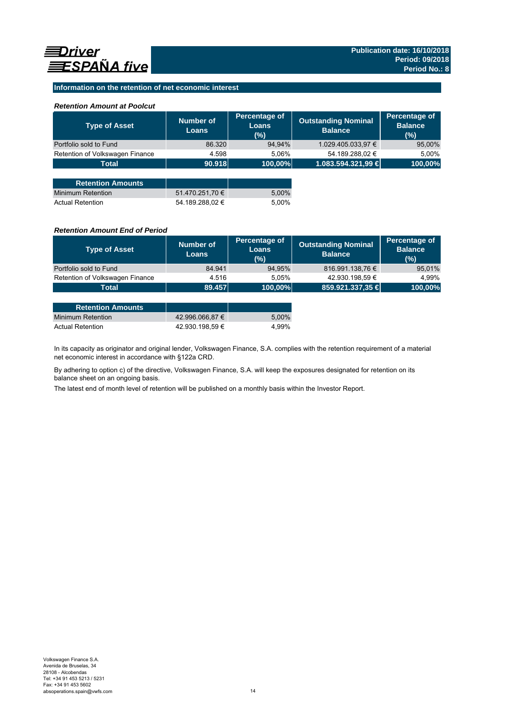### **Information on the retention of net economic interest**

### *Retention Amount at Poolcut*

| <b>Type of Asset</b>            | Number of<br><b>Loans</b> | Percentage of<br><b>Loans</b><br>(%) | <b>Outstanding Nominal</b><br><b>Balance</b> | Percentage of<br><b>Balance</b><br>(%) |
|---------------------------------|---------------------------|--------------------------------------|----------------------------------------------|----------------------------------------|
| Portfolio sold to Fund          | 86.320                    | 94,94%                               | 1.029.405.033,97 €                           | 95,00%                                 |
| Retention of Volkswagen Finance | 4.598                     | 5.06%                                | 54.189.288,02 €                              | 5,00%                                  |
| <b>Total</b>                    | 90.918                    | 100,00%                              | 1.083.594.321,99 €                           | 100,00%                                |
|                                 |                           |                                      |                                              |                                        |
| <b>Retention Amounts</b>        |                           |                                      |                                              |                                        |
| <b>Minimum Retention</b>        | 51.470.251,70 €           | 5,00%                                |                                              |                                        |
| <b>Actual Retention</b>         | 54.189.288.02 €           | 5.00%                                |                                              |                                        |

### *Retention Amount End of Period*

| <b>Type of Asset</b>            | <b>Number of</b><br>Loans | Percentage of<br>Loans<br>(%) | <b>Outstanding Nominal</b><br><b>Balance</b> | Percentage of<br><b>Balance</b><br>(%) |
|---------------------------------|---------------------------|-------------------------------|----------------------------------------------|----------------------------------------|
| Portfolio sold to Fund          | 84.941                    | 94,95%                        | 816.991.138,76 €                             | 95,01%                                 |
| Retention of Volkswagen Finance | 4.516                     | 5.05%                         | 42.930.198,59 €                              | 4.99%                                  |
| <b>Total</b>                    | 89.457                    | 100,00%                       | 859.921.337,35 €                             | 100,00%                                |
|                                 |                           |                               |                                              |                                        |

| <b>Retention Amounts</b> |                 |       |
|--------------------------|-----------------|-------|
| Minimum Retention        | 42.996.066.87 € | 5.00% |
| <b>Actual Retention</b>  | 42.930.198.59 € | 4.99% |

In its capacity as originator and original lender, Volkswagen Finance, S.A. complies with the retention requirement of a material net economic interest in accordance with §122a CRD.

By adhering to option c) of the directive, Volkswagen Finance, S.A. will keep the exposures designated for retention on its balance sheet on an ongoing basis.

The latest end of month level of retention will be published on a monthly basis within the Investor Report.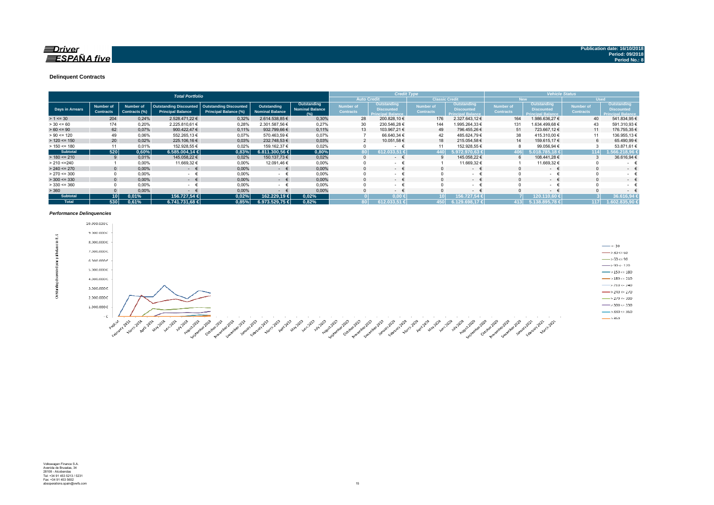### $\equiv$ Driver **ESPAÑA** five

#### **Delinquent Contracts**

|                 |                                      |                            | <b>Total Portfolio</b>                                    |                                                        |                                       |                                              |                               | <b>Credit Type</b>                                           |                                      |                                                              | <b>Vehicle Status</b>         |                                                                     |                                      |                                                                     |
|-----------------|--------------------------------------|----------------------------|-----------------------------------------------------------|--------------------------------------------------------|---------------------------------------|----------------------------------------------|-------------------------------|--------------------------------------------------------------|--------------------------------------|--------------------------------------------------------------|-------------------------------|---------------------------------------------------------------------|--------------------------------------|---------------------------------------------------------------------|
|                 |                                      |                            |                                                           |                                                        |                                       |                                              |                               | <b>Auto Credit</b>                                           | <b>Classic Credit</b>                |                                                              | <b>New</b>                    |                                                                     | <b>Used</b>                          |                                                                     |
| Days in Arrears | <b>Number of</b><br><b>Contracts</b> | Number of<br>Contracts (%) | <b>Outstanding Discounted</b><br><b>Principal Balance</b> | <b>Outstanding Discounted</b><br>Principal Balance (%) | Outstanding<br><b>Nominal Balance</b> | Outstanding<br><b>Nominal Balance</b><br>(%) | Number of<br><b>Contracts</b> | Outstanding<br><b>Discounted</b><br><b>Principal Balance</b> | <b>Number of</b><br><b>Contracts</b> | Outstanding<br><b>Discounted</b><br><b>Principal Balance</b> | Number of<br><b>Contracts</b> | <b>Outstanding</b><br><b>Discounted</b><br><b>Principal Balance</b> | <b>Number of</b><br><b>Contracts</b> | <b>Outstanding</b><br><b>Discounted</b><br><b>Principal Balance</b> |
| $> 1 \le 30$    | 204                                  | 0,24%                      | 2.528.471.22 €                                            | 0,32%                                                  | 2.614.538,85 €                        | 0,30%                                        | 28                            | 200.828,10 €                                                 | 176                                  | 2.327.643,12 €                                               | 164                           | 1.986.636,27 €                                                      | 40                                   | 541.834,95 €                                                        |
| $> 30 \le 60$   | 174                                  | 0.20%                      | 2.225.810.61 €                                            | 0.28%                                                  | 2.301.587.56 €                        | 0.27%                                        | 30                            | 230.546.28 €                                                 | 144                                  | .995.264.33 €                                                | 131                           | 1.634.499.68 €                                                      | 43                                   | 591.310,93 €                                                        |
| $> 60 \le 90$   | 62                                   | 0,07%                      | 900.422,47 €                                              | 0,11%                                                  | 932.799.66 €                          | 0.11%                                        | 13                            | 103.967,21 €                                                 | 49                                   | 796.455,26 €                                                 | 51                            | 723.667,12 €                                                        | 11                                   | 176.755,35 €                                                        |
| $> 90 \le 120$  | 49                                   | 0.06%                      | 552.265,13 €                                              | 0.07%                                                  | 570.463.59 €                          | 0,07%                                        |                               | 66.640,34 €                                                  | 42                                   | 485.624.79 €                                                 | 38                            | 415.310,00 €                                                        | 11                                   | 136.955,13€                                                         |
| $> 120 \le 150$ | 20                                   | 0,02%                      | 225.106,16 €                                              | 0,03%                                                  | 232.748.53 €                          | 0,03%                                        |                               | 10.051,58 €                                                  | 18                                   | 215.054,58 €                                                 | 14                            | 159.615,17 €                                                        | 6                                    | 65.490,99 €                                                         |
| $> 150 \le 180$ | 11                                   | 0,01%                      | 152.928,55 €                                              | 0.02%                                                  | 159.162.37 €                          | 0,02%                                        |                               |                                                              | 11                                   | 152.928,55 €                                                 |                               | 99.056,94 €                                                         |                                      | 53.871,61 €                                                         |
| <b>Subtotal</b> | 520                                  | 0,60%                      | 6.585.004.14 €                                            | 0.83%                                                  | 6.811.300.56 €                        | 0,80%                                        |                               | 612J                                                         | 440                                  | 972.970.63 €                                                 |                               | 6.018.785.18 €                                                      | 114                                  | 1.566.218.96 €                                                      |
| $> 180 \le 210$ |                                      | 0,01%                      | 145.058,22 €                                              | 0,02%                                                  | 150.137,73 €                          | 0,02%                                        |                               | $\sim$                                                       |                                      | 145.058,22 €                                                 | ĥ                             | 108.441,28 €                                                        |                                      | 36.616,94 €                                                         |
| > 210 < 240     |                                      | 0,00%                      | 11.669,32 €                                               | 0,00%                                                  | 12.091,46 €                           | 0,00%                                        |                               | $\sim$                                                       |                                      | 11.669,32 €                                                  |                               | 11.669,32 €                                                         |                                      | $\sim$                                                              |
| $> 240 \le 270$ |                                      | 0,00%                      | $ \epsilon$                                               | 0,00%                                                  | $ \epsilon$                           | 0.00%                                        |                               | $\sim$ 100 $\mu$                                             |                                      | $ \epsilon$                                                  |                               | $ \epsilon$                                                         | $\Omega$                             | $\sim$ 100 $\mu$                                                    |
| $> 270 \le 300$ |                                      | 0,00%                      | $ \pm$                                                    | 0,00%                                                  | $\sim$                                | 0,00%                                        |                               | $\sim$ 10 $\pm$                                              |                                      | - 1                                                          |                               | $\cdot$ $\cdot$                                                     |                                      | $\sim$                                                              |
| $>$ 300 <= 330  | $\Omega$                             | 0.00%                      | $ \epsilon$                                               | 0,00%                                                  | $ \epsilon$                           | 0.00%                                        |                               | - +                                                          |                                      | $ \epsilon$                                                  |                               | $ \epsilon$                                                         | $\Omega$                             | $\sim$ 100 $\mu$                                                    |
| $> 330 \le 360$ |                                      | 0,00%                      | <b>Service</b>                                            | 0,00%                                                  | $ -$                                  | 0,00%                                        |                               | $\sim$                                                       |                                      | $\sim 100$                                                   |                               | $ \epsilon$                                                         |                                      | $\sim$                                                              |
| > 360           |                                      | 0,00%                      | $\sim$                                                    | 0,00%                                                  | €<br>$\sim$                           | 0,00%                                        |                               | --                                                           |                                      | -- *                                                         |                               | $ +$                                                                |                                      | $\sim$                                                              |
| <b>Subtotal</b> | 10 I                                 | 0,01%                      | 156.727,54 €                                              | 0,02%                                                  | 162.229.19 €                          | 0,02%                                        |                               | $0.00 \leftarrow$                                            |                                      | 156.727,54 €                                                 |                               | (20.110,60 €                                                        |                                      | 36.616.94                                                           |
| <b>Total</b>    | 530                                  | 0,61%                      | 6.741.731.68 €                                            | 0.85%                                                  | 6.973.529.75 €                        | 0,82%                                        |                               | 612.033.51 €                                                 | 450                                  | 6.129.698.17 €                                               | 413                           | 5.138.895.78 €                                                      | 117                                  | 1.602.835.90 €                                                      |

#### *Performance Delinquencies*

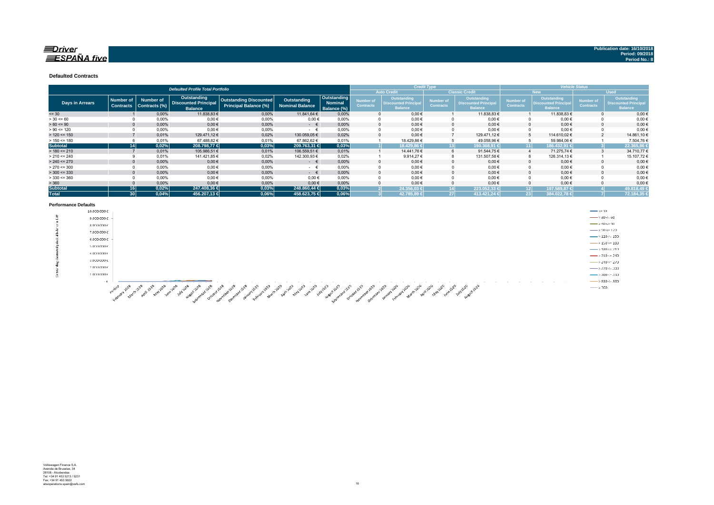### $\equiv$ Driver  $\equiv$ SPAÑA five

**Defaulted Contracts** 

|                        |                                      |                                   | <b>Defaulted Profile Total Portfolio</b>   |                                                               |                                       |                        |                               |                                           | <b>Credit Type</b>                   |                                            |                                      |                                                  | <b>Vehicle Status</b>                |                                                   |  |
|------------------------|--------------------------------------|-----------------------------------|--------------------------------------------|---------------------------------------------------------------|---------------------------------------|------------------------|-------------------------------|-------------------------------------------|--------------------------------------|--------------------------------------------|--------------------------------------|--------------------------------------------------|--------------------------------------|---------------------------------------------------|--|
|                        |                                      |                                   |                                            |                                                               |                                       |                        |                               | <b>Auto Credit</b>                        |                                      | <b>Classic Credit</b>                      |                                      | <b>New</b>                                       |                                      | <b>Used</b>                                       |  |
| <b>Days in Arrears</b> | <b>Number of</b><br><b>Contracts</b> | <b>Number of</b><br>Contracts (%) | Outstanding<br><b>Discounted Principal</b> | <b>Outstanding Discounted</b><br><b>Principal Balance (%)</b> | Outstanding<br><b>Nominal Balance</b> | Outstanding<br>Nominal | Number of<br><b>Contracts</b> | Outstanding<br><b>Discounted Principa</b> | <b>Number of</b><br><b>Contracts</b> | Outstanding<br><b>Discounted Principal</b> | <b>Number of</b><br><b>Contracts</b> | <b>Outstanding</b><br><b>Discounted Principa</b> | <b>Number of</b><br><b>Contracts</b> | <b>Outstanding</b><br><b>Discounted Principal</b> |  |
|                        |                                      |                                   | <b>Balance</b>                             |                                                               |                                       | Balance (%)            |                               | <b>Balance</b>                            |                                      | <b>Balance</b>                             |                                      | <b>Balance</b>                                   |                                      | <b>Balance</b>                                    |  |
| $= 30$                 |                                      | 0,00%                             | 11.838,83 €                                | 0,00%                                                         | 11.841.64 €                           | 0.00%                  |                               | $0.00 \in$                                |                                      | 11.838,83 €                                |                                      | 11.838,83 €                                      |                                      | 0.00€                                             |  |
| $> 30 \le 60$          |                                      | 0.00%                             | $0,00$ €                                   | $0.00\%$                                                      | 0.00€                                 | 0.00%                  |                               | $0.00 \in$                                | 0                                    | $0.00 \in$                                 |                                      | $0.00 \in$                                       |                                      | $0,00$ €                                          |  |
| $> 60 \le 90$          |                                      | 0,00%                             | $0,00$ €                                   | 0,00%                                                         | $ \epsilon$                           | 0.00%                  |                               | $0.00 \in$                                | $\mathbf 0$                          | 0.00€                                      |                                      | $0.00 \in$                                       |                                      | $0,00 \in$                                        |  |
| $> 90 \le 120$         |                                      | 0,00%                             | $0,00$ €                                   | 0,00%                                                         | $ \epsilon$                           | 0,00%                  |                               | $0,00 \in$                                |                                      | $0,00 \in$                                 |                                      | $0,00 \in$                                       |                                      | $0,00 \in$                                        |  |
| $> 120 \le 150$        |                                      | 0,01%                             | 129.471,12€                                | 0,02%                                                         | 130.059,05€                           | 0.02%                  |                               | $0.00 \in$                                |                                      | 129.471.12 €                               |                                      | 114.610.02€                                      |                                      | 14.861,10 €                                       |  |
| $> 150 \le 180$        |                                      | 0,01%                             | 67.488,82 €                                | 0,01%                                                         | 67.862,62 €                           | 0,01%                  |                               | 18.429,86 €                               |                                      | 49.058,96€                                 |                                      | 59.984,06€                                       |                                      | 7.504,76€                                         |  |
| <b>Subtotal</b>        | 14 <sup>1</sup>                      | 0,02%                             | 208.798.77 €                               | 0,03%                                                         | 209.763.31 €                          | 0,03%                  |                               | 18.429.86 €                               | 131                                  | 190.368.91 €                               |                                      | 186.432.91 €<br>11                               |                                      | 22.365,86                                         |  |
| $> 180 \le 210$        |                                      | 0.01%                             | 105.986,51 €                               | 0,01%                                                         | 106.559,51 €                          | 0.01%                  |                               | 14.441.76 €                               | 6                                    | 91.544,75 €                                |                                      | 71.275,74 €                                      |                                      | 34.710,77€                                        |  |
| $> 210 \le 240$        |                                      | 0,01%                             | 141.421,85 €                               | 0,02%                                                         | 142.300,93 €                          | 0.02%                  |                               | 9.914.27€                                 | 8                                    | 131.507,58 €                               |                                      | 126.314,13 €                                     |                                      | 15.107,72€                                        |  |
| $> 240 \le 270$        |                                      | 0,00%                             | $0,00$ €                                   | 0,00%                                                         | $ \epsilon$                           | 0.00%                  |                               | $0,00 \in$                                | $\Omega$                             | $0,00 \in$                                 |                                      | $0,00 \in$                                       |                                      | $0,00 \in$                                        |  |
| $> 270 \le 300$        |                                      | 0,00%                             | $0,00$ €                                   | 0,00%                                                         | $ \epsilon$                           | 0,00%                  |                               | $0,00 \in$                                |                                      | $0,00 \in$                                 |                                      | $0,00 \in$                                       |                                      | $0,00 \in$                                        |  |
| $> 300 \le 330$        |                                      | 0.00%                             | $0,00$ €                                   | 0.00%                                                         | $ \in$                                | 0.00%                  |                               | $0.00 \in$                                | $\Omega$                             | $0.00 \in$                                 |                                      | $0.00 \in$                                       |                                      | $0,00 \in$                                        |  |
| $>$ 330 <= 360         |                                      | 0,00%                             | $0,00$ €                                   | 0,00%                                                         | $0,00$ €                              | 0.00%                  |                               | $0,00 \in$                                |                                      | $0.00 \in$                                 |                                      | $0,00 \in$                                       |                                      | $0,00 \in$                                        |  |
| > 360                  |                                      | 0,00%                             | $0,00 \in$                                 | 0,00%                                                         | 0,00€                                 | 0,00%                  |                               | $0.00 \in$                                |                                      | $0,00 \in$                                 |                                      | $0,00 \in$                                       |                                      | $0,00$ €                                          |  |
| <b>Subtotal</b>        | 16 I                                 | 0,02%                             | 247.408,36 €                               | 0,03%                                                         | 248.860,44 €                          | 0,03%                  |                               | 24.356,03 €                               |                                      | 223.052.33 €                               |                                      | 197.589.87 €<br>12                               |                                      | 49.818,49                                         |  |
| <b>Total</b>           | 30 <sup>2</sup>                      | 0,04%                             | 456.207.13 €                               | $0.06\%$                                                      | 458.623,75 €                          | 0,06%                  |                               | 42.785.89 €                               | 27 <sup>1</sup>                      | 413.421,24 €                               | 23 <sup>1</sup>                      | 384.022.78 C                                     |                                      | 72.184,35                                         |  |

#### **Performance Defaults**

| .                                 |                                                                                                                                                                                                                                                                                                                        |                                              |
|-----------------------------------|------------------------------------------------------------------------------------------------------------------------------------------------------------------------------------------------------------------------------------------------------------------------------------------------------------------------|----------------------------------------------|
|                                   | 10.000.000€                                                                                                                                                                                                                                                                                                            | $\leftarrow$ <= 30                           |
| ×.<br>$\rightarrow$<br><b>CAR</b> | 9.000.000 €                                                                                                                                                                                                                                                                                                            | $\longrightarrow 30 - 60$                    |
|                                   | 8.000.000€                                                                                                                                                                                                                                                                                                             | $\longrightarrow$ 60 $\approx$ 90            |
|                                   | 7.000.000 €                                                                                                                                                                                                                                                                                                            | $\longrightarrow$ 90 <= 120                  |
|                                   | 6.000.000€                                                                                                                                                                                                                                                                                                             | $\longrightarrow 120 - 150$                  |
|                                   |                                                                                                                                                                                                                                                                                                                        | $\longrightarrow$ 150 <= 180                 |
|                                   | 5.000.000€                                                                                                                                                                                                                                                                                                             | $\longrightarrow 180 \leftarrow 210$         |
|                                   | 4.000,000€                                                                                                                                                                                                                                                                                                             | $\longrightarrow 210 \leftarrow 240$         |
|                                   | 3.000.000 €                                                                                                                                                                                                                                                                                                            | $\longrightarrow 240 \le 270$                |
|                                   | 2.000,000 E                                                                                                                                                                                                                                                                                                            | $\longrightarrow$ 270 <= 300                 |
| <b>CE</b>                         | 1.000.000€                                                                                                                                                                                                                                                                                                             | $\longrightarrow 300 = 330$                  |
|                                   | $-6.$                                                                                                                                                                                                                                                                                                                  | $\longrightarrow$ 330 <= 360<br><b>COLLA</b> |
|                                   | ್ಯೂ<br>$\sigma^{\rm p}$<br>ೂ<br>$a_{G_{\mu}}$<br>∽<br>- 38<br>$\mathscr{A}^{\mathscr{D}}$<br>- బి<br>- 1980<br>- 033<br>್ಲಿ<br>- 100<br>$\alpha^{ab}$<br>$a_{\alpha}$<br>- 33<br>∽<br>ే<br>- 82<br>- 33<br>- 63<br>- 02<br>- 32<br>- 33<br>- 33<br>- 63<br>$10^{3}$<br>- 33<br>- 1977<br>- 63<br>- 33<br>- 62<br>- 632 | $\longrightarrow 360$                        |

And the company of the company of the company of the company of the company of the company of the company of the company of the company of the company of the company of the company of the company of the company of the comp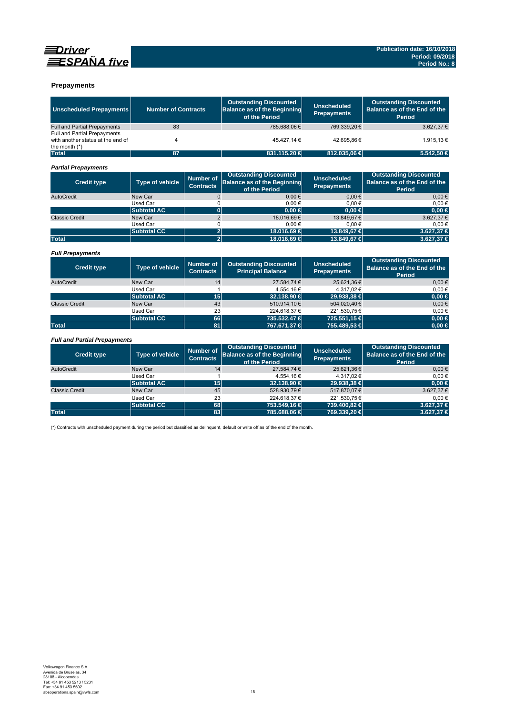

### **Prepayments**

| <b>Unscheduled Prepayments</b>                                                       | <b>Number of Contracts</b> |                                      | <b>Outstanding Discounted</b><br><b>Balance as of the Beginning</b><br>of the Period | <b>Unscheduled</b><br><b>Prepayments</b> | <b>Outstanding Discounted</b><br>Balance as of the End of the<br>Period        |
|--------------------------------------------------------------------------------------|----------------------------|--------------------------------------|--------------------------------------------------------------------------------------|------------------------------------------|--------------------------------------------------------------------------------|
| Full and Partial Prepayments                                                         | 83                         |                                      | 785.688,06€                                                                          | 769.339.20€                              | 3.627,37€                                                                      |
| Full and Partial Prepayments<br>with another status at the end of<br>the month $(*)$ | 4                          |                                      | 45.427.14 €                                                                          | 42.695.86€                               | 1.915.13 €                                                                     |
| <b>Total</b>                                                                         | 87                         |                                      | 831.115,20 €                                                                         | 812,035,06 €                             | 5.542.50 €                                                                     |
| <b>Partial Prepayments</b>                                                           |                            |                                      |                                                                                      |                                          |                                                                                |
| <b>Credit type</b>                                                                   | <b>Type of vehicle</b>     | <b>Number of</b><br><b>Contracts</b> | <b>Outstanding Discounted</b><br><b>Balance as of the Beginning</b><br>of the Period | <b>Unscheduled</b><br><b>Prepayments</b> | <b>Outstanding Discounted</b><br>Balance as of the End of the<br><b>Period</b> |
| AutoCredit                                                                           | New Car                    | $\mathsf{O}\xspace$                  | 0.00€                                                                                | 0.00€                                    | $0.00 \in$                                                                     |
|                                                                                      | <b>Used Car</b>            | 0                                    | $0,00 \in$                                                                           | $0.00 \in$                               | 0.00€                                                                          |
|                                                                                      | <b>Subtotal AC</b>         | $\overline{\mathbf{0}}$              | $0.00 \in$                                                                           | 0.00 ∈                                   | $0,00 \in$                                                                     |
| <b>Classic Credit</b>                                                                | New Car                    | $\overline{2}$                       | 18.016,69€                                                                           | 13.849.67 €                              | 3.627,37€                                                                      |
|                                                                                      | <b>Used Car</b>            | 0                                    | 0.00€                                                                                | $0.00 \in$                               | 0.00€                                                                          |
|                                                                                      | <b>Subtotal CC</b>         | $\overline{\mathbf{c}}$              | 18.016.69 €                                                                          | 13,849,67 €                              | 3.627.37 €                                                                     |
| <b>Total</b>                                                                         |                            | $\overline{2}$                       | 18.016,69 €                                                                          | 13.849,67 €                              | 3.627,37 €                                                                     |
| <b>Full Prepayments</b>                                                              |                            |                                      |                                                                                      |                                          |                                                                                |
| <b>Credit type</b>                                                                   | <b>Type of vehicle</b>     | <b>Number of</b><br><b>Contracts</b> | <b>Outstanding Discounted</b><br><b>Principal Balance</b>                            | <b>Unscheduled</b><br><b>Prepayments</b> | <b>Outstanding Discounted</b><br>Balance as of the End of the<br><b>Period</b> |
| AutoCredit                                                                           | New Car                    | 14                                   | 27.584,74€                                                                           | 25.621,36€                               | $0.00 \in$                                                                     |
|                                                                                      | Used Car                   | $\mathbf{1}$                         | 4.554,16€                                                                            | 4.317.02€                                | 0.00€                                                                          |
|                                                                                      | <b>Subtotal AC</b>         | 15                                   | 32.138.90 €                                                                          | 29.938.38 €                              | 0.00 ∈                                                                         |
| <b>Classic Credit</b>                                                                | New Car                    | 43                                   | 510.914,10€                                                                          | 504.020.40€                              | $0.00 \in$                                                                     |
|                                                                                      | Used Car                   | 23                                   | 224.618,37€                                                                          | 221.530,75€                              | $0.00 \in$                                                                     |
|                                                                                      | <b>Subtotal CC</b>         | 66                                   | 735.532,47 €                                                                         | 725.551,15 €                             | $0,00 \in$                                                                     |
| <b>Total</b>                                                                         |                            | 81                                   | 767.671,37 €                                                                         | 755.489,53 €                             | $0,00 \in$                                                                     |
|                                                                                      |                            |                                      |                                                                                      |                                          |                                                                                |
| <b>Full and Partial Prepayments</b>                                                  |                            |                                      |                                                                                      |                                          |                                                                                |
| <b>Credit type</b>                                                                   | Type of vehicle            | <b>Number of</b><br><b>Contracts</b> | <b>Outstanding Discounted</b><br><b>Balance as of the Beginning</b><br>of the Period | <b>Unscheduled</b><br><b>Prepayments</b> | <b>Outstanding Discounted</b><br>Balance as of the End of the<br><b>Period</b> |
| AutoCredit                                                                           | New Car                    | 14                                   | 27.584,74€                                                                           | 25.621,36€                               | $0.00 \in$                                                                     |
|                                                                                      | <b>Used Car</b>            | $\mathbf{1}$                         | 4.554,16€                                                                            | 4.317,02€                                | 0.00€                                                                          |
|                                                                                      | <b>Subtotal AC</b>         | 15                                   | 32.138.90 €                                                                          | 29.938.38 €                              | $0.00 \in$                                                                     |
| <b>Classic Credit</b>                                                                | New Car                    | 45                                   | 528.930.79€                                                                          | 517.870.07€                              | 3.627.37€                                                                      |
|                                                                                      | Used Car                   | 23                                   | 224.618,37€                                                                          | 221.530.75€                              | 0.00€                                                                          |
|                                                                                      | <b>Subtotal CC</b>         | 68                                   | 753.549,16 €                                                                         | 739.400,82 €                             | 3.627,37 €                                                                     |
| <b>Total</b>                                                                         |                            | 83                                   | 785.688,06 €                                                                         | 769.339,20 €                             | 3.627,37 €                                                                     |

(\*) Contracts with unscheduled payment during the period but classified as delinquent, default or write off as of the end of the month.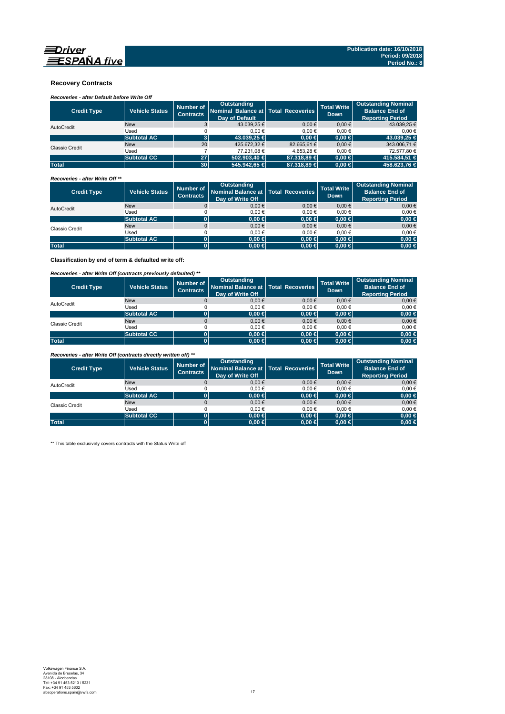

### **Recovery Contracts**

## *Recoveries - after Default before Write Off*

| <b>Credit Type</b>    | <b>Vehicle Status</b> | Number of<br><b>Contracts</b> | Outstanding<br>Nominal Balance at Total Recoveries<br>Day of Default |             | <b>Total Write</b><br>Down. | <b>Outstanding Nominal</b><br><b>Balance End of</b><br><b>Reporting Period</b> |
|-----------------------|-----------------------|-------------------------------|----------------------------------------------------------------------|-------------|-----------------------------|--------------------------------------------------------------------------------|
| AutoCredit            | <b>New</b>            |                               | 43.039.25 €                                                          | $0.00 \in$  | $0.00 \in$                  | 43.039.25 €                                                                    |
|                       | Used                  |                               | 0.00€                                                                | 0.00€       | 0.00€                       | 0.00€                                                                          |
|                       | <b>Subtotal AC</b>    | 31                            | 43.039.25 €                                                          | $0.00 \in$  | $0.00 \in$                  | 43,039.25 €                                                                    |
| <b>Classic Credit</b> | <b>New</b>            | 20                            | 425.672.32 €                                                         | 82,665,61 € | $0.00 \in$                  | 343,006.71 €                                                                   |
|                       | Used                  |                               | 77.231.08 €                                                          | 4.653.28 €  | $0.00 \in$                  | 72.577.80 €                                                                    |
|                       | <b>Subtotal CC</b>    | 27 <sup>1</sup>               | $502.903.40 \in$                                                     | 87.318,89 € | $0.00 \in$                  | 415.584.51 €                                                                   |
| <b>Total</b>          |                       | 30 <sup>1</sup>               | 545,942.65 €                                                         | 87,318,89 € | $0.00 \in$                  | 458,623,76 €                                                                   |

#### *Recoveries - after Write Off \*\**

| <b>Credit Type</b> | <b>Vehicle Status</b> | Number of<br><b>Contracts</b> | <b>Outstanding</b><br>Nominal Balance at Total Recoveries<br>Day of Write Off |            | <b>Total Write</b><br><b>Down</b> | <b>Outstanding Nominal</b><br><b>Balance End of</b><br><b>Reporting Period</b> |
|--------------------|-----------------------|-------------------------------|-------------------------------------------------------------------------------|------------|-----------------------------------|--------------------------------------------------------------------------------|
| AutoCredit         | <b>New</b>            | 0                             | $0,00 \in$                                                                    | 0.00€      | $0,00 \in$                        | $0,00 \in$                                                                     |
|                    | Used                  |                               | 0.00€                                                                         | 0.00€      | 0.00€                             | $0.00 \in$                                                                     |
|                    | <b>Subtotal AC</b>    |                               | $0.00 \in$                                                                    | $0,00 \in$ | $0.00 \in$                        | $0,00 \in$                                                                     |
| Classic Credit     | <b>New</b>            |                               | $0,00 \in$                                                                    | $0.00 \in$ | $0,00 \in$                        | $0,00 \in$                                                                     |
|                    | Used                  |                               | 0.00€                                                                         | 0.00€      | 0.00€                             | 0,00€                                                                          |
|                    | <b>Subtotal AC</b>    | 01                            | $0.00 \in$                                                                    | $0,00 \in$ | $0.00 \in$                        | $0,00 \in$                                                                     |
| <b>Total</b>       |                       |                               | $0.00 \in$                                                                    | $0,00 \in$ | $0.00 \in$                        | $0,00 \in$                                                                     |

**Classification by end of term & defaulted write off:**

### *Recoveries - after Write Off (contracts previously defaulted) \*\**

| <b>Credit Type</b> | <b>Vehicle Status</b> | Number of<br>Contracts | <b>Outstanding</b><br>Nominal Balance at Total Recoveries<br>Day of Write Off |            | <b>Total Write</b><br><b>Down</b> | <b>Outstanding Nominal</b><br><b>Balance End of</b><br><b>Reporting Period</b> |
|--------------------|-----------------------|------------------------|-------------------------------------------------------------------------------|------------|-----------------------------------|--------------------------------------------------------------------------------|
| AutoCredit         | <b>New</b>            |                        | 0.00€                                                                         | $0.00 \in$ | 0.00€                             | $0,00 \in$                                                                     |
|                    | Used                  |                        | 0.00€                                                                         | 0.00€      | 0.00€                             | $0.00 \in$                                                                     |
|                    | <b>Subtotal AC</b>    |                        | $0.00 \in$                                                                    | $0,00 \in$ | $0.00 \in$                        | $0,00 \in$                                                                     |
| Classic Credit     | <b>New</b>            |                        | 0.00€                                                                         | $0.00 \in$ | 0.00€                             | $0,00 \in$                                                                     |
|                    | Used                  |                        | 0.00€                                                                         | 0.00€      | 0.00€                             | $0.00 \in$                                                                     |
|                    | <b>Subtotal CC</b>    |                        | 0.00 ∈                                                                        | $0,00 \in$ | $0.00 \in$                        | 0,00 €                                                                         |
| <b>Total</b>       |                       |                        | $0,00 \in$                                                                    | $0,00 \in$ | $0.00 \in$                        | $0,00 \in$                                                                     |

*Recoveries - after Write Off (contracts directly written off) \*\**

| <b>Credit Type</b> | <b>Vehicle Status</b> | Number of<br><b>Contracts</b> | Outstanding<br>Nominal Balance at   Total Recoveries<br>Day of Write Off |            | <b>Total Write</b><br><b>Down</b> | <b>Outstanding Nominal</b><br><b>Balance End of</b><br><b>Reporting Period</b> |
|--------------------|-----------------------|-------------------------------|--------------------------------------------------------------------------|------------|-----------------------------------|--------------------------------------------------------------------------------|
| AutoCredit         | <b>New</b>            |                               | 0.00€                                                                    | $0.00 \in$ | 0.00€                             | $0,00 \in$                                                                     |
|                    | Used                  |                               | 0.00€                                                                    | 0.00€      | 0.00€                             | $0.00 \in$                                                                     |
|                    | <b>Subtotal AC</b>    |                               | $0.00 \in$                                                               | $0,00 \in$ | $0,00 \in$                        | $0,00 \in$                                                                     |
| Classic Credit     | <b>New</b>            |                               | 0.00€                                                                    | $0.00 \in$ | 0.00€                             | $0,00 \in$                                                                     |
|                    | Used                  |                               | 0.00€                                                                    | 0.00€      | 0.00€                             | $0.00 \in$                                                                     |
|                    | <b>Subtotal CC</b>    | 01                            | $0.00 \in$                                                               | $0.00 \in$ | $0.00 \in$                        | $0,00 \in$                                                                     |
| <b>Total</b>       |                       | Юľ                            | $0.00 \in$                                                               | $0,00 \in$ | $0.00 \in$                        | $0,00 \in$                                                                     |

\*\* This table exclusively covers contracts with the Status Write off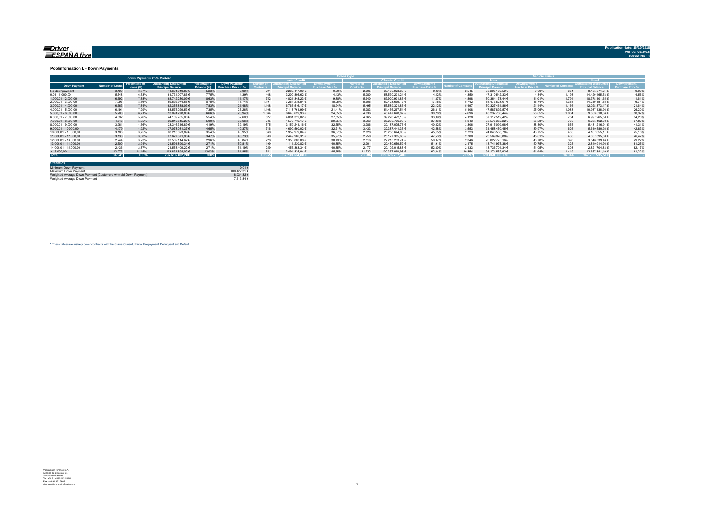#### <u>=Driver</u> ESPAÑA five

#### **Poolinformation I. - Down Payments**

|                        |                |                            | <b>Down Payments Total Porfolio</b>                |                              |                                      |                    |                  |        |                       |                       |                                        |                  | Vehirle Stat         |             |               | Downpavment /<br><b>Irchase Price %</b><br>0.00%<br>4,56%<br>11.61%<br>16.74%<br>21,64%<br>26,20%<br>30,37%<br>34,20%<br>37,87% |        |  |
|------------------------|----------------|----------------------------|----------------------------------------------------|------------------------------|--------------------------------------|--------------------|------------------|--------|-----------------------|-----------------------|----------------------------------------|------------------|----------------------|-------------|---------------|---------------------------------------------------------------------------------------------------------------------------------|--------|--|
|                        |                |                            |                                                    |                              |                                      | <b>Auto Credit</b> |                  |        |                       | <b>Classic Credit</b> |                                        |                  | lew                  |             |               | <b>Hood</b>                                                                                                                     |        |  |
| <b>Down Payment</b>    | umber of Loan: | Percentage of<br>Loans (%) | Outstanding Discounted<br><b>Principal Balance</b> | Percentage of<br>Balance (%) | Down Payment/<br>Purchase Price in % |                    | <b>Iscounted</b> |        | lumber c<br>Contracts |                       | Downpayment<br><b>Purchase Price 9</b> | mber of Contract | ia Discount          | Downpayment | mber of Conti | Princinal                                                                                                                       |        |  |
| No downpayment         | 3.199          | 3.77%                      | 41.691.040.80 €                                    | 5.23%                        | 0.00%                                | 294                | 2.285.117.00 €   | 0.00%  | 2.905                 | 39.405.923.80 €       | 0.00%                                  | 2.545            | 33.205.169.59 €      | 0.00%       | 654           | 8.485.871.21 €                                                                                                                  |        |  |
| $0.01 - 1.000.00$      | 5.548          | 6.53%                      | 61.731.007.86 €                                    | 7.75%                        | 4.39%                                | 461                | 3.200.806,62 €   | 4,13%  | 5.080                 | 58.530.201.24 €       | 4.42%                                  | 4.350            | 47.310.542.33 €      | 4.34%       | 1.198         | 14.420.465,53 €                                                                                                                 |        |  |
| $1.000.01 - 2.000.00$  | 6.692          | 7.88%                      | 68.742.280.09 €                                    | 8.63%                        | 11.17%                               | 752                | 4.821.348.23 €   | 9.88%  | 5.940                 | 63.920.931.86 €       | 11.37%                                 | 4.898            | 50.364.178.44 €      | 11.01%      | 1.794         | 18.378.101.65 €                                                                                                                 |        |  |
| 2.000.01 - 3.000.00    | 7.097          | 8.36%                      | 69.692.974.66 €                                    | 8.75%                        | 16.74%                               | 1.191              | 7.264.275.54 €   | 15.05% | 5.906                 | 62.428.699.12 €       | 17.15%                                 | 5.742            | 55.473.823.01 €      | 16.74%      | 1.355         | 14.219.151.65 €                                                                                                                 |        |  |
| $3.000.01 - 4.000.00$  | 6.663          | 7.84%                      | 62.355.838.03 €                                    | 7.83%                        | 21,48%                               | 1.168              | 6.766.516.17 €   | 18.94% | 5.495                 | 55.589.321.86 €       | 22.12%                                 | 5.497            | 50.327.464.86 €      | 21.44%      | 1.166         | 12.028.373.17 €                                                                                                                 |        |  |
| 4.000.01 - 5.000.00    | 6.191          | 7.29%                      | 58.575.029.53 €                                    | 7.35%                        | 25.26%                               | 1.108              | 7.118.761.99 €   | 21.41% | 5.083                 | 51.456.267.54 €       | 26.31%                                 | 5.108            | 47.587.892.57 €      | 25.06%      | 1.083         | 10.987.136.96 €                                                                                                                 |        |  |
| $5.000.01 - 6.000.00$  | 5.700          | 6.71%                      | 53.091.278.80 €                                    | 6.66%                        | 28.94%                               | 1.064              | 6.643.629.93 €   | 24.35% | 4.636                 | 46,447,648.87 €       | 30.28%                                 | 4.696            | 43.237.760.44 €      | 28.65%      | 1.004         | 9.853.518.36 6                                                                                                                  |        |  |
| 6.000.01 - 7.000.00    | 4.892          | 5.76%                      | 44.109.785.00 €                                    | 5.54%                        | 32.60%                               | 827                | 4.881.312.82 €   | 27.55% | 4.065                 | 39.228.472.18 €       | 33.89%                                 | 4.128            | 37.112.519.42 €      | 32.32%      | 764           | 6.997.265.58 €                                                                                                                  |        |  |
| 7.000.01 - 8.000.00    | 4.548          | 5.35%                      | 39.810.515.20 €                                    | 5,00%                        | 35.66%                               | 785                | 4.579.719.17 €   | 29.65% | 3.763                 | 35.230.796.03 €       | 37.26%                                 | 3.843            | 33.575.352.22 €      | 35.28%      | 705           | 6.235.162.98 €                                                                                                                  |        |  |
| 8.000.01 - 9.000.00    | 3.961          | 4.66%                      | 33.346.316.89 €                                    | 4.19%                        | 39.19%                               | 575                | 3.159.241.16 €   | 32.55% | 3.386                 | 30.187.075.73 €       | 40.62%                                 | 3.306            | 27.915.099.98 €      | 38.80%      | 655           | 5.431.216.91 €                                                                                                                  | 41.31% |  |
| $9.000.01 - 10.000.00$ | 4.179          | 4.92%                      | 37.078.031.37 €                                    | 4.65%                        | 40.37%                               | 746                | 4.690.590.02 €   | 32.71% | 3.433                 | 32.387.441.35 €       | 42.58%                                 | 3.553            | 31.458.450.45 €      | 39.97%      | 626           | 5.619.580.92 €                                                                                                                  | 42.83% |  |
| 10.000.01 - 11.000.00  | 3.188          | 3.75%                      | 28.213.623.89 €                                    | 3.54%                        | 43.95%                               | 360                | 1.959.979.84 €   | 36.37% | 2.828                 | 26.253.644.05 €       | 45.15%                                 | 2.723            | 24.046.568.78 €      | 43.75%      | 465           | 4.167.055.11 €                                                                                                                  | 45.16% |  |
| 11.000.01 - 12.000.00  | 3.130          | 3.68%                      | 27.627.371.96 €                                    | 3.47%                        | 45.73%                               | 380                | 2.449.986.31 €   | 35.97% | 2.750                 | 25.177.385.65 €       | 47.53%                                 | 2.700            | 23.569.976.88 €      | 45.61%      | 430           | 4.057.395.08 €                                                                                                                  | 46.47% |  |
| 12.000.01 - 13.000.00  | 2.744          | 3.23%                      | 23.569.114.62 €                                    | 2.96%                        | 48.84%                               | 228                | 1.355.880.88 €   | 38.49% | 2.516                 | 22.213.233.74 €       | 50.07%                                 | 2.346            | 20.022.775.16 €      | 48.78%      | 398           | 3.546.339.46 €                                                                                                                  | 49.22% |  |
| 13.000.01 - 14.000.00  | 2.500          | 2.94%                      | 21.591.890.34 €                                    | 2.71%                        | 50.81%                               | 199                | 1.111.230.82 €   | 40.85% | 2.301                 | 20.480.659.52 €       | 51.91%                                 | 2.175            | 18.741.975.38 €      | 50.75%      | 325           | 2.849.914.96 6                                                                                                                  | 51,25% |  |
| 14.000.01 - 15.000.00  | 2.436          | 2.87%                      | 21.558.409.22 €                                    | 2.71%                        | 51.19%                               | 259                | 1.456.393.34 €   | 40.85% | 2.177                 | 20.102.015.88 €       | 52.80%                                 | 2.133            | 18.736.704.34 €      | 51.05%      | 303           | 2.821.704.88 €                                                                                                                  | 52.17% |  |
| >15.000,00             | 12.273         | 14.45%                     | 103.831.894.02 €                                   | 13.03%                       | 61.85%                               | $55^{\circ}$       | 3.494.825.04 €   | 45.65% | 11.722                | 100.337.068.98 €      | 62.84%                                 | 10.854           | 91.174.552.92 €      | 61.94%      | 1.419         | 12.657.341,10 €                                                                                                                 | 61.22% |  |
| <b>Total</b>           | 84.941         | 100%                       | 796.616.402.28 €                                   | 100%                         |                                      | 0.955              | 67.239.614.88€   |        | 73,986                | 729,376,787,40 €      |                                        | 70.597           | $653.860.806,77 \in$ |             | 14.344        | 142.755.595.51 €                                                                                                                |        |  |

| <b>Statistics</b>                                              |                       |
|----------------------------------------------------------------|-----------------------|
| Minimum Down Payment                                           | $0.01 \in$            |
| Maximum Down Payment                                           | 100 422 31 $\epsilon$ |
| Weighted Average Down Payment (Customers who did Down Payment) | 8.034.32 €            |
| Weighted Average Down Payment                                  | 7613846               |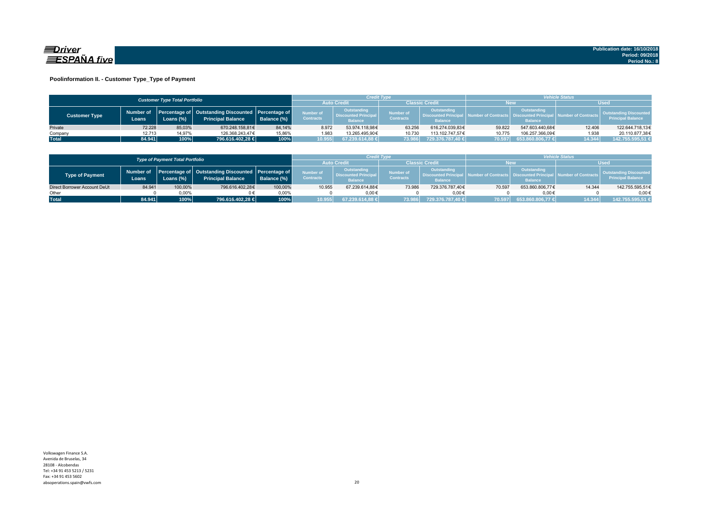

#### **Poolinformation II. - Customer Type\_Type of Payment**

|                      |                     | <b>Customer Type Total Portfolio</b> |                                                                                    |             |                               |                                                              | Credit Type                          |                                                             | <b>Vehicle Status</b> |                                                                          |                                |                                                           |
|----------------------|---------------------|--------------------------------------|------------------------------------------------------------------------------------|-------------|-------------------------------|--------------------------------------------------------------|--------------------------------------|-------------------------------------------------------------|-----------------------|--------------------------------------------------------------------------|--------------------------------|-----------------------------------------------------------|
|                      |                     |                                      |                                                                                    |             | <b>Auto Credi</b>             |                                                              |                                      | Classic Credit                                              |                       | <b>New</b><br><b>Used</b>                                                |                                |                                                           |
| <b>Customer Type</b> | Number of<br>Loans. | Loans (%)                            | Percentage of   Outstanding Discounted   Percentage of<br><b>Principal Balance</b> | Balance (%) | Number of<br><b>Contracts</b> | Outstanding<br><b>Discounted Principal</b><br><b>Balance</b> | <b>Number of</b><br><b>Contracts</b> | Outstanding<br><b>Discounted Principa</b><br><b>Balance</b> |                       | Outstanding<br>umber of Contracts丨 Discounted Principa<br><b>Balance</b> | <b>All Number of Contracts</b> | <b>Quistanding Discounted</b><br><b>Principal Balance</b> |
| Private              | 72.228              | 85.03%                               | 670.248.158.81€                                                                    | 84.14%      | 8.972                         | 53.974.118.98€                                               | 63.256                               | 616.274.039.83€                                             | 59.822                | 547.603.440.68€                                                          | 12.406                         | 122.644.718,13€                                           |
| Company              | 12.713              | 14,97%                               | 126.368.243.47€                                                                    | 15,86%      | 1.983                         | 13.265.495.90€                                               | 10.730                               | 113.102.747.57€                                             | 10.775                | 106.257.366.09€                                                          | 1.938                          | 20.110.877,38€                                            |
| <b>Total</b>         | 84.941              | 100%                                 | 796.616.402,28 €                                                                   | 100%        | 10.955                        | 67.239.614,88 €                                              | 73.986                               | 729.376.787.40 €                                            | 70.597                | 653.860.806,77 €                                                         | 14.344                         | 142.755.595,51 €                                          |

|                              |        | <b>Type of Payment Total Portfolio</b> |                                                                                          |                |                                      | Credit Type                                                 |                                      |                                                                  | <b>/ehicle Status</b> |                                                         |                            |                                                           |
|------------------------------|--------|----------------------------------------|------------------------------------------------------------------------------------------|----------------|--------------------------------------|-------------------------------------------------------------|--------------------------------------|------------------------------------------------------------------|-----------------------|---------------------------------------------------------|----------------------------|-----------------------------------------------------------|
|                              |        | <b>Auto Credi</b>                      |                                                                                          | Classic Credit |                                      | <b>New</b>                                                  |                                      |                                                                  |                       |                                                         |                            |                                                           |
| <b>Type of Payment</b>       | Loans  | Loans (%)                              | Number of Percentage of Outstanding Discounted Percentage of<br><b>Principal Balance</b> | Balance (%)    | <b>Number of</b><br><b>Contracts</b> | Outstanding<br><b>Discounted Principa</b><br><b>Balance</b> | <b>Number of</b><br><b>Contracts</b> | <b>Outstanding</b><br><b>Discounted Princi</b><br><b>Balance</b> |                       | Outstanding<br><b>Discounted Prin</b><br><b>Balance</b> | <b>Jumber of Contracts</b> | <b>Outstanding Discounted</b><br><b>Principal Balance</b> |
| Direct Borrower Account DeUt | 84.941 | 100,00%                                | 796.616.402.28€                                                                          | 100,00%        | 10.955                               | 67.239.614.88€                                              | 73.986                               | 729.376.787.40€                                                  | 70.597                | 653.860.806.77€                                         | 14.344                     | 142.755.595,51€                                           |
| Other                        |        | 0.00%                                  |                                                                                          | $0.00\%$       |                                      | $0.00 \in$                                                  |                                      | 0.00€                                                            |                       | $0.00 \in$                                              |                            | $0.00 \in$                                                |
| <b>Total</b>                 | 84.941 | 100%                                   | 796.616.402,28 €                                                                         | 100%           | 10.955                               | 67.239.614,88 €                                             | 73.986                               | 729.376.787,40 €                                                 | 70.597                | 653.860.806,77 €                                        | 14.344                     | 142.755.595.51 €                                          |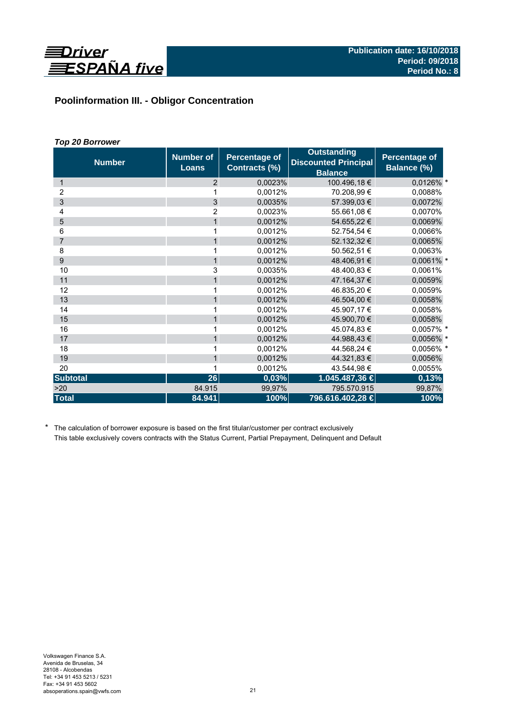

# **Poolinformation III. - Obligor Concentration**

# *Top 20 Borrower*

| <b>Number</b>   | <b>Number of</b><br><b>Loans</b> | <b>Percentage of</b><br>Contracts (%) | <b>Outstanding</b><br><b>Discounted Principal</b><br><b>Balance</b> | Percentage of<br>Balance (%) |
|-----------------|----------------------------------|---------------------------------------|---------------------------------------------------------------------|------------------------------|
| 1               | 2                                | 0,0023%                               | 100.496,18€                                                         | $0,0126\%$ *                 |
| 2               | 1                                | 0,0012%                               | 70.208,99 €                                                         | 0,0088%                      |
| 3               | $\overline{3}$                   | 0,0035%                               | 57.399,03 €                                                         | 0,0072%                      |
| 4               | 2                                | 0,0023%                               | 55.661,08 €                                                         | 0,0070%                      |
| 5               | $\mathbf{1}$                     | 0.0012%                               | 54.655,22 €                                                         | 0,0069%                      |
| 6               | 1                                | 0,0012%                               | 52.754,54 €                                                         | 0,0066%                      |
| $\overline{7}$  | $\mathbf{1}$                     | 0,0012%                               | 52.132,32 €                                                         | 0,0065%                      |
| 8               | 1                                | 0,0012%                               | 50.562,51 €                                                         | 0,0063%                      |
| 9               | $\mathbf{1}$                     | 0,0012%                               | 48.406,91 €                                                         | 0,0061% *                    |
| 10              | 3                                | 0,0035%                               | 48.400,83 €                                                         | 0,0061%                      |
| 11              | 1                                | 0,0012%                               | 47.164,37 €                                                         | 0,0059%                      |
| 12              | 1                                | 0,0012%                               | 46.835,20 €                                                         | 0,0059%                      |
| 13              | $\mathbf{1}$                     | 0,0012%                               | 46.504,00 €                                                         | 0,0058%                      |
| 14              | 1                                | 0,0012%                               | 45.907,17 €                                                         | 0,0058%                      |
| 15              | $\mathbf{1}$                     | 0,0012%                               | 45.900,70 €                                                         | 0,0058%                      |
| 16              | 1                                | 0,0012%                               | 45.074.83 €                                                         | 0,0057% *                    |
| 17              | $\mathbf{1}$                     | 0,0012%                               | 44.988,43 €                                                         | 0,0056% *                    |
| 18              | 1                                | 0,0012%                               | 44.568,24 €                                                         | 0,0056% *                    |
| 19              | $\mathbf{1}$                     | 0,0012%                               | 44.321,83 €                                                         | 0,0056%                      |
| 20              | 1                                | 0,0012%                               | 43.544,98 €                                                         | 0,0055%                      |
| <b>Subtotal</b> | 26                               | 0,03%                                 | 1.045.487,36 €                                                      | 0,13%                        |
| >20             | 84.915                           | 99,97%                                | 795.570.915                                                         | 99,87%                       |
| <b>Total</b>    | 84.941                           | 100%                                  | 796.616.402,28 €                                                    | 100%                         |

\* The calculation of borrower exposure is based on the first titular/customer per contract exclusively This table exclusively covers contracts with the Status Current, Partial Prepayment, Delinquent and Default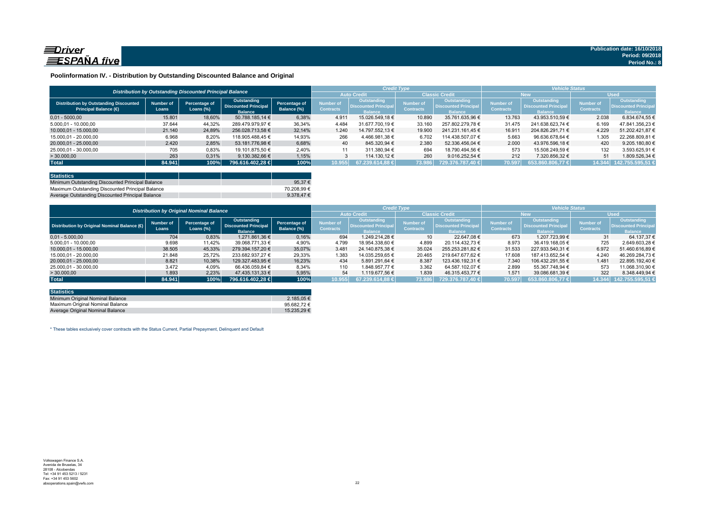

### **Poolinformation IV. - Distribution by Outstanding Discounted Balance and Original**

|                                                                              |                    |                                                          |                                                              |                              |                               | <b>Credit Type</b>                                          |                                      |                                                              | <b>Vehicle Status</b>                |                                                                    |                                      |                                                                    |
|------------------------------------------------------------------------------|--------------------|----------------------------------------------------------|--------------------------------------------------------------|------------------------------|-------------------------------|-------------------------------------------------------------|--------------------------------------|--------------------------------------------------------------|--------------------------------------|--------------------------------------------------------------------|--------------------------------------|--------------------------------------------------------------------|
|                                                                              |                    | Distribution by Outstanding Discounted Principal Balance |                                                              |                              |                               | <b>Auto Credit</b>                                          |                                      | <b>Classic Credit</b>                                        |                                      | <b>New</b>                                                         | <b>Used</b>                          |                                                                    |
| <b>Distribution by Outstanding Discounted</b><br><b>Principal Balance (€</b> | Number of<br>Loans | Percentage of<br>Loans $(\%)$                            | Outstanding<br><b>Discounted Principal</b><br><b>Balance</b> | Percentage of<br>Balance (%) | Number of<br><b>Contracts</b> | <b>Outstanding</b><br><b>Discounted Principa</b><br>Ralance | <b>Number of</b><br><b>Contracts</b> | <b>Outstanding</b><br><b>Discounted Principal</b><br>Ralance | <b>Number of</b><br><b>Contracts</b> | <b>Outstanding</b><br><b>Discounted Principa</b><br><b>Ralance</b> | <b>Number of</b><br><b>Contracts</b> | <b>Outstanding</b><br><b>Discounted Principa</b><br><b>Ralance</b> |
| $0.01 - 5000.00$                                                             | 15.801             | 18,60%                                                   | 50.788.185,14 €                                              | 6,38%                        | 4.911                         | 15.026.549.18 €                                             | 10.890                               | 35.761.635.96 €                                              | 13.763                               | 43.953.510.59 €                                                    | 2.038                                | 6.834.674.55 €                                                     |
| 5.000.01 - 10.000.00                                                         | 37.644             | 44.32%                                                   | 289.479.979.97 €                                             | 36.34%                       | 4.484                         | 31.677.700.19 €                                             | 33.160                               | 257.802.279.78 €                                             | 31.475                               | 241.638.623.74 €                                                   | 6.169                                | 47.841.356.23 €                                                    |
| 10.000.01 - 15.000.00                                                        | 21.140             | 24,89%                                                   | 256.028.713.58 €                                             | 32.14%                       | 1.240                         | 14.797.552.13 €                                             | 19,900                               | 241.231.161.45 €                                             | 16.911                               | 204.826.291.71 €                                                   | 4.229                                | 51.202.421.87 €                                                    |
| 15.000.01 - 20.000.00                                                        | 6.968              | 8,20%                                                    | 118.905.488.45 €                                             | 14,93%                       | 266                           | 4.466.981.38 €                                              | 6.702                                | 114.438.507.07 €                                             | 5.663                                | 96.636.678.64 €                                                    | 1.305                                | 22.268.809.81 €                                                    |
| 20.000.01 - 25.000.00                                                        | 2.420              | 2.85%                                                    | 53.181.776.98 €                                              | 6.68%                        | 40                            | 845.320.94 €                                                | 2.380                                | 52.336.456.04 €                                              | 2.000                                | 43.976.596.18 €                                                    | 420                                  | 9.205.180.80 €                                                     |
| 25.000,01 - 30.000,00                                                        | 705                | 0,83%                                                    | 19.101.875.50 €                                              | 2,40%                        | 11                            | 311.380.94 €                                                | 694                                  | 18.790.494.56 €                                              | 573                                  | 15.508.249.59 €                                                    | 132                                  | 3.593.625.91 €                                                     |
| > 30.000,00                                                                  | 263                | 0,31%                                                    | 9.130.382.66 €                                               | 1.15%                        |                               | 114.130.12 €                                                | 260                                  | 9.016.252.54 €                                               | 212                                  | 7.320.856.32 €                                                     | 51                                   | $.809.526.34 \in$                                                  |
| <b>Total</b>                                                                 | 84.941             | 100%                                                     | 796.616.402.28 €                                             | 100%                         | 10.955                        | $67.239.614.88 \in$                                         | 73.986                               | 729.376.787.40 €                                             | 70.597                               | 653.860.806.77 €                                                   | 14.344                               | 142.755.595.51 €                                                   |

| <b>Statistics</b>                                |  |                     |
|--------------------------------------------------|--|---------------------|
| Minimum Outstanding Discounted Principal Balance |  | 95.37 $\epsilon$    |
| Maximum Outstanding Discounted Principal Balance |  | 70.208.99 €         |
| Average Outstanding Discounted Principal Balance |  | 9.378.47 $\epsilon$ |

|                                                        | <b>Distribution by Original Nominal Balance</b> |                               |                                                              |                              |                               | <b>Credit Type</b>                                                  |                                      |                                                              |                                      | <b>Vehicle Status</b>                                               |                               |                                                             |  |
|--------------------------------------------------------|-------------------------------------------------|-------------------------------|--------------------------------------------------------------|------------------------------|-------------------------------|---------------------------------------------------------------------|--------------------------------------|--------------------------------------------------------------|--------------------------------------|---------------------------------------------------------------------|-------------------------------|-------------------------------------------------------------|--|
|                                                        |                                                 |                               |                                                              |                              |                               | <b>Auto Credit</b>                                                  |                                      | <b>Classic Credit</b>                                        |                                      | <b>New</b>                                                          |                               | <b>Used</b>                                                 |  |
| Distribution by Original Nominal Balance ( $\bigoplus$ | <b>Number of</b><br>Loans                       | Percentage of<br>Loans $(\%)$ | Outstanding<br><b>Discounted Principal</b><br><b>Balance</b> | Percentage of<br>Balance (%) | Number of<br><b>Contracts</b> | <b>Outstanding</b><br><b>Discounted Principal</b><br><b>Balance</b> | <b>Number of</b><br><b>Contracts</b> | Outstanding<br><b>Discounted Principal</b><br><b>Balance</b> | <b>Number of</b><br><b>Contracts</b> | <b>Outstanding</b><br><b>Discounted Principal</b><br><b>Balance</b> | Number of<br><b>Contracts</b> | <b>Outstanding</b><br>Discounted Principa<br><b>Balance</b> |  |
| $0.01 - 5.000.00$                                      | 704                                             | 0,83%                         | 1.271.861.36 €                                               | 0,16%                        | 694                           | 1.249.214.28 €                                                      | 10 <sup>1</sup>                      | 22,647,08 €                                                  | 673                                  | 1.207.723.99 €                                                      | 31                            | 64.137.37 €                                                 |  |
| 5.000,01 - 10.000,00                                   | 9.698                                           | 11,42%                        | 39.068.771.33 €                                              | 4,90%                        | 4.799                         | 18.954.338.60 €                                                     | 4.899                                | 20.114.432.73 €                                              | 8.973                                | 36.419.168.05 €                                                     | 725                           | 2.649.603.28 €                                              |  |
| 10.000.01 - 15.000.00                                  | 38.505                                          | 45,33%                        | 279.394.157.20 €                                             | 35,07%                       | 3.481                         | 24.140.875.38 €                                                     | 35.024                               | 255.253.281.82 €                                             | 31.533                               | 227.933.540.31 €                                                    | 6.972                         | 51.460.616.89 €                                             |  |
| 15.000.01 - 20.000.00                                  | 21.848                                          | 25,72%                        | 233.682.937.27 €                                             | 29,33%                       | 1.383                         | 14.035.259.65 €                                                     | 20.465                               | 219.647.677.62 €                                             | 17.608                               | 187.413.652.54 €                                                    | 4.240                         | 46.269.284.73 €                                             |  |
| 20.000.01 - 25.000.00                                  | 8.821                                           | 10,38%                        | 129.327.483.95 €                                             | 16.23%                       | 434                           | 5.891.291.64 €                                                      | 8.387                                | 123.436.192.31 €                                             | 7.340                                | 106.432.291.55 €                                                    | 1.481                         | 22.895.192.40 €                                             |  |
| 25.000.01 - 30.000.00                                  | 3.472                                           | 4,09%                         | 66.436.059.84 €                                              | 8.34%                        | 110                           | 1.848.957.77 €                                                      | 3.362                                | 64.587.102.07 €                                              | 2.899                                | 55.367.748.94 €                                                     | 573                           | 11.068.310.90 €                                             |  |
| >30.000,00                                             | 1.893                                           | 2,23%                         | 47.435.131.33 €                                              | 5,95%                        | 54                            | 1.119.677.56 €                                                      | 1.839                                | 46.315.453.77 €                                              | 1.571                                | 39.086.681.39 €                                                     | 322                           | 8.348.449.94 €                                              |  |
| <b>Total</b>                                           | 84.941                                          | 100%                          | 796.616.402.28 €                                             | 100%                         | 10.955                        | $67.239.614.88 \in \mathbb{R}$                                      | 73.986                               | 729.376.787.40 €                                             | 70.597                               | 653.860.806.77 €                                                    |                               | 14.344 142.755.595,51                                       |  |

| <b>Statistics</b>                |                 |
|----------------------------------|-----------------|
| Minimum Original Nominal Balance | 2.185.05 €      |
| Maximum Original Nominal Balance | 95.682.72 $\in$ |
| Average Original Nominal Balance | 15.235.29 €     |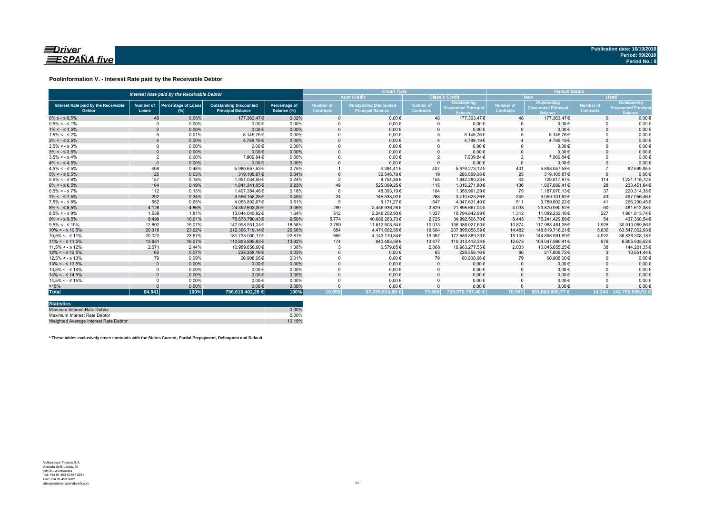

#### **Poolinformation V. - Interest Rate paid by the Receivable Debtor**

| Interest Rate paid by the Receivable Debtor           |                           |                                      |                                                           |                              | <b>Credit Type</b>                   |                                                           |                               |                                                             | <b>Vehicle Status</b>  |                                                             |                               |                                                            |
|-------------------------------------------------------|---------------------------|--------------------------------------|-----------------------------------------------------------|------------------------------|--------------------------------------|-----------------------------------------------------------|-------------------------------|-------------------------------------------------------------|------------------------|-------------------------------------------------------------|-------------------------------|------------------------------------------------------------|
|                                                       |                           |                                      |                                                           |                              |                                      | <b>Auto Credit</b>                                        |                               | <b>Classic Credit</b>                                       |                        | <b>New</b>                                                  | <b>Used</b>                   |                                                            |
| Interest Rate paid by the Receivable<br><b>Debtor</b> | <b>Number of</b><br>Loans | <b>Percentage of Loans</b><br>$(\%)$ | <b>Outstanding Discounted</b><br><b>Principal Balance</b> | Percentage of<br>Balance (%) | <b>Number of</b><br><b>Contracts</b> | <b>Outstanding Discounted</b><br><b>Principal Balance</b> | Number of<br><b>Contracts</b> | <b>Outstanding</b><br><b>Discounted Principa</b><br>Balance | Number of<br>Contracts | Outstanding<br><b>Discounted Principa</b><br><b>Balance</b> | Number of<br><b>Contracts</b> | Outstanding<br><b>Discounted Princip</b><br><b>Balance</b> |
| $0\% \leq -\leq 0.5\%$                                | 48                        | 0.06%                                | 177,363,47€                                               | 0,02%                        |                                      | $0.00 \in$                                                | 48                            | 177.363,47€                                                 | 48                     | 177.363,47€                                                 | $\Omega$                      | $0,00 \in$                                                 |
| $0.5\% < -5.1\%$                                      | $\Omega$                  | 0,00%                                | $0.00 \in$                                                | 0,00%                        |                                      | $0,00 \in$                                                |                               | $0,00 \in$                                                  |                        | $0,00 \in$                                                  |                               | $0,00 \in$                                                 |
| $1\% < - \leq 1.5\%$                                  |                           | 0,00%                                | $0.00 \in$                                                | 0,00%                        |                                      | $0.00 \in$                                                |                               | $0.00 \in$                                                  | $\Omega$               | $0.00 \in$                                                  |                               | $0.00 \in$                                                 |
| $1.5\% < -5.2\%$                                      |                           | 0.01%                                | 8.145.76€                                                 | 0.00%                        |                                      | $0.00 \in$                                                |                               | 8.145.76€                                                   | 5                      | 8.145.76€                                                   |                               | $0.00 \in$                                                 |
| $2\% < - \leq 2.5\%$                                  |                           | 0,00%                                | 4.789.19€                                                 | 0,00%                        |                                      | $0.00 \in$                                                |                               | 4.789.19€                                                   |                        | 4.789.19€                                                   |                               | $0.00 \in$                                                 |
| $2.5\% < -5.3\%$                                      | $\Omega$                  | 0,00%                                | $0.00 \in$                                                | 0,00%                        |                                      | $0,00 \in$                                                |                               | $0.00 \in$                                                  |                        | $0.00 \in$                                                  |                               | $0,00 \in$                                                 |
| $3\% < - \leq 3.5\%$                                  | $\Omega$                  | 0,00%                                | $0,00 \in$                                                | 0,00%                        |                                      | $0,00 \in$                                                |                               | $0,00 \in$                                                  | $\Omega$               | $0,00 \in$                                                  |                               | $0,00 \in$                                                 |
| $3.5\% < -5.4\%$                                      | $\overline{2}$            | 0,00%                                | 7.909.84€                                                 | 0,00%                        |                                      | $0.00 \in$                                                | $\overline{2}$                | 7.909,84€                                                   | $\overline{2}$         | 7.909,84€                                                   |                               | $0,00 \in$                                                 |
| $4\% < - \leq 4.5\%$                                  | $\Omega$                  | 0.00%                                | $0.00 \in$                                                | 0.00%                        |                                      | $0.00 \in$                                                | $\Omega$                      | $0.00 \in$                                                  | $\Omega$               | $0.00 \in$                                                  |                               | $0,00 \in$                                                 |
| $4.5\% < -5\%$                                        | 408                       | 0,48%                                | 5.980.657.53€                                             | 0.75%                        |                                      | 4.384.41€                                                 | 407                           | 5.976.273.12€                                               | 401                    | 5.898.057.58€                                               |                               | 82.599,95€                                                 |
| $5\% < -5.5\%$                                        | 25                        | 0.03%                                | 319.105.87€                                               | 0.04%                        |                                      | 32,546.79€                                                | 19                            | 286.559.08€                                                 | 25                     | 319.105.87€                                                 | $\Omega$                      | $0.00 \in$                                                 |
| $5.5\% < -5.6\%$                                      | 157                       | 0,18%                                | 1.951.034.59€                                             | 0.24%                        |                                      | 8.754.36€                                                 | 155                           | 1.942.280.23€                                               | 43                     | 729.917.87€                                                 | 114                           | 1.221.116.72€                                              |
| $6\% < - \leq 6.5\%$                                  | 164                       | 0,19%                                | 1.841.341,05€                                             | 0,23%                        | 49                                   | 525.069,25€                                               | 115                           | 1.316.271,80€                                               | 136                    | 1.607.889,41€                                               | 28                            | 233.451,64€                                                |
| $6.5\% < -5.7\%$                                      | 112                       | 0.13%                                | 1.407.384.48€                                             | 0.18%                        |                                      | 48.393.19€                                                | 104                           | 1.358.991.29€                                               | 75                     | 1.187.070.13€                                               | 37                            | 220.314.35€                                                |
| $7\% < - \leq 7.5\%$                                  | 292                       | 0,34%                                | 3.556.158,28€                                             | 0,45%                        | 24                                   | 145.533,02€                                               | 268                           | 3.410.625,26€                                               | 249                    | 3.059.101.82€                                               | 43                            | 497.056,46€                                                |
| $7.5\% < -5.8\%$                                      | 552                       | 0.65%                                | 4.055.802.67€                                             | 0.51%                        |                                      | 8.171.27€                                                 | 547                           | 4.047.631.40€                                               | 511                    | 3.789.602.22€                                               | 41                            | 266.200.45€                                                |
| $8\% < - \leq 8.5\%$                                  | 4.128                     | 4,86%                                | 24.352.603.30€                                            | 3,06%                        | 299                                  | 2.456.936.26€                                             | 3.829                         | 21.895.667.04€                                              | 4.038                  | 23.870.990.92€                                              | 90                            | 481.612.38€                                                |
| $8.5\% < -5.9\%$                                      | 1.539                     | 1.81%                                | 13.044.045.92€                                            | 1.64%                        | 512                                  | 2.249.202.93€                                             | 1.027                         | 10.794.842.99€                                              | 1.312                  | 11.082.232.18€                                              | 227                           | 1.961.813.74€                                              |
| $9\% < - \leq 9.5\%$                                  | 8.499                     | 10,01%                               | 75.678.790.43€                                            | 9,50%                        | 5.774                                | 40.686.283,73€                                            | 2.725                         | 34.992.506.70€                                              | 8.445                  | 75.241.429.89€                                              | 54                            | 437.360,54€                                                |
| $9.5\% < -5.10\%$                                     | 12.802                    | 15,07%                               | 147.998.531,24€                                           | 18,58%                       | 2.789                                | 11.612.503,64€                                            | 10.013                        | 136.386.027,60€                                             | 10.874                 | 117.988.461,38€                                             | 1.928                         | 30.010.069,86€                                             |
| $10\% < -\leq 10.5\%$                                 | 20.318                    | 23,92%                               | 212.366.719.14€                                           | 26,66%                       | 654                                  | 4.471.662.55€                                             | 19.664                        | 207.895.056.59€                                             | 14,482                 | 148.819.716.21€                                             | 5.836                         | 63.547.002.93€                                             |
| $10.5\% < -5.11\%$                                    | 20.022                    | 23,57%                               | 181.733.000,17€                                           | 22,81%                       | 655                                  | 4.143.110.84€                                             | 19.367                        | 177.589.889.33€                                             | 15.100                 | 144.896.691.99€                                             | 4.922                         | 36.836.308.18€                                             |
| $11\% < - \leq 11.5\%$                                | 13.651                    | 16.07%                               | 110.853.895.93€                                           | 13,92%                       | 174                                  | 840.483.59€                                               | 13.477                        | 110.013.412.34€                                             | 12.675                 | 104.047.960.41€                                             | 976                           | 6.805.935,52€                                              |
| $11,5\% < -512\%$                                     | 2.071                     | 2.44%                                | 10.989.856.60€                                            | 1.38%                        |                                      | 6.579.05€                                                 | 2.068                         | 10.983.277.55€                                              | 2.033                  | 10.845.655.25€                                              | 38                            | 144.201.35€                                                |
| $12\% < -512.5\%$                                     | 63                        | 0.07%                                | 228.358.16€                                               | 0,03%                        |                                      | $0.00 \in$                                                | 63                            | 228.358.16€                                                 | 60                     | 217.806,72€                                                 | $\mathcal{R}$                 | 10.551,44€                                                 |
| $12.5\% < -5.13\%$                                    | 79                        | 0,09%                                | 60.908,66€                                                | 0.01%                        |                                      | $0,00 \in$                                                | 79                            | 60.908,66€                                                  | 79                     | 60.908,66€                                                  |                               | $0,00 \in$                                                 |
| $13\% < -513.5\%$                                     | $\Omega$                  | 0,00%                                | $0,00 \in$                                                | 0,00%                        |                                      | $0,00 \in$                                                |                               | $0,00 \in$                                                  | $\Omega$               | $0,00 \in$                                                  |                               | $0,00 \in$                                                 |
| $13.5\% < -5.14\%$                                    | $\Omega$                  | $0.00\%$                             | $0,00 \in$                                                | 0,00%                        |                                      | $0,00 \in$                                                |                               | $0,00 \in$                                                  | $\Omega$               | $0,00 \in$                                                  |                               | $0,00 \in$                                                 |
| $14\% < -5.14.5\%$                                    | $\Omega$                  | 0,00%                                | $0.00 \in$                                                | 0.00%                        |                                      | $0.00 \in$                                                |                               | $0.00 \in$                                                  | $\Omega$               | $0.00 \in$                                                  |                               | $0,00 \in$                                                 |
| $14.5\% < -5.15\%$                                    | $\Omega$                  | 0.00%                                | $0.00 \in$                                                | 0.00%                        |                                      | $0.00 \in$                                                |                               | $0.00 \in$                                                  | $\Omega$               | $0.00 \in$                                                  |                               | $0.00 \in$                                                 |
| >15%                                                  |                           | 0,00%                                | $0.00 \in$                                                | 0.00%                        |                                      | $0.00 \in$                                                |                               | $0,00 \in$                                                  | $\Omega$               | $0.00 \in$                                                  |                               | $0,00 \in$                                                 |
| <b>Total</b>                                          | 84.941                    | 100%                                 | 796.616.402.28 €                                          | 100%                         | 10.955                               | 67.239.614.88 €                                           | 73.986                        | 729.376.787.40 €                                            | 70.597                 | 653.860.806.77 €                                            |                               | 14.344 142.755.595.51 €                                    |

| <b>Statistics</b>                     |        |
|---------------------------------------|--------|
| Minimum Interest Rate Debtor          | 0.00%  |
| Maximum Interest Rate Debtor          | 0.00%  |
| Weighted Average Interest Rate Debtor | 10.19% |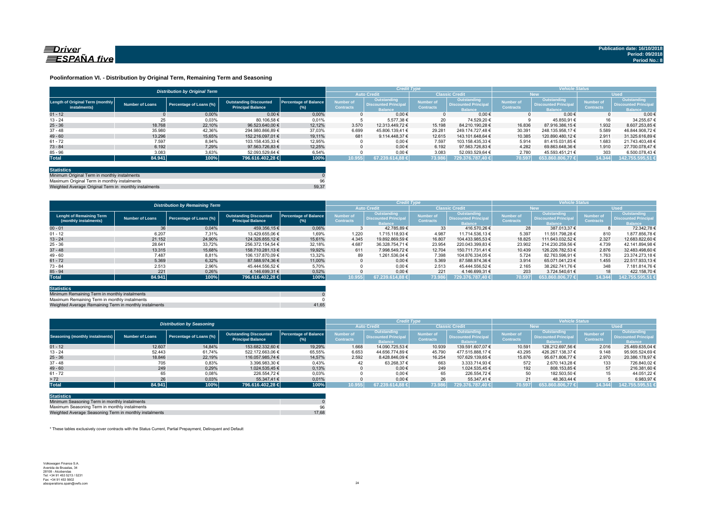

#### **Poolinformation VI. - Distribution by Original Term, Remaining Term and Seasoning**

|                                                  | <b>Distribution by Original Term</b> |                         |                                                           |                                     |                               |                                                             | <b>Credit Type</b>                   |                                                              |                                      |                                                                    | <b>Vehicle Status</b>                |                                                              |  |  |
|--------------------------------------------------|--------------------------------------|-------------------------|-----------------------------------------------------------|-------------------------------------|-------------------------------|-------------------------------------------------------------|--------------------------------------|--------------------------------------------------------------|--------------------------------------|--------------------------------------------------------------------|--------------------------------------|--------------------------------------------------------------|--|--|
|                                                  |                                      |                         |                                                           |                                     |                               | <b>Auto Credit</b>                                          |                                      | <b>Classic Credit</b>                                        |                                      | <b>New</b>                                                         |                                      | <b>Used</b>                                                  |  |  |
| Length of Original Term (monthly<br>instalments) | Number of Loans                      | Percentage of Loans (%) | <b>Outstanding Discounted</b><br><b>Principal Balance</b> | <b>Percentage of Balance</b><br>(%) | Number of<br><b>Contracts</b> | Outstanding<br><b>Discounted Principa</b><br><b>Balance</b> | <b>Number of</b><br><b>Contracts</b> | Outstanding<br><b>Discounted Principal</b><br><b>Balance</b> | <b>Number of</b><br><b>Contracts</b> | <b>Outstanding</b><br><b>Discounted Principa</b><br><b>Balance</b> | <b>Number of</b><br><b>Contracts</b> | Outstanding<br><b>Discounted Principal</b><br><b>lalance</b> |  |  |
| $01 - 12$                                        |                                      | 0.00%                   | $0.00 \in$                                                | 0.00%                               |                               | $0.00 \in$                                                  |                                      | $0.00 \in$                                                   |                                      | $0.00 \in$                                                         |                                      | 0.006                                                        |  |  |
| $13 - 24$                                        | 25                                   | 0,03%                   | 80.106.58 €                                               | 0,01%                               |                               | 5.577.38 €                                                  | 20                                   | 74.529.20 €                                                  |                                      | 45.850.91 €                                                        | 16                                   | 34.255.67 6                                                  |  |  |
| $25 - 36$                                        | 18.768                               | 22.10%                  | 96.523.640.00 €                                           | 12.12%                              | 3.570                         | 12.313.449.72 €                                             | 15.198                               | 84.210.190.28 €                                              | 16.836                               | 87.916.386.15 €                                                    | 1.932                                | 8.607.253.85 €                                               |  |  |
| $37 - 48$                                        | 35,980                               | 42,36%                  | 294.980.866.89 €                                          | 37,03%                              | 6.699                         | 45.806.139.41 €                                             | 29.281                               | 249.174.727.48 €                                             | 30.391                               | 248.135.958.17 €                                                   | 5.589                                | 46.844.908.72 6                                              |  |  |
| $49 - 60$                                        | 13.296                               | 15.65%                  | 152.216.097.01 €                                          | 19.11%                              | 681                           | 9.114.448.37 €                                              | 12.615                               | 143.101.648.64 €                                             | 10.385                               | 120.890.480.12 €                                                   | 2.911                                | 31.325.616.89 6                                              |  |  |
| $61 - 72$                                        | 7.597                                | 8,94%                   | 103.158.435.33 €                                          | 12,95%                              |                               | $0.00 \in$                                                  | 7.597                                | 103.158.435.33 €                                             | 5.914                                | 81.415.031.85 €                                                    | 1.683                                | 21.743.403.48                                                |  |  |
| $73 - 84$                                        | 6.192                                | 7,29%                   | 97.563.726.83 €                                           | 12.25%                              |                               | $0.00 \in$                                                  | 6.192                                | 97.563.726.83 €                                              | 4.282                                | 69.863.648.36 €                                                    | 1.910                                | 27.700.078.47                                                |  |  |
| $85 - 96$                                        | 3.083                                | 3,63%                   | 52.093.529.64 €                                           | 6,54%                               |                               | $0,00 \in$                                                  | 3.083                                | 52.093.529.64 €                                              | 2.780                                | 45.593.451.21 €                                                    | 303                                  | 6.500.078,43€                                                |  |  |
| <b>Total</b>                                     | 84.941                               | 100%                    | 796.616.402,28 €                                          | 100%                                | 10.955                        | 67.239.614.88 €                                             | 73.986                               | 729.376.787.40 €                                             | 70.597                               | $653.860.806.77 \in$                                               | 14.344                               | 142.755.595,51 €                                             |  |  |

| <b>Statistics</b>                                     |       |
|-------------------------------------------------------|-------|
| Minimum Original Term in monthly instalments          |       |
| Maximum Original Term in monthly instalments          | 96    |
| Weighted Average Original Term in monthly instalments | 59.37 |

Weighted Average Original Term in monthly install

|                                                          |                        | <b>Distribution by Remaining Term</b> |                                                           |                                        | <b>Credit Type</b>            |                                                              |                               |                                                             | <b>Vehicle Status</b>                |                                                              |                                      |                                                              |
|----------------------------------------------------------|------------------------|---------------------------------------|-----------------------------------------------------------|----------------------------------------|-------------------------------|--------------------------------------------------------------|-------------------------------|-------------------------------------------------------------|--------------------------------------|--------------------------------------------------------------|--------------------------------------|--------------------------------------------------------------|
|                                                          |                        |                                       |                                                           |                                        |                               | <b>Auto Credit</b>                                           |                               | <b>Classic Credit</b>                                       |                                      | <b>New</b>                                                   | <b>Used</b>                          |                                                              |
| <b>Lenght of Remaining Term</b><br>(monthly instalments) | <b>Number of Loans</b> | Percentage of Loans (%)               | <b>Outstanding Discounted</b><br><b>Principal Balance</b> | <b>Percentage of Balance</b><br>$(\%)$ | Number of<br><b>Contracts</b> | Outstanding<br><b>Discounted Principal</b><br><b>Balance</b> | Number of<br><b>Contracts</b> | Outstanding<br><b>Discounted Principa</b><br><b>Balance</b> | <b>Number of</b><br><b>Contracts</b> | Outstanding<br><b>Discounted Principal</b><br><b>Balance</b> | <b>Number of</b><br><b>Contracts</b> | Outstanding<br><b>Discounted Principal</b><br><b>Balance</b> |
| $00 - 01$                                                | 36                     | 0,04%                                 | 459.356,15 €                                              | 0.06%                                  |                               | 42.785.89 €                                                  | 33                            | 416.570.26 €                                                | 28                                   | 387.013.37 €                                                 |                                      | 72.342.78 €                                                  |
| $01 - 12$                                                | 6.207                  | 7,31%                                 | 13.429.655.06 €                                           | 1,69%                                  | 1.220                         | 1.715.118.93 €                                               | 4.987                         | 11.714.536.13 €                                             | 5.397                                | 11.551.798.28 €                                              | 810                                  | 1.877.856.78 6                                               |
| $13 - 24$                                                | 21.152                 | 24.90%                                | 124.326.855.12 €                                          | 15.61%                                 | 4.345                         | 19.892.869.59 €                                              | 16.807                        | 104.433.985.53 €                                            | 18.825                               | 111.643.032.52 €                                             | 2.327                                | 12.683.822.60 6                                              |
| $25 - 36$                                                | 28.641                 | 33,72%                                | 256.372.154.54 €                                          | 32,18%                                 | 4.687                         | 36.328.754.71 €                                              | 23.954                        | 220.043.399.83 €                                            | 23.902                               | 214.230.259.56 €                                             | 4.739                                | 42.141.894.98 €                                              |
| $37 - 48$                                                | 13.315                 | 15.68%                                | 158.710.281.13 €                                          | 19.92%                                 | 611                           | 7.998.549.72 €                                               | 12.704                        | 150.711.731.41 €                                            | 10.439                               | 126.226.782.53 €                                             | 2.876                                | 32.483.498.60 €                                              |
| $49 - 60$                                                | 7.487                  | 8,81%                                 | 106.137.870.09 €                                          | 13.32%                                 | 89                            | 1.261.536.04 €                                               | 7.398                         | 104.876.334.05 €                                            | 5.724                                | 82.763.596.91 €                                              | 1.763                                | 23.374.273.18 €                                              |
| $61 - 72$                                                | 5.369                  | 6.32%                                 | 87.588.974,36 €                                           | 11.00%                                 |                               | $0.00 \in$                                                   | 5.369                         | 87.588.974.36 €                                             | 3.914                                | 65.071.041.23 €                                              | 1.455                                | 22.517.933.13 €                                              |
| $73 - 84$                                                | 2.513                  | 2,96%                                 | 45.444.556.52 €                                           | 5.70%                                  |                               | $0.00 \in$                                                   | 2.513                         | 45.444.556.52 €                                             | 2.165                                | 38.262.741.76 €                                              | 348                                  | 7.181.814.76 €                                               |
| $85 - 94$                                                | 221                    | 0,26%                                 | 4.146.699.31 €                                            | 0.52%                                  |                               | $0.00 \in$                                                   | 221                           | 4.146.699.31 €                                              | 203                                  | 3.724.540.61 €                                               | 18                                   | 422.158.70 €                                                 |
| <b>Total</b>                                             | 84.941                 | 100%                                  | 796.616.402.28 €                                          | 100%                                   | 10.955                        | 614.88 €<br>67.239.6                                         | 73.986                        | 729.376.787.40 €                                            | 70.597                               | $653.860.806.77 \in$                                         | 14.344                               | 142.755.595.51                                               |

| <b>Statistics</b>                                      |       |
|--------------------------------------------------------|-------|
| Minimum Remaining Term in monthly instalments          |       |
| Maximum Remaining Term in monthly instalments          |       |
| Weighted Average Remaining Term in monthly instalments | 41.65 |

|                                        | <b>Distribution by Seasoning</b> |                         |                                                           |                                     |                               |                                                       | <b>Credit Type</b>                   |                                                              |                                      |                                                             | <b>Vehicle Status</b>                |                                                                     |  |  |
|----------------------------------------|----------------------------------|-------------------------|-----------------------------------------------------------|-------------------------------------|-------------------------------|-------------------------------------------------------|--------------------------------------|--------------------------------------------------------------|--------------------------------------|-------------------------------------------------------------|--------------------------------------|---------------------------------------------------------------------|--|--|
|                                        |                                  |                         |                                                           |                                     | <b>Auto Credit</b>            |                                                       | <b>Classic Credit</b>                |                                                              | <b>New</b>                           |                                                             | <b>Used</b>                          |                                                                     |  |  |
| <b>Seasoning (monthly instalments)</b> | <b>Number of Loans</b>           | Percentage of Loans (%) | <b>Outstanding Discounted</b><br><b>Principal Balance</b> | <b>Percentage of Balance</b><br>(%) | Number of<br><b>Contracts</b> | Outstanding<br>Discounted Principal<br><b>Balance</b> | <b>lumber</b> of<br><b>Contracts</b> | Outstanding<br><b>Discounted Principal</b><br><b>Balance</b> | <b>Number of</b><br><b>Contracts</b> | Outstanding<br><b>Discounted Principa</b><br><b>Balance</b> | <b>Number of</b><br><b>Contracts</b> | <b>Outstanding</b><br><b>Discounted Principal</b><br><b>Balance</b> |  |  |
| $01 - 12$                              | 12.607                           | 14.84%                  | 153.682.332.60 €                                          | 19,29%                              | 1.668                         | 14.090.725.53 €                                       | 10.939                               | 139.591.607.07 €                                             | 10.591                               | 128.212.697.56 €                                            | 2.016                                | 25.469.635.04 6                                                     |  |  |
| $13 - 24$                              | 52.443                           | 61,74%                  | 522.172.663.06 €                                          | 65,55%                              | 6.653                         | 44.656.774.89 €                                       | 45.790                               | 477.515.888.17 €                                             | 43.295                               | 426.267.138.37 €                                            | 9.148                                | 95.905.524.69 €                                                     |  |  |
| $25 - 36$                              | 18.846                           | 22,19%                  | 116.057.985.74 €                                          | 14,57%                              | 2.592                         | 8.428.846.09 €                                        | 16.254                               | 107.629.139.65 €                                             | 15.876                               | 95.671.806.77 €                                             | 2.970                                | 20.386.178,97 €                                                     |  |  |
| $37 - 48$                              | 705                              | 0,83%                   | 3.396.983.30 €                                            | 0,43%                               | 42                            | 63.268.37 €                                           | 663                                  | 3.333.714.93 €                                               | 572                                  | 2.670.143.28 €                                              | 133                                  | 726.840.02 €                                                        |  |  |
| $49 - 60$                              | 249                              | 0.29%                   | 1.024.535.45 €                                            | 0,13%                               |                               | $0.00 \in$                                            | 249                                  | 1.024.535.45 €                                               | 192                                  | 808.153.85 €                                                | 57                                   | 216.381,60 €                                                        |  |  |
| $61 - 72$                              | 65                               | 0,08%                   | 226.554,72 €                                              | 0,03%                               |                               | $0.00 \in$                                            | 65                                   | 226.554.72 €                                                 | 50                                   | 182.503.50 €                                                |                                      | 44.051.22 €                                                         |  |  |
| > 72                                   | 26                               | 0,03%                   | 55.347.41 €                                               | 0,01%                               |                               | $0.00 \in$                                            | 26                                   | 55.347.41 €                                                  |                                      | 48.363.44 €                                                 |                                      | 6.983,976                                                           |  |  |
| <b>Total</b>                           | 84.941                           | 100%                    | 796.616.402.28 €                                          | 100%                                | 10.955                        | 67.239.614.88 €                                       | 73.986                               | 729.376.787.40 €                                             | 70.597                               | $653.860.806,77 \in$                                        | 14.344                               | 142.755.595,51 €                                                    |  |  |

| <b>Statistics</b>                                      |       |
|--------------------------------------------------------|-------|
| Minimum Seasoning Term in monthly instalments          |       |
| Maximum Seasoning Term in monthly instalments          | 96    |
| Weighted Average Seasoning Term in monthly instalments | 17.68 |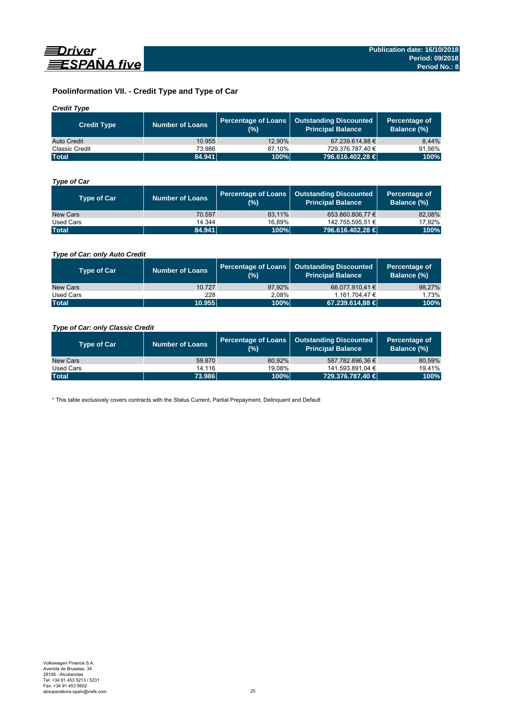

## **Poolinformation VII. - Credit Type and Type of Car**

## *Credit Type*

| <b>Credit Type</b> | Number of Loans | (%)    | Percentage of Loans   Outstanding Discounted<br>Principal Balance <sup>'</sup> | Percentage of<br>Balance (%) |
|--------------------|-----------------|--------|--------------------------------------------------------------------------------|------------------------------|
| Auto Credit        | 10.955          | 12.90% | 67.239.614.88 €                                                                | 8.44%                        |
| Classic Credit     | 73.986          | 87.10% | 729.376.787.40 €                                                               | 91.56%                       |
| <b>Total</b>       | 84.941          | 100%   | 796.616.402,28 €                                                               | 100%                         |

## *Type of Car*

| <b>Type of Car</b> | <b>Number of Loans</b> | (%)    | Percentage of Loans   Outstanding Discounted<br><b>Principal Balance</b> | Percentage of<br>Balance (%) |
|--------------------|------------------------|--------|--------------------------------------------------------------------------|------------------------------|
| New Cars           | 70.597                 | 83.11% | 653.860.806.77 €                                                         | 82,08%                       |
| Used Cars          | 14.344                 | 16.89% | 142.755.595.51 €                                                         | 17,92%                       |
| <b>Total</b>       | 84.941                 | 100%   | 796.616.402,28 €                                                         | 100%                         |

## *Type of Car: only Auto Credit*

| <b>Type of Car</b> | <b>Number of Loans</b> | (%)    | Percentage of Loans   Outstanding Discounted<br><b>Principal Balance</b> | Percentage of<br><b>Balance (%)</b> |
|--------------------|------------------------|--------|--------------------------------------------------------------------------|-------------------------------------|
| New Cars           | 10.727                 | 97.92% | 66.077.910.41 €                                                          | 98,27%                              |
| Used Cars          | 228                    | 2.08%  | 1.161.704.47 €                                                           | 1.73%                               |
| <b>Total</b>       | 10.955                 | 100%   | 67.239.614,88 €                                                          | 100%                                |

## *Type of Car: only Classic Credit*

| <b>Type of Car</b> | <b>Number of Loans</b> | (%)    | Percentage of Loans   Outstanding Discounted<br><b>Principal Balance</b> | Percentage of<br>Balance (%) |
|--------------------|------------------------|--------|--------------------------------------------------------------------------|------------------------------|
| New Cars           | 59.870                 | 80.92% | 587.782.896.36 €                                                         | 80,59%                       |
| Used Cars          | 14.116                 | 19.08% | 141.593.891,04 €                                                         | 19.41%                       |
| <b>Total</b>       | 73.986                 | 100%   | 729.376.787.40 €                                                         | 100%                         |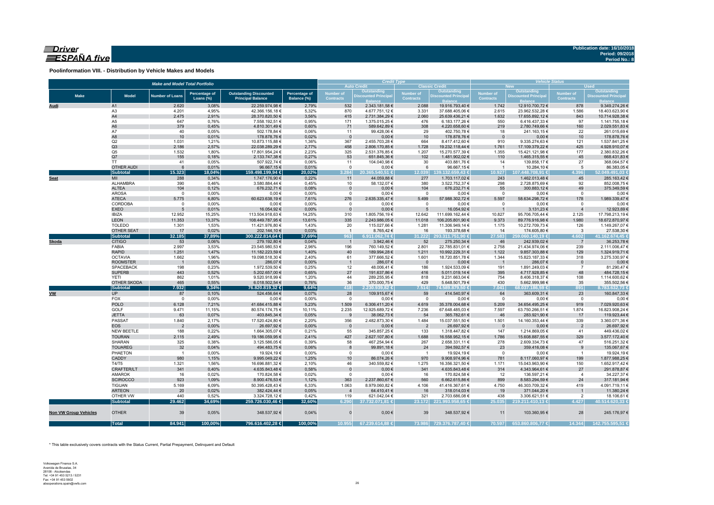## $\equiv$ Driver ESPAÑA five

**Poolinformation VIII. - Distribution by Vehicle Makes and Models**

| <b>Auto Credit</b><br><b>Classic Credit</b><br>Outstanding<br><b>Outstanding</b><br>Outstanding<br>Outstanding<br><b>Percentage of</b><br><b>Outstanding Discounted</b><br>Percentage of<br><b>Number of</b><br>Number of<br>Number of<br><b>Number of</b><br><b>Make</b><br><b>Model</b><br><b>Discounted Principal</b><br><b>Number of Loans</b><br><b>Discounted Principa</b><br><b>Discounted Principa</b><br><b>Discounted Principal</b><br><b>Principal Balance</b><br><b>Contracts</b><br><b>Contracts</b><br>Loans (%)<br>Balance (%)<br><b>Contracts</b><br><b>Contracts</b><br>2.620<br>3,08%<br>22.259.974,98 €<br>2,79%<br>532<br>2.343.181,58 €<br>2.088<br>19.916.793,40 €<br>1.742<br>12.910.700,72 €<br>878<br>9.349.274,26€<br>Audi<br>A1<br>42.366.156,18€<br>23.962.532,28 €<br>A <sub>3</sub><br>4.201<br>4,95%<br>5,32%<br>870<br>4.677.751,12 €<br>3.331<br>37.688.405,06 €<br>2.615<br>1.586<br>18.403.623,90 €<br>A4<br>2.475<br>2,91%<br>28.370.820,50 €<br>3,56%<br>415<br>2.060<br>25.639.436,21 €<br>1.632<br>17.655.892,12 €<br>843<br>2.731.384,29 €<br>10.714.928,38 €<br>A5<br>647<br>0,76%<br>7.558.192,51 €<br>0,95%<br>6.416.437,33 €<br>97<br>171<br>1.375.015,25 €<br>476<br>6.183.177,26 €<br>550<br>1.141.755,18 €<br>A <sub>6</sub><br>379<br>0,45%<br>4.810.301,49 €<br>0,60%<br>589.642,89 €<br>308<br>4.220.658,60 €<br>219<br>2.780.749,66 €<br>160<br>2.029.551,83 €<br>71<br>A7<br>40<br>0,05%<br>502.178,84 €<br>11<br>99.428,06€<br>29<br>402.750,78 €<br>18<br>241.163,15€<br>22<br>261.015,69€<br>0,06%<br>A8<br>10<br>0,01%<br>0,02%<br>$0,00 \in$<br>$0,00 \in$<br>178.878,76 €<br>$\mathbf{0}$<br>10<br>178.878,76 €<br>10<br>178.878,76 €<br>$\overline{0}$<br>Q2<br>1.031<br>1,21%<br>10.873.115,88 €<br>1,36%<br>2.455.703,28 €<br>664<br>8.417.412,60 €<br>910<br>9.335.274,63 €<br>121<br>367<br>1.537.841,25 €<br>Q3<br>2.186<br>458<br>1.761<br>425<br>2,57%<br>22.038.289,29 €<br>2,77%<br>2.806.170,85 €<br>1.728<br>19.232.118,44 €<br>17.109.379,22 €<br>Q <sub>5</sub><br>17.801.954,24 €<br>2,23%<br>15.421.121,98 €<br>1.532<br>1,80%<br>325<br>2.531.376,85 €<br>1.207<br>15.270.577,39 €<br>1.355<br>177<br>155<br>0,18%<br>53<br>102<br>110<br>45<br>Q7<br>2.133.747,38 €<br>0,27%<br>651.845,36 €<br>1.481.902,02 €<br>1.465.315,55 €<br>668.431,83€<br>27<br><b>TT</b><br>41<br>0,05%<br>507.922,74 €<br>0,06%<br>11<br>104.040,98 €<br>30<br>403.881,76 €<br>14<br>139.858,17 €<br>368.064,57 €<br><b>OTHER AUDI</b><br>6<br>0,01%<br>96.667,15€<br>0,01%<br>$\mathbf{0}$<br>$0,00 \in$<br>6<br>$\overline{1}$<br>10.284,10 €<br>5<br>96.667,15€<br>86.383,05 €<br><b>Subtotal</b><br>15.323<br>18,04%<br>3.284<br>159.498.199,94 €<br>20,02%<br>20.365.540.51 €<br>12.039<br>139.132.659.43 €<br>10.927<br>107.448.708.91 €<br>4.396<br>52.049.491,03 €<br>MII<br>288<br>0,34%<br>1.747.176,90 €<br>0,22%<br>11<br>277<br>243<br>1.462.013,48 €<br>45<br>285.163,42 €<br>44.059,88 €<br>1.703.117,02 €<br><b>Seat</b><br>ALHAMBRA<br>390<br>0,46%<br>3.580.884,44 €<br>0,45%<br>58.132,07 €<br>380<br>298<br>2.728.875,69 €<br>92<br>10<br>3.522.752,37 €<br>852.008,75€<br><b>ALTEA</b><br>104<br>0,12%<br>676.232,71 €<br>$0,00 \in$<br>104<br>676.232,71 €<br>55<br>300.883,12 €<br>375.349,59€<br>0,08%<br>$\mathbf 0$<br>49<br><b>AROSA</b><br>0,00%<br>$0,00 \in$<br>$0,00 \in$<br>$0,00 \in$<br>$\mathbf 0$<br>0,00%<br>$\mathbf 0$<br>$0,00 \in$<br>$\overline{0}$<br>$\overline{0}$<br>0,00€<br>$\Omega$<br><b>ATECA</b><br>5.775<br>60.623.638,19€<br>276<br>2.635.335,47 €<br>57.988.302,72 €<br>5.597<br>58.634.298,72 €<br>178<br>6,80%<br>5.499<br>1.989.339,47 €<br>7,61%<br>CORDOBA<br>$0,00 \in$<br>$0,00 \in$<br>$0,00 \in$<br>$0,00 \in$<br>$\mathbf 0$<br>0,00%<br>0,00%<br>$\mathsf 0$<br>$\overline{0}$<br>$\overline{0}$<br>$\mathbf 0$<br>$0,00 \in$<br><b>EXEO</b><br>0,01%<br>16.054,92 €<br>$0,00 \in$<br>16.054,92 €<br>3.131,23 €<br>5<br>0,00%<br>$\Omega$<br>$5\overline{5}$<br>$\overline{1}$<br><b>IBIZA</b><br>12.952<br>15,25%<br>113.504.918,63 €<br>14,25%<br>310<br>1.805.756,19€<br>12.642<br>111.699.162,44 €<br>10.827<br>95.706.705,44 €<br>2.125<br><b>LEON</b><br>11.353<br>13,37%<br>335<br>2.243.986,05 €<br>108.449.787,95 €<br>13,61%<br>11.018<br>106.205.801,90 €<br>9.373<br>89.776.916,98 €<br>1.980<br><b>TOLEDO</b><br>1.301<br>1,53%<br>1,43%<br>20<br>1.281<br>1.175<br>126<br>11.421.976,80 €<br>115.027,66 €<br>11.306.949,14 €<br>10.272.709,73 €<br>OTHER SEAT<br>0,02%<br>17<br>202.144,10 €<br>0,03%<br>8.765,42 €<br>16<br>193.378,68 €<br>14<br>174.605,80 €<br>$\overline{\mathbf{3}}$<br>$\overline{1}$<br>300.222.814,64 €<br><b>Subtotal</b><br>32.185<br>37,89%<br>37,69%<br>963<br>6.911.062,74 €<br>31.222<br>293.311.751,90 €<br>27.583<br>259.060.140,19 €<br>4.602<br>41.162.674,45 €<br><b>CITIGO</b><br>53<br>0,06%<br>279.192,80 €<br>3.942,46 €<br>52<br>275.250,34 €<br>242.939,02 €<br>36.253,78€<br>Skoda<br>0,04%<br>$\overline{1}$<br>46<br>$\overline{7}$<br>2.997<br>196<br>FABIA<br>3,53%<br>23.545.980,53 €<br>2,96%<br>760.149,52 €<br>2.801<br>22.785.831,01 €<br>2.758<br>21.434.974,06 €<br>239<br>2.111.006,47 €<br><b>RAPID</b><br>1.251<br>1,47%<br>11.182.223,59 €<br>10.992.229,31 €<br>9.857.303,88 €<br>129<br>1.324.919,71 €<br>1,40%<br>40<br>189.994,28 €<br>1.211<br>1.122<br><b>OCTAVIA</b><br>1.662<br>1,96%<br>19.098.518,30 €<br>2,40%<br>61<br>377.666,52 €<br>18.720.851,78 €<br>1.344<br>15.823.187,33 €<br>318<br>3.275.330,97 €<br>1.601<br><b>ROOMSTER</b><br>0,00%<br>286,07€<br>0,00%<br>$0,00 \in$<br>286,07€<br>$0,00 \in$<br>286,07€<br>$\overline{\phantom{0}}$<br>$\overline{1}$<br>$\overline{1}$<br>- 0<br>$\mathbf{0}$<br>1.972.539,50 €<br><b>SPACEBACK</b><br>198<br>0,23%<br>0,25%<br>12<br>48.006,41€<br>186<br>1.924.533,09 €<br>191<br>1.891.249,03 €<br>$\overline{7}$<br>81.290,47€<br><b>SUPERB</b><br>0,52%<br>5.202.657,00 €<br>443<br>0,65%<br>27<br>191.637,86 €<br>416<br>5.011.019,14 €<br>395<br>4.717.928,85 €<br>48<br>484.728,15€<br>862<br>9.520.918,99 €<br>818<br>108<br><b>YETI</b><br>1,01%<br>1,20%<br>44<br>289.255,95€<br>9.231.663,04 €<br>754<br>8.406.318,37 €<br>465<br>0,55%<br>430<br>35<br>OTHER SKODA<br>6.018.502,54 €<br>0,76%<br>36<br>370.000,75€<br>429<br>5.648.501,79 €<br>5.662.999,98 €<br><b>Subtotal</b><br>7.932<br>9,34%<br>418<br>7.514<br>76.820.819,32 €<br>9,64%<br>2.230.939,82 €<br>74.589.879,50 €<br>7.041<br>68.037.186,59€<br>891<br><b>UP</b><br>524.456,64 €<br>28<br><b>VW</b><br>87<br>0,10%<br>0,07%<br>109.915,67 €<br>59<br>414.540,97 €<br>64<br>363.609,31 €<br>23<br>FOX<br>$\overline{0}$<br>0,00%<br>0,00€<br>0,00%<br>$\mathbf 0$<br>$0,00 \in$<br>$\overline{0}$<br>$0,00 \in$<br>$\overline{0}$<br>$0,00 \in$<br>$\overline{0}$<br><b>POLO</b><br>1.509<br>6.128<br>7,21%<br>41.684.415,88 €<br>6.306.411,20 €<br>4.619<br>35.378.004,68 €<br>5.209<br>34.654.495,25 €<br>919<br>5,23%<br>7.029.920,63 €<br>GOLF<br>9.471<br>11,15%<br>80.574.174,75 €<br>2.235<br>12.925.689,72 €<br>67.648.485,03 €<br>7.597<br>63.750.266,51 €<br>1.874<br>16.823.908,24 €<br>10,11%<br>7.236<br>63<br><b>JETTA</b><br>0,07%<br>46<br>17<br>403.845,34 €<br>0,05%<br>9<br>38.062,73 €<br>54<br>365.782,61 €<br>283.921,90 €<br>119.923,44 €<br>PASSAT<br>356<br>339<br>1.840<br>2,17%<br>17.520.424,80 €<br>2,20%<br>2.482.873,30 €<br>1.484<br>15.037.551,50 €<br>1.501<br>14.160.353,44 €<br>3.360.071,36 €<br>0,00%<br>26.697,92 €<br>0,00%<br>$0,00 \in$<br>26.697,92€<br><b>EOS</b><br>$\overline{2}$<br>$\mathbf 0$<br>$0,00 \in$<br>$\overline{2}$<br>26.697,92 €<br>$\overline{2}$<br>$\overline{\mathbf{0}}$<br>NEW BEETLE<br>188<br>0,22%<br>1.664.305,07 €<br>0,21%<br>55<br>345.857,25 €<br>1.318.447,82 €<br>147<br>1.214.869,05 €<br>41<br>449.436,02€<br>133<br>2.115<br>427<br><b>TOURAN</b><br>2,49%<br>2,41%<br>1.688<br>1.786<br>329<br>19.186.059,95 €<br>2.627.107,80 €<br>16.558.952,15 €<br>15.608.887,55 €<br>3.577.172,40 €<br>SHARAN<br>325<br>0,38%<br>58<br>467.254,94 €<br>267<br>278<br>2.609.334,73 €<br>47<br>3.125.586,05 €<br>0,39%<br>2.658.331,11 €<br>516.251,32 €<br>32<br>23<br><b>TOUAREG</b><br>0,04%<br>494.483,75 €<br>0,06%<br>8<br>99.891,18€<br>24<br>394.592,57 €<br>359.416,08 €<br>9<br>135.067,67 €<br>PHAETON<br>0,00%<br>19.924,19€<br>0,00%<br>$0,00 \in$<br>19.924,19€<br>$0,00 \in$<br>$\overline{1}$<br>$^{\circ}$<br>$\overline{\mathbf{0}}$<br>$\overline{1}$<br>19.924,19€<br>$\overline{\phantom{1}}$<br>CADDY<br>980<br>199<br>1,15%<br>9.995.049,22 €<br>1,25%<br>10<br>86.074,26 €<br>970<br>9.908.974,96 €<br>781<br>8.117.060,97 €<br>T4/T5<br>1.321<br>1,56%<br>16.696.881,32 €<br>2,10%<br>46<br>340.559,82 €<br>1.275<br>16.356.321,50 €<br>1.171<br>15.043.963,90 €<br>150<br>CRAFTER/LT<br>341<br>0,40%<br>$0,00 \in$<br>341<br>314<br>27<br>4.635.843,48 €<br>0,58%<br>$\overline{0}$<br>4.635.843,48 €<br>4.343.964,61 €<br><b>AMAROK</b><br>0,02%<br>16<br>170.824,58 €<br>0,02%<br>$\mathsf 0$<br>$0,00 \in$<br>16<br>170.824,58 €<br>12<br>136.597,21 €<br>4<br>923<br>363<br><b>SCIROCCO</b><br>1,09%<br>8.900.476,53 €<br>1,12%<br>2.237.860,67 €<br>560<br>6.662.615,86 €<br>899<br>8.583.294,59 €<br>24<br>1.063<br><b>TIGUAN</b><br>5.169<br>6,09%<br>50.395.428,43 €<br>8.979.060,82 €<br>4.106<br>4.750<br>46.303.709,32 €<br>419<br>6,33%<br>41.416.367,61 €<br><b>ARTEON</b><br>20<br>0,02%<br>382.424,44 €<br>19<br>0,05%<br>$\overline{4}$<br>64.410,41 €<br>16<br>318.014,03 €<br>371.044,20 €<br>$\overline{1}$<br>OTHER VW<br>440<br>0,52%<br>3.324.728,12 €<br>0,42%<br>119<br>621.042,04 €<br>321<br>2.703.686,08 €<br>438<br>3.306.621,51 €<br>2<br>29.462<br><b>Subtotal</b><br>34,69%<br>259.726.030,46 €<br>6.290<br>37.732.071,81 €<br>23.172 221.993.958,65 €<br>25.035<br>4.427<br>40.514.620,33 €<br>32,60%<br>219.211.410,13 €<br><b>OTHER</b><br>39<br>0,05%<br>39<br>28<br><b>Non VW Group Vehicles</b><br>348.537,92 €<br>0,04%<br>$\Omega$<br>$0,00 \in$<br>348.537,92 €<br>11<br>103.360,95 €<br>84.941<br>100,00%<br>10.955<br>14.344<br><b>Total</b><br>100,00%<br>796.616.402,28 €<br>70.597<br>67.239.614,88 €<br>73.986<br>653.860.806,77 €<br>142.755.595,51 €<br>729.376.787,40 € |  | <b>Make and Model Total Portfolio</b> |  |  | <b>Credit Type</b> |  | <b>Vehicle Status</b><br><b>Used</b><br><b>New</b> |  |  |                 |  |  |
|-------------------------------------------------------------------------------------------------------------------------------------------------------------------------------------------------------------------------------------------------------------------------------------------------------------------------------------------------------------------------------------------------------------------------------------------------------------------------------------------------------------------------------------------------------------------------------------------------------------------------------------------------------------------------------------------------------------------------------------------------------------------------------------------------------------------------------------------------------------------------------------------------------------------------------------------------------------------------------------------------------------------------------------------------------------------------------------------------------------------------------------------------------------------------------------------------------------------------------------------------------------------------------------------------------------------------------------------------------------------------------------------------------------------------------------------------------------------------------------------------------------------------------------------------------------------------------------------------------------------------------------------------------------------------------------------------------------------------------------------------------------------------------------------------------------------------------------------------------------------------------------------------------------------------------------------------------------------------------------------------------------------------------------------------------------------------------------------------------------------------------------------------------------------------------------------------------------------------------------------------------------------------------------------------------------------------------------------------------------------------------------------------------------------------------------------------------------------------------------------------------------------------------------------------------------------------------------------------------------------------------------------------------------------------------------------------------------------------------------------------------------------------------------------------------------------------------------------------------------------------------------------------------------------------------------------------------------------------------------------------------------------------------------------------------------------------------------------------------------------------------------------------------------------------------------------------------------------------------------------------------------------------------------------------------------------------------------------------------------------------------------------------------------------------------------------------------------------------------------------------------------------------------------------------------------------------------------------------------------------------------------------------------------------------------------------------------------------------------------------------------------------------------------------------------------------------------------------------------------------------------------------------------------------------------------------------------------------------------------------------------------------------------------------------------------------------------------------------------------------------------------------------------------------------------------------------------------------------------------------------------------------------------------------------------------------------------------------------------------------------------------------------------------------------------------------------------------------------------------------------------------------------------------------------------------------------------------------------------------------------------------------------------------------------------------------------------------------------------------------------------------------------------------------------------------------------------------------------------------------------------------------------------------------------------------------------------------------------------------------------------------------------------------------------------------------------------------------------------------------------------------------------------------------------------------------------------------------------------------------------------------------------------------------------------------------------------------------------------------------------------------------------------------------------------------------------------------------------------------------------------------------------------------------------------------------------------------------------------------------------------------------------------------------------------------------------------------------------------------------------------------------------------------------------------------------------------------------------------------------------------------------------------------------------------------------------------------------------------------------------------------------------------------------------------------------------------------------------------------------------------------------------------------------------------------------------------------------------------------------------------------------------------------------------------------------------------------------------------------------------------------------------------------------------------------------------------------------------------------------------------------------------------------------------------------------------------------------------------------------------------------------------------------------------------------------------------------------------------------------------------------------------------------------------------------------------------------------------------------------------------------------------------------------------------------------------------------------------------------------------------------------------------------------------------------------------------------------------------------------------------------------------------------------------------------------------------------------------------------------------------------------------------------------------------------------------------------------------------------------------------------------------------------------------------------------------------------------------------------------------------------------------------------------------------------------------------------------------------------------------------------------------------------------------------------------------------------------------------------------------------------------------------------------------------------------------------------------------------------------------------------------------------------------------------------------------------------------------------------------------------------------------------------------------------------------------------------------------------------------------------------------------------------------------------------------------------------------------------------------------------------------------------------------------------------------------------------------------------------------------------------------------------------------------------------------------------------------------------------------------------------------------------------------------------------------------------------------------------------------------------------------------------------------------------------------------------------------------------------------------------------------------------------------------------------------------------------------------------------------------------------------------------------------------------------------------------------------------------------------------------------------------------------------------------------------------------------------------------------------------------------------------------------------------------------------------------------------------------------------------------------------------------------------------------------------------------------------------------------------------------------------------------------------------------------------------------------------------------------------------------------------------------------------------------------------------------------------------------------------------------------------------------------------------------------------------------------------------------------------------------------------------------------------------------------------------------------------------------------------------------------------------------------------------------------------------------------------------------------------------------------------------------------------------------------------------------------------------------------------------------------------------------------------------------------------------------------------------------------------------------------------|--|---------------------------------------|--|--|--------------------|--|----------------------------------------------------|--|--|-----------------|--|--|
|                                                                                                                                                                                                                                                                                                                                                                                                                                                                                                                                                                                                                                                                                                                                                                                                                                                                                                                                                                                                                                                                                                                                                                                                                                                                                                                                                                                                                                                                                                                                                                                                                                                                                                                                                                                                                                                                                                                                                                                                                                                                                                                                                                                                                                                                                                                                                                                                                                                                                                                                                                                                                                                                                                                                                                                                                                                                                                                                                                                                                                                                                                                                                                                                                                                                                                                                                                                                                                                                                                                                                                                                                                                                                                                                                                                                                                                                                                                                                                                                                                                                                                                                                                                                                                                                                                                                                                                                                                                                                                                                                                                                                                                                                                                                                                                                                                                                                                                                                                                                                                                                                                                                                                                                                                                                                                                                                                                                                                                                                                                                                                                                                                                                                                                                                                                                                                                                                                                                                                                                                                                                                                                                                                                                                                                                                                                                                                                                                                                                                                                                                                                                                                                                                                                                                                                                                                                                                                                                                                                                                                                                                                                                                                                                                                                                                                                                                                                                                                                                                                                                                                                                                                                                                                                                                                                                                                                                                                                                                                                                                                                                                                                                                                                                                                                                                                                                                                                                                                                                                                                                                                                                                                                                                                                                                                                                                                                                                                                                                                                                                                                                                                                                                                                                                                                                                                                                                                                                                                                                                                                                                                                                                                                                                                                                                                                                                                                                                                                                                                                                                                                                                                                                                                                                                                                                   |  |                                       |  |  |                    |  |                                                    |  |  |                 |  |  |
|                                                                                                                                                                                                                                                                                                                                                                                                                                                                                                                                                                                                                                                                                                                                                                                                                                                                                                                                                                                                                                                                                                                                                                                                                                                                                                                                                                                                                                                                                                                                                                                                                                                                                                                                                                                                                                                                                                                                                                                                                                                                                                                                                                                                                                                                                                                                                                                                                                                                                                                                                                                                                                                                                                                                                                                                                                                                                                                                                                                                                                                                                                                                                                                                                                                                                                                                                                                                                                                                                                                                                                                                                                                                                                                                                                                                                                                                                                                                                                                                                                                                                                                                                                                                                                                                                                                                                                                                                                                                                                                                                                                                                                                                                                                                                                                                                                                                                                                                                                                                                                                                                                                                                                                                                                                                                                                                                                                                                                                                                                                                                                                                                                                                                                                                                                                                                                                                                                                                                                                                                                                                                                                                                                                                                                                                                                                                                                                                                                                                                                                                                                                                                                                                                                                                                                                                                                                                                                                                                                                                                                                                                                                                                                                                                                                                                                                                                                                                                                                                                                                                                                                                                                                                                                                                                                                                                                                                                                                                                                                                                                                                                                                                                                                                                                                                                                                                                                                                                                                                                                                                                                                                                                                                                                                                                                                                                                                                                                                                                                                                                                                                                                                                                                                                                                                                                                                                                                                                                                                                                                                                                                                                                                                                                                                                                                                                                                                                                                                                                                                                                                                                                                                                                                                                                                                                   |  |                                       |  |  |                    |  |                                                    |  |  |                 |  |  |
|                                                                                                                                                                                                                                                                                                                                                                                                                                                                                                                                                                                                                                                                                                                                                                                                                                                                                                                                                                                                                                                                                                                                                                                                                                                                                                                                                                                                                                                                                                                                                                                                                                                                                                                                                                                                                                                                                                                                                                                                                                                                                                                                                                                                                                                                                                                                                                                                                                                                                                                                                                                                                                                                                                                                                                                                                                                                                                                                                                                                                                                                                                                                                                                                                                                                                                                                                                                                                                                                                                                                                                                                                                                                                                                                                                                                                                                                                                                                                                                                                                                                                                                                                                                                                                                                                                                                                                                                                                                                                                                                                                                                                                                                                                                                                                                                                                                                                                                                                                                                                                                                                                                                                                                                                                                                                                                                                                                                                                                                                                                                                                                                                                                                                                                                                                                                                                                                                                                                                                                                                                                                                                                                                                                                                                                                                                                                                                                                                                                                                                                                                                                                                                                                                                                                                                                                                                                                                                                                                                                                                                                                                                                                                                                                                                                                                                                                                                                                                                                                                                                                                                                                                                                                                                                                                                                                                                                                                                                                                                                                                                                                                                                                                                                                                                                                                                                                                                                                                                                                                                                                                                                                                                                                                                                                                                                                                                                                                                                                                                                                                                                                                                                                                                                                                                                                                                                                                                                                                                                                                                                                                                                                                                                                                                                                                                                                                                                                                                                                                                                                                                                                                                                                                                                                                                                                   |  |                                       |  |  |                    |  |                                                    |  |  |                 |  |  |
|                                                                                                                                                                                                                                                                                                                                                                                                                                                                                                                                                                                                                                                                                                                                                                                                                                                                                                                                                                                                                                                                                                                                                                                                                                                                                                                                                                                                                                                                                                                                                                                                                                                                                                                                                                                                                                                                                                                                                                                                                                                                                                                                                                                                                                                                                                                                                                                                                                                                                                                                                                                                                                                                                                                                                                                                                                                                                                                                                                                                                                                                                                                                                                                                                                                                                                                                                                                                                                                                                                                                                                                                                                                                                                                                                                                                                                                                                                                                                                                                                                                                                                                                                                                                                                                                                                                                                                                                                                                                                                                                                                                                                                                                                                                                                                                                                                                                                                                                                                                                                                                                                                                                                                                                                                                                                                                                                                                                                                                                                                                                                                                                                                                                                                                                                                                                                                                                                                                                                                                                                                                                                                                                                                                                                                                                                                                                                                                                                                                                                                                                                                                                                                                                                                                                                                                                                                                                                                                                                                                                                                                                                                                                                                                                                                                                                                                                                                                                                                                                                                                                                                                                                                                                                                                                                                                                                                                                                                                                                                                                                                                                                                                                                                                                                                                                                                                                                                                                                                                                                                                                                                                                                                                                                                                                                                                                                                                                                                                                                                                                                                                                                                                                                                                                                                                                                                                                                                                                                                                                                                                                                                                                                                                                                                                                                                                                                                                                                                                                                                                                                                                                                                                                                                                                                                                                   |  |                                       |  |  |                    |  |                                                    |  |  |                 |  |  |
|                                                                                                                                                                                                                                                                                                                                                                                                                                                                                                                                                                                                                                                                                                                                                                                                                                                                                                                                                                                                                                                                                                                                                                                                                                                                                                                                                                                                                                                                                                                                                                                                                                                                                                                                                                                                                                                                                                                                                                                                                                                                                                                                                                                                                                                                                                                                                                                                                                                                                                                                                                                                                                                                                                                                                                                                                                                                                                                                                                                                                                                                                                                                                                                                                                                                                                                                                                                                                                                                                                                                                                                                                                                                                                                                                                                                                                                                                                                                                                                                                                                                                                                                                                                                                                                                                                                                                                                                                                                                                                                                                                                                                                                                                                                                                                                                                                                                                                                                                                                                                                                                                                                                                                                                                                                                                                                                                                                                                                                                                                                                                                                                                                                                                                                                                                                                                                                                                                                                                                                                                                                                                                                                                                                                                                                                                                                                                                                                                                                                                                                                                                                                                                                                                                                                                                                                                                                                                                                                                                                                                                                                                                                                                                                                                                                                                                                                                                                                                                                                                                                                                                                                                                                                                                                                                                                                                                                                                                                                                                                                                                                                                                                                                                                                                                                                                                                                                                                                                                                                                                                                                                                                                                                                                                                                                                                                                                                                                                                                                                                                                                                                                                                                                                                                                                                                                                                                                                                                                                                                                                                                                                                                                                                                                                                                                                                                                                                                                                                                                                                                                                                                                                                                                                                                                                                                   |  |                                       |  |  |                    |  |                                                    |  |  |                 |  |  |
|                                                                                                                                                                                                                                                                                                                                                                                                                                                                                                                                                                                                                                                                                                                                                                                                                                                                                                                                                                                                                                                                                                                                                                                                                                                                                                                                                                                                                                                                                                                                                                                                                                                                                                                                                                                                                                                                                                                                                                                                                                                                                                                                                                                                                                                                                                                                                                                                                                                                                                                                                                                                                                                                                                                                                                                                                                                                                                                                                                                                                                                                                                                                                                                                                                                                                                                                                                                                                                                                                                                                                                                                                                                                                                                                                                                                                                                                                                                                                                                                                                                                                                                                                                                                                                                                                                                                                                                                                                                                                                                                                                                                                                                                                                                                                                                                                                                                                                                                                                                                                                                                                                                                                                                                                                                                                                                                                                                                                                                                                                                                                                                                                                                                                                                                                                                                                                                                                                                                                                                                                                                                                                                                                                                                                                                                                                                                                                                                                                                                                                                                                                                                                                                                                                                                                                                                                                                                                                                                                                                                                                                                                                                                                                                                                                                                                                                                                                                                                                                                                                                                                                                                                                                                                                                                                                                                                                                                                                                                                                                                                                                                                                                                                                                                                                                                                                                                                                                                                                                                                                                                                                                                                                                                                                                                                                                                                                                                                                                                                                                                                                                                                                                                                                                                                                                                                                                                                                                                                                                                                                                                                                                                                                                                                                                                                                                                                                                                                                                                                                                                                                                                                                                                                                                                                                                                   |  |                                       |  |  |                    |  |                                                    |  |  |                 |  |  |
|                                                                                                                                                                                                                                                                                                                                                                                                                                                                                                                                                                                                                                                                                                                                                                                                                                                                                                                                                                                                                                                                                                                                                                                                                                                                                                                                                                                                                                                                                                                                                                                                                                                                                                                                                                                                                                                                                                                                                                                                                                                                                                                                                                                                                                                                                                                                                                                                                                                                                                                                                                                                                                                                                                                                                                                                                                                                                                                                                                                                                                                                                                                                                                                                                                                                                                                                                                                                                                                                                                                                                                                                                                                                                                                                                                                                                                                                                                                                                                                                                                                                                                                                                                                                                                                                                                                                                                                                                                                                                                                                                                                                                                                                                                                                                                                                                                                                                                                                                                                                                                                                                                                                                                                                                                                                                                                                                                                                                                                                                                                                                                                                                                                                                                                                                                                                                                                                                                                                                                                                                                                                                                                                                                                                                                                                                                                                                                                                                                                                                                                                                                                                                                                                                                                                                                                                                                                                                                                                                                                                                                                                                                                                                                                                                                                                                                                                                                                                                                                                                                                                                                                                                                                                                                                                                                                                                                                                                                                                                                                                                                                                                                                                                                                                                                                                                                                                                                                                                                                                                                                                                                                                                                                                                                                                                                                                                                                                                                                                                                                                                                                                                                                                                                                                                                                                                                                                                                                                                                                                                                                                                                                                                                                                                                                                                                                                                                                                                                                                                                                                                                                                                                                                                                                                                                                                   |  |                                       |  |  |                    |  |                                                    |  |  |                 |  |  |
|                                                                                                                                                                                                                                                                                                                                                                                                                                                                                                                                                                                                                                                                                                                                                                                                                                                                                                                                                                                                                                                                                                                                                                                                                                                                                                                                                                                                                                                                                                                                                                                                                                                                                                                                                                                                                                                                                                                                                                                                                                                                                                                                                                                                                                                                                                                                                                                                                                                                                                                                                                                                                                                                                                                                                                                                                                                                                                                                                                                                                                                                                                                                                                                                                                                                                                                                                                                                                                                                                                                                                                                                                                                                                                                                                                                                                                                                                                                                                                                                                                                                                                                                                                                                                                                                                                                                                                                                                                                                                                                                                                                                                                                                                                                                                                                                                                                                                                                                                                                                                                                                                                                                                                                                                                                                                                                                                                                                                                                                                                                                                                                                                                                                                                                                                                                                                                                                                                                                                                                                                                                                                                                                                                                                                                                                                                                                                                                                                                                                                                                                                                                                                                                                                                                                                                                                                                                                                                                                                                                                                                                                                                                                                                                                                                                                                                                                                                                                                                                                                                                                                                                                                                                                                                                                                                                                                                                                                                                                                                                                                                                                                                                                                                                                                                                                                                                                                                                                                                                                                                                                                                                                                                                                                                                                                                                                                                                                                                                                                                                                                                                                                                                                                                                                                                                                                                                                                                                                                                                                                                                                                                                                                                                                                                                                                                                                                                                                                                                                                                                                                                                                                                                                                                                                                                                                   |  |                                       |  |  |                    |  |                                                    |  |  |                 |  |  |
|                                                                                                                                                                                                                                                                                                                                                                                                                                                                                                                                                                                                                                                                                                                                                                                                                                                                                                                                                                                                                                                                                                                                                                                                                                                                                                                                                                                                                                                                                                                                                                                                                                                                                                                                                                                                                                                                                                                                                                                                                                                                                                                                                                                                                                                                                                                                                                                                                                                                                                                                                                                                                                                                                                                                                                                                                                                                                                                                                                                                                                                                                                                                                                                                                                                                                                                                                                                                                                                                                                                                                                                                                                                                                                                                                                                                                                                                                                                                                                                                                                                                                                                                                                                                                                                                                                                                                                                                                                                                                                                                                                                                                                                                                                                                                                                                                                                                                                                                                                                                                                                                                                                                                                                                                                                                                                                                                                                                                                                                                                                                                                                                                                                                                                                                                                                                                                                                                                                                                                                                                                                                                                                                                                                                                                                                                                                                                                                                                                                                                                                                                                                                                                                                                                                                                                                                                                                                                                                                                                                                                                                                                                                                                                                                                                                                                                                                                                                                                                                                                                                                                                                                                                                                                                                                                                                                                                                                                                                                                                                                                                                                                                                                                                                                                                                                                                                                                                                                                                                                                                                                                                                                                                                                                                                                                                                                                                                                                                                                                                                                                                                                                                                                                                                                                                                                                                                                                                                                                                                                                                                                                                                                                                                                                                                                                                                                                                                                                                                                                                                                                                                                                                                                                                                                                                                                   |  |                                       |  |  |                    |  |                                                    |  |  |                 |  |  |
|                                                                                                                                                                                                                                                                                                                                                                                                                                                                                                                                                                                                                                                                                                                                                                                                                                                                                                                                                                                                                                                                                                                                                                                                                                                                                                                                                                                                                                                                                                                                                                                                                                                                                                                                                                                                                                                                                                                                                                                                                                                                                                                                                                                                                                                                                                                                                                                                                                                                                                                                                                                                                                                                                                                                                                                                                                                                                                                                                                                                                                                                                                                                                                                                                                                                                                                                                                                                                                                                                                                                                                                                                                                                                                                                                                                                                                                                                                                                                                                                                                                                                                                                                                                                                                                                                                                                                                                                                                                                                                                                                                                                                                                                                                                                                                                                                                                                                                                                                                                                                                                                                                                                                                                                                                                                                                                                                                                                                                                                                                                                                                                                                                                                                                                                                                                                                                                                                                                                                                                                                                                                                                                                                                                                                                                                                                                                                                                                                                                                                                                                                                                                                                                                                                                                                                                                                                                                                                                                                                                                                                                                                                                                                                                                                                                                                                                                                                                                                                                                                                                                                                                                                                                                                                                                                                                                                                                                                                                                                                                                                                                                                                                                                                                                                                                                                                                                                                                                                                                                                                                                                                                                                                                                                                                                                                                                                                                                                                                                                                                                                                                                                                                                                                                                                                                                                                                                                                                                                                                                                                                                                                                                                                                                                                                                                                                                                                                                                                                                                                                                                                                                                                                                                                                                                                                                   |  |                                       |  |  |                    |  |                                                    |  |  |                 |  |  |
|                                                                                                                                                                                                                                                                                                                                                                                                                                                                                                                                                                                                                                                                                                                                                                                                                                                                                                                                                                                                                                                                                                                                                                                                                                                                                                                                                                                                                                                                                                                                                                                                                                                                                                                                                                                                                                                                                                                                                                                                                                                                                                                                                                                                                                                                                                                                                                                                                                                                                                                                                                                                                                                                                                                                                                                                                                                                                                                                                                                                                                                                                                                                                                                                                                                                                                                                                                                                                                                                                                                                                                                                                                                                                                                                                                                                                                                                                                                                                                                                                                                                                                                                                                                                                                                                                                                                                                                                                                                                                                                                                                                                                                                                                                                                                                                                                                                                                                                                                                                                                                                                                                                                                                                                                                                                                                                                                                                                                                                                                                                                                                                                                                                                                                                                                                                                                                                                                                                                                                                                                                                                                                                                                                                                                                                                                                                                                                                                                                                                                                                                                                                                                                                                                                                                                                                                                                                                                                                                                                                                                                                                                                                                                                                                                                                                                                                                                                                                                                                                                                                                                                                                                                                                                                                                                                                                                                                                                                                                                                                                                                                                                                                                                                                                                                                                                                                                                                                                                                                                                                                                                                                                                                                                                                                                                                                                                                                                                                                                                                                                                                                                                                                                                                                                                                                                                                                                                                                                                                                                                                                                                                                                                                                                                                                                                                                                                                                                                                                                                                                                                                                                                                                                                                                                                                                                   |  |                                       |  |  |                    |  |                                                    |  |  | 4.928.910,07 €  |  |  |
|                                                                                                                                                                                                                                                                                                                                                                                                                                                                                                                                                                                                                                                                                                                                                                                                                                                                                                                                                                                                                                                                                                                                                                                                                                                                                                                                                                                                                                                                                                                                                                                                                                                                                                                                                                                                                                                                                                                                                                                                                                                                                                                                                                                                                                                                                                                                                                                                                                                                                                                                                                                                                                                                                                                                                                                                                                                                                                                                                                                                                                                                                                                                                                                                                                                                                                                                                                                                                                                                                                                                                                                                                                                                                                                                                                                                                                                                                                                                                                                                                                                                                                                                                                                                                                                                                                                                                                                                                                                                                                                                                                                                                                                                                                                                                                                                                                                                                                                                                                                                                                                                                                                                                                                                                                                                                                                                                                                                                                                                                                                                                                                                                                                                                                                                                                                                                                                                                                                                                                                                                                                                                                                                                                                                                                                                                                                                                                                                                                                                                                                                                                                                                                                                                                                                                                                                                                                                                                                                                                                                                                                                                                                                                                                                                                                                                                                                                                                                                                                                                                                                                                                                                                                                                                                                                                                                                                                                                                                                                                                                                                                                                                                                                                                                                                                                                                                                                                                                                                                                                                                                                                                                                                                                                                                                                                                                                                                                                                                                                                                                                                                                                                                                                                                                                                                                                                                                                                                                                                                                                                                                                                                                                                                                                                                                                                                                                                                                                                                                                                                                                                                                                                                                                                                                                                                                   |  |                                       |  |  |                    |  |                                                    |  |  | 2.380.832,26 €  |  |  |
|                                                                                                                                                                                                                                                                                                                                                                                                                                                                                                                                                                                                                                                                                                                                                                                                                                                                                                                                                                                                                                                                                                                                                                                                                                                                                                                                                                                                                                                                                                                                                                                                                                                                                                                                                                                                                                                                                                                                                                                                                                                                                                                                                                                                                                                                                                                                                                                                                                                                                                                                                                                                                                                                                                                                                                                                                                                                                                                                                                                                                                                                                                                                                                                                                                                                                                                                                                                                                                                                                                                                                                                                                                                                                                                                                                                                                                                                                                                                                                                                                                                                                                                                                                                                                                                                                                                                                                                                                                                                                                                                                                                                                                                                                                                                                                                                                                                                                                                                                                                                                                                                                                                                                                                                                                                                                                                                                                                                                                                                                                                                                                                                                                                                                                                                                                                                                                                                                                                                                                                                                                                                                                                                                                                                                                                                                                                                                                                                                                                                                                                                                                                                                                                                                                                                                                                                                                                                                                                                                                                                                                                                                                                                                                                                                                                                                                                                                                                                                                                                                                                                                                                                                                                                                                                                                                                                                                                                                                                                                                                                                                                                                                                                                                                                                                                                                                                                                                                                                                                                                                                                                                                                                                                                                                                                                                                                                                                                                                                                                                                                                                                                                                                                                                                                                                                                                                                                                                                                                                                                                                                                                                                                                                                                                                                                                                                                                                                                                                                                                                                                                                                                                                                                                                                                                                                                   |  |                                       |  |  |                    |  |                                                    |  |  |                 |  |  |
|                                                                                                                                                                                                                                                                                                                                                                                                                                                                                                                                                                                                                                                                                                                                                                                                                                                                                                                                                                                                                                                                                                                                                                                                                                                                                                                                                                                                                                                                                                                                                                                                                                                                                                                                                                                                                                                                                                                                                                                                                                                                                                                                                                                                                                                                                                                                                                                                                                                                                                                                                                                                                                                                                                                                                                                                                                                                                                                                                                                                                                                                                                                                                                                                                                                                                                                                                                                                                                                                                                                                                                                                                                                                                                                                                                                                                                                                                                                                                                                                                                                                                                                                                                                                                                                                                                                                                                                                                                                                                                                                                                                                                                                                                                                                                                                                                                                                                                                                                                                                                                                                                                                                                                                                                                                                                                                                                                                                                                                                                                                                                                                                                                                                                                                                                                                                                                                                                                                                                                                                                                                                                                                                                                                                                                                                                                                                                                                                                                                                                                                                                                                                                                                                                                                                                                                                                                                                                                                                                                                                                                                                                                                                                                                                                                                                                                                                                                                                                                                                                                                                                                                                                                                                                                                                                                                                                                                                                                                                                                                                                                                                                                                                                                                                                                                                                                                                                                                                                                                                                                                                                                                                                                                                                                                                                                                                                                                                                                                                                                                                                                                                                                                                                                                                                                                                                                                                                                                                                                                                                                                                                                                                                                                                                                                                                                                                                                                                                                                                                                                                                                                                                                                                                                                                                                                                   |  |                                       |  |  |                    |  |                                                    |  |  |                 |  |  |
|                                                                                                                                                                                                                                                                                                                                                                                                                                                                                                                                                                                                                                                                                                                                                                                                                                                                                                                                                                                                                                                                                                                                                                                                                                                                                                                                                                                                                                                                                                                                                                                                                                                                                                                                                                                                                                                                                                                                                                                                                                                                                                                                                                                                                                                                                                                                                                                                                                                                                                                                                                                                                                                                                                                                                                                                                                                                                                                                                                                                                                                                                                                                                                                                                                                                                                                                                                                                                                                                                                                                                                                                                                                                                                                                                                                                                                                                                                                                                                                                                                                                                                                                                                                                                                                                                                                                                                                                                                                                                                                                                                                                                                                                                                                                                                                                                                                                                                                                                                                                                                                                                                                                                                                                                                                                                                                                                                                                                                                                                                                                                                                                                                                                                                                                                                                                                                                                                                                                                                                                                                                                                                                                                                                                                                                                                                                                                                                                                                                                                                                                                                                                                                                                                                                                                                                                                                                                                                                                                                                                                                                                                                                                                                                                                                                                                                                                                                                                                                                                                                                                                                                                                                                                                                                                                                                                                                                                                                                                                                                                                                                                                                                                                                                                                                                                                                                                                                                                                                                                                                                                                                                                                                                                                                                                                                                                                                                                                                                                                                                                                                                                                                                                                                                                                                                                                                                                                                                                                                                                                                                                                                                                                                                                                                                                                                                                                                                                                                                                                                                                                                                                                                                                                                                                                                                                   |  |                                       |  |  |                    |  |                                                    |  |  |                 |  |  |
|                                                                                                                                                                                                                                                                                                                                                                                                                                                                                                                                                                                                                                                                                                                                                                                                                                                                                                                                                                                                                                                                                                                                                                                                                                                                                                                                                                                                                                                                                                                                                                                                                                                                                                                                                                                                                                                                                                                                                                                                                                                                                                                                                                                                                                                                                                                                                                                                                                                                                                                                                                                                                                                                                                                                                                                                                                                                                                                                                                                                                                                                                                                                                                                                                                                                                                                                                                                                                                                                                                                                                                                                                                                                                                                                                                                                                                                                                                                                                                                                                                                                                                                                                                                                                                                                                                                                                                                                                                                                                                                                                                                                                                                                                                                                                                                                                                                                                                                                                                                                                                                                                                                                                                                                                                                                                                                                                                                                                                                                                                                                                                                                                                                                                                                                                                                                                                                                                                                                                                                                                                                                                                                                                                                                                                                                                                                                                                                                                                                                                                                                                                                                                                                                                                                                                                                                                                                                                                                                                                                                                                                                                                                                                                                                                                                                                                                                                                                                                                                                                                                                                                                                                                                                                                                                                                                                                                                                                                                                                                                                                                                                                                                                                                                                                                                                                                                                                                                                                                                                                                                                                                                                                                                                                                                                                                                                                                                                                                                                                                                                                                                                                                                                                                                                                                                                                                                                                                                                                                                                                                                                                                                                                                                                                                                                                                                                                                                                                                                                                                                                                                                                                                                                                                                                                                                                   |  |                                       |  |  |                    |  |                                                    |  |  |                 |  |  |
|                                                                                                                                                                                                                                                                                                                                                                                                                                                                                                                                                                                                                                                                                                                                                                                                                                                                                                                                                                                                                                                                                                                                                                                                                                                                                                                                                                                                                                                                                                                                                                                                                                                                                                                                                                                                                                                                                                                                                                                                                                                                                                                                                                                                                                                                                                                                                                                                                                                                                                                                                                                                                                                                                                                                                                                                                                                                                                                                                                                                                                                                                                                                                                                                                                                                                                                                                                                                                                                                                                                                                                                                                                                                                                                                                                                                                                                                                                                                                                                                                                                                                                                                                                                                                                                                                                                                                                                                                                                                                                                                                                                                                                                                                                                                                                                                                                                                                                                                                                                                                                                                                                                                                                                                                                                                                                                                                                                                                                                                                                                                                                                                                                                                                                                                                                                                                                                                                                                                                                                                                                                                                                                                                                                                                                                                                                                                                                                                                                                                                                                                                                                                                                                                                                                                                                                                                                                                                                                                                                                                                                                                                                                                                                                                                                                                                                                                                                                                                                                                                                                                                                                                                                                                                                                                                                                                                                                                                                                                                                                                                                                                                                                                                                                                                                                                                                                                                                                                                                                                                                                                                                                                                                                                                                                                                                                                                                                                                                                                                                                                                                                                                                                                                                                                                                                                                                                                                                                                                                                                                                                                                                                                                                                                                                                                                                                                                                                                                                                                                                                                                                                                                                                                                                                                                                                                   |  |                                       |  |  |                    |  |                                                    |  |  |                 |  |  |
|                                                                                                                                                                                                                                                                                                                                                                                                                                                                                                                                                                                                                                                                                                                                                                                                                                                                                                                                                                                                                                                                                                                                                                                                                                                                                                                                                                                                                                                                                                                                                                                                                                                                                                                                                                                                                                                                                                                                                                                                                                                                                                                                                                                                                                                                                                                                                                                                                                                                                                                                                                                                                                                                                                                                                                                                                                                                                                                                                                                                                                                                                                                                                                                                                                                                                                                                                                                                                                                                                                                                                                                                                                                                                                                                                                                                                                                                                                                                                                                                                                                                                                                                                                                                                                                                                                                                                                                                                                                                                                                                                                                                                                                                                                                                                                                                                                                                                                                                                                                                                                                                                                                                                                                                                                                                                                                                                                                                                                                                                                                                                                                                                                                                                                                                                                                                                                                                                                                                                                                                                                                                                                                                                                                                                                                                                                                                                                                                                                                                                                                                                                                                                                                                                                                                                                                                                                                                                                                                                                                                                                                                                                                                                                                                                                                                                                                                                                                                                                                                                                                                                                                                                                                                                                                                                                                                                                                                                                                                                                                                                                                                                                                                                                                                                                                                                                                                                                                                                                                                                                                                                                                                                                                                                                                                                                                                                                                                                                                                                                                                                                                                                                                                                                                                                                                                                                                                                                                                                                                                                                                                                                                                                                                                                                                                                                                                                                                                                                                                                                                                                                                                                                                                                                                                                                                                   |  |                                       |  |  |                    |  |                                                    |  |  |                 |  |  |
|                                                                                                                                                                                                                                                                                                                                                                                                                                                                                                                                                                                                                                                                                                                                                                                                                                                                                                                                                                                                                                                                                                                                                                                                                                                                                                                                                                                                                                                                                                                                                                                                                                                                                                                                                                                                                                                                                                                                                                                                                                                                                                                                                                                                                                                                                                                                                                                                                                                                                                                                                                                                                                                                                                                                                                                                                                                                                                                                                                                                                                                                                                                                                                                                                                                                                                                                                                                                                                                                                                                                                                                                                                                                                                                                                                                                                                                                                                                                                                                                                                                                                                                                                                                                                                                                                                                                                                                                                                                                                                                                                                                                                                                                                                                                                                                                                                                                                                                                                                                                                                                                                                                                                                                                                                                                                                                                                                                                                                                                                                                                                                                                                                                                                                                                                                                                                                                                                                                                                                                                                                                                                                                                                                                                                                                                                                                                                                                                                                                                                                                                                                                                                                                                                                                                                                                                                                                                                                                                                                                                                                                                                                                                                                                                                                                                                                                                                                                                                                                                                                                                                                                                                                                                                                                                                                                                                                                                                                                                                                                                                                                                                                                                                                                                                                                                                                                                                                                                                                                                                                                                                                                                                                                                                                                                                                                                                                                                                                                                                                                                                                                                                                                                                                                                                                                                                                                                                                                                                                                                                                                                                                                                                                                                                                                                                                                                                                                                                                                                                                                                                                                                                                                                                                                                                                                                   |  |                                       |  |  |                    |  |                                                    |  |  |                 |  |  |
|                                                                                                                                                                                                                                                                                                                                                                                                                                                                                                                                                                                                                                                                                                                                                                                                                                                                                                                                                                                                                                                                                                                                                                                                                                                                                                                                                                                                                                                                                                                                                                                                                                                                                                                                                                                                                                                                                                                                                                                                                                                                                                                                                                                                                                                                                                                                                                                                                                                                                                                                                                                                                                                                                                                                                                                                                                                                                                                                                                                                                                                                                                                                                                                                                                                                                                                                                                                                                                                                                                                                                                                                                                                                                                                                                                                                                                                                                                                                                                                                                                                                                                                                                                                                                                                                                                                                                                                                                                                                                                                                                                                                                                                                                                                                                                                                                                                                                                                                                                                                                                                                                                                                                                                                                                                                                                                                                                                                                                                                                                                                                                                                                                                                                                                                                                                                                                                                                                                                                                                                                                                                                                                                                                                                                                                                                                                                                                                                                                                                                                                                                                                                                                                                                                                                                                                                                                                                                                                                                                                                                                                                                                                                                                                                                                                                                                                                                                                                                                                                                                                                                                                                                                                                                                                                                                                                                                                                                                                                                                                                                                                                                                                                                                                                                                                                                                                                                                                                                                                                                                                                                                                                                                                                                                                                                                                                                                                                                                                                                                                                                                                                                                                                                                                                                                                                                                                                                                                                                                                                                                                                                                                                                                                                                                                                                                                                                                                                                                                                                                                                                                                                                                                                                                                                                                                                   |  |                                       |  |  |                    |  |                                                    |  |  |                 |  |  |
|                                                                                                                                                                                                                                                                                                                                                                                                                                                                                                                                                                                                                                                                                                                                                                                                                                                                                                                                                                                                                                                                                                                                                                                                                                                                                                                                                                                                                                                                                                                                                                                                                                                                                                                                                                                                                                                                                                                                                                                                                                                                                                                                                                                                                                                                                                                                                                                                                                                                                                                                                                                                                                                                                                                                                                                                                                                                                                                                                                                                                                                                                                                                                                                                                                                                                                                                                                                                                                                                                                                                                                                                                                                                                                                                                                                                                                                                                                                                                                                                                                                                                                                                                                                                                                                                                                                                                                                                                                                                                                                                                                                                                                                                                                                                                                                                                                                                                                                                                                                                                                                                                                                                                                                                                                                                                                                                                                                                                                                                                                                                                                                                                                                                                                                                                                                                                                                                                                                                                                                                                                                                                                                                                                                                                                                                                                                                                                                                                                                                                                                                                                                                                                                                                                                                                                                                                                                                                                                                                                                                                                                                                                                                                                                                                                                                                                                                                                                                                                                                                                                                                                                                                                                                                                                                                                                                                                                                                                                                                                                                                                                                                                                                                                                                                                                                                                                                                                                                                                                                                                                                                                                                                                                                                                                                                                                                                                                                                                                                                                                                                                                                                                                                                                                                                                                                                                                                                                                                                                                                                                                                                                                                                                                                                                                                                                                                                                                                                                                                                                                                                                                                                                                                                                                                                                                                   |  |                                       |  |  |                    |  |                                                    |  |  |                 |  |  |
|                                                                                                                                                                                                                                                                                                                                                                                                                                                                                                                                                                                                                                                                                                                                                                                                                                                                                                                                                                                                                                                                                                                                                                                                                                                                                                                                                                                                                                                                                                                                                                                                                                                                                                                                                                                                                                                                                                                                                                                                                                                                                                                                                                                                                                                                                                                                                                                                                                                                                                                                                                                                                                                                                                                                                                                                                                                                                                                                                                                                                                                                                                                                                                                                                                                                                                                                                                                                                                                                                                                                                                                                                                                                                                                                                                                                                                                                                                                                                                                                                                                                                                                                                                                                                                                                                                                                                                                                                                                                                                                                                                                                                                                                                                                                                                                                                                                                                                                                                                                                                                                                                                                                                                                                                                                                                                                                                                                                                                                                                                                                                                                                                                                                                                                                                                                                                                                                                                                                                                                                                                                                                                                                                                                                                                                                                                                                                                                                                                                                                                                                                                                                                                                                                                                                                                                                                                                                                                                                                                                                                                                                                                                                                                                                                                                                                                                                                                                                                                                                                                                                                                                                                                                                                                                                                                                                                                                                                                                                                                                                                                                                                                                                                                                                                                                                                                                                                                                                                                                                                                                                                                                                                                                                                                                                                                                                                                                                                                                                                                                                                                                                                                                                                                                                                                                                                                                                                                                                                                                                                                                                                                                                                                                                                                                                                                                                                                                                                                                                                                                                                                                                                                                                                                                                                                                                   |  |                                       |  |  |                    |  |                                                    |  |  | 12.923,69 €     |  |  |
|                                                                                                                                                                                                                                                                                                                                                                                                                                                                                                                                                                                                                                                                                                                                                                                                                                                                                                                                                                                                                                                                                                                                                                                                                                                                                                                                                                                                                                                                                                                                                                                                                                                                                                                                                                                                                                                                                                                                                                                                                                                                                                                                                                                                                                                                                                                                                                                                                                                                                                                                                                                                                                                                                                                                                                                                                                                                                                                                                                                                                                                                                                                                                                                                                                                                                                                                                                                                                                                                                                                                                                                                                                                                                                                                                                                                                                                                                                                                                                                                                                                                                                                                                                                                                                                                                                                                                                                                                                                                                                                                                                                                                                                                                                                                                                                                                                                                                                                                                                                                                                                                                                                                                                                                                                                                                                                                                                                                                                                                                                                                                                                                                                                                                                                                                                                                                                                                                                                                                                                                                                                                                                                                                                                                                                                                                                                                                                                                                                                                                                                                                                                                                                                                                                                                                                                                                                                                                                                                                                                                                                                                                                                                                                                                                                                                                                                                                                                                                                                                                                                                                                                                                                                                                                                                                                                                                                                                                                                                                                                                                                                                                                                                                                                                                                                                                                                                                                                                                                                                                                                                                                                                                                                                                                                                                                                                                                                                                                                                                                                                                                                                                                                                                                                                                                                                                                                                                                                                                                                                                                                                                                                                                                                                                                                                                                                                                                                                                                                                                                                                                                                                                                                                                                                                                                                                   |  |                                       |  |  |                    |  |                                                    |  |  | 17.798.213,19 € |  |  |
|                                                                                                                                                                                                                                                                                                                                                                                                                                                                                                                                                                                                                                                                                                                                                                                                                                                                                                                                                                                                                                                                                                                                                                                                                                                                                                                                                                                                                                                                                                                                                                                                                                                                                                                                                                                                                                                                                                                                                                                                                                                                                                                                                                                                                                                                                                                                                                                                                                                                                                                                                                                                                                                                                                                                                                                                                                                                                                                                                                                                                                                                                                                                                                                                                                                                                                                                                                                                                                                                                                                                                                                                                                                                                                                                                                                                                                                                                                                                                                                                                                                                                                                                                                                                                                                                                                                                                                                                                                                                                                                                                                                                                                                                                                                                                                                                                                                                                                                                                                                                                                                                                                                                                                                                                                                                                                                                                                                                                                                                                                                                                                                                                                                                                                                                                                                                                                                                                                                                                                                                                                                                                                                                                                                                                                                                                                                                                                                                                                                                                                                                                                                                                                                                                                                                                                                                                                                                                                                                                                                                                                                                                                                                                                                                                                                                                                                                                                                                                                                                                                                                                                                                                                                                                                                                                                                                                                                                                                                                                                                                                                                                                                                                                                                                                                                                                                                                                                                                                                                                                                                                                                                                                                                                                                                                                                                                                                                                                                                                                                                                                                                                                                                                                                                                                                                                                                                                                                                                                                                                                                                                                                                                                                                                                                                                                                                                                                                                                                                                                                                                                                                                                                                                                                                                                                                                   |  |                                       |  |  |                    |  |                                                    |  |  | 18.672.870,97 € |  |  |
|                                                                                                                                                                                                                                                                                                                                                                                                                                                                                                                                                                                                                                                                                                                                                                                                                                                                                                                                                                                                                                                                                                                                                                                                                                                                                                                                                                                                                                                                                                                                                                                                                                                                                                                                                                                                                                                                                                                                                                                                                                                                                                                                                                                                                                                                                                                                                                                                                                                                                                                                                                                                                                                                                                                                                                                                                                                                                                                                                                                                                                                                                                                                                                                                                                                                                                                                                                                                                                                                                                                                                                                                                                                                                                                                                                                                                                                                                                                                                                                                                                                                                                                                                                                                                                                                                                                                                                                                                                                                                                                                                                                                                                                                                                                                                                                                                                                                                                                                                                                                                                                                                                                                                                                                                                                                                                                                                                                                                                                                                                                                                                                                                                                                                                                                                                                                                                                                                                                                                                                                                                                                                                                                                                                                                                                                                                                                                                                                                                                                                                                                                                                                                                                                                                                                                                                                                                                                                                                                                                                                                                                                                                                                                                                                                                                                                                                                                                                                                                                                                                                                                                                                                                                                                                                                                                                                                                                                                                                                                                                                                                                                                                                                                                                                                                                                                                                                                                                                                                                                                                                                                                                                                                                                                                                                                                                                                                                                                                                                                                                                                                                                                                                                                                                                                                                                                                                                                                                                                                                                                                                                                                                                                                                                                                                                                                                                                                                                                                                                                                                                                                                                                                                                                                                                                                                                   |  |                                       |  |  |                    |  |                                                    |  |  | 1.149.267,07 €  |  |  |
|                                                                                                                                                                                                                                                                                                                                                                                                                                                                                                                                                                                                                                                                                                                                                                                                                                                                                                                                                                                                                                                                                                                                                                                                                                                                                                                                                                                                                                                                                                                                                                                                                                                                                                                                                                                                                                                                                                                                                                                                                                                                                                                                                                                                                                                                                                                                                                                                                                                                                                                                                                                                                                                                                                                                                                                                                                                                                                                                                                                                                                                                                                                                                                                                                                                                                                                                                                                                                                                                                                                                                                                                                                                                                                                                                                                                                                                                                                                                                                                                                                                                                                                                                                                                                                                                                                                                                                                                                                                                                                                                                                                                                                                                                                                                                                                                                                                                                                                                                                                                                                                                                                                                                                                                                                                                                                                                                                                                                                                                                                                                                                                                                                                                                                                                                                                                                                                                                                                                                                                                                                                                                                                                                                                                                                                                                                                                                                                                                                                                                                                                                                                                                                                                                                                                                                                                                                                                                                                                                                                                                                                                                                                                                                                                                                                                                                                                                                                                                                                                                                                                                                                                                                                                                                                                                                                                                                                                                                                                                                                                                                                                                                                                                                                                                                                                                                                                                                                                                                                                                                                                                                                                                                                                                                                                                                                                                                                                                                                                                                                                                                                                                                                                                                                                                                                                                                                                                                                                                                                                                                                                                                                                                                                                                                                                                                                                                                                                                                                                                                                                                                                                                                                                                                                                                                                                   |  |                                       |  |  |                    |  |                                                    |  |  | 27.538,30 €     |  |  |
|                                                                                                                                                                                                                                                                                                                                                                                                                                                                                                                                                                                                                                                                                                                                                                                                                                                                                                                                                                                                                                                                                                                                                                                                                                                                                                                                                                                                                                                                                                                                                                                                                                                                                                                                                                                                                                                                                                                                                                                                                                                                                                                                                                                                                                                                                                                                                                                                                                                                                                                                                                                                                                                                                                                                                                                                                                                                                                                                                                                                                                                                                                                                                                                                                                                                                                                                                                                                                                                                                                                                                                                                                                                                                                                                                                                                                                                                                                                                                                                                                                                                                                                                                                                                                                                                                                                                                                                                                                                                                                                                                                                                                                                                                                                                                                                                                                                                                                                                                                                                                                                                                                                                                                                                                                                                                                                                                                                                                                                                                                                                                                                                                                                                                                                                                                                                                                                                                                                                                                                                                                                                                                                                                                                                                                                                                                                                                                                                                                                                                                                                                                                                                                                                                                                                                                                                                                                                                                                                                                                                                                                                                                                                                                                                                                                                                                                                                                                                                                                                                                                                                                                                                                                                                                                                                                                                                                                                                                                                                                                                                                                                                                                                                                                                                                                                                                                                                                                                                                                                                                                                                                                                                                                                                                                                                                                                                                                                                                                                                                                                                                                                                                                                                                                                                                                                                                                                                                                                                                                                                                                                                                                                                                                                                                                                                                                                                                                                                                                                                                                                                                                                                                                                                                                                                                                                   |  |                                       |  |  |                    |  |                                                    |  |  |                 |  |  |
|                                                                                                                                                                                                                                                                                                                                                                                                                                                                                                                                                                                                                                                                                                                                                                                                                                                                                                                                                                                                                                                                                                                                                                                                                                                                                                                                                                                                                                                                                                                                                                                                                                                                                                                                                                                                                                                                                                                                                                                                                                                                                                                                                                                                                                                                                                                                                                                                                                                                                                                                                                                                                                                                                                                                                                                                                                                                                                                                                                                                                                                                                                                                                                                                                                                                                                                                                                                                                                                                                                                                                                                                                                                                                                                                                                                                                                                                                                                                                                                                                                                                                                                                                                                                                                                                                                                                                                                                                                                                                                                                                                                                                                                                                                                                                                                                                                                                                                                                                                                                                                                                                                                                                                                                                                                                                                                                                                                                                                                                                                                                                                                                                                                                                                                                                                                                                                                                                                                                                                                                                                                                                                                                                                                                                                                                                                                                                                                                                                                                                                                                                                                                                                                                                                                                                                                                                                                                                                                                                                                                                                                                                                                                                                                                                                                                                                                                                                                                                                                                                                                                                                                                                                                                                                                                                                                                                                                                                                                                                                                                                                                                                                                                                                                                                                                                                                                                                                                                                                                                                                                                                                                                                                                                                                                                                                                                                                                                                                                                                                                                                                                                                                                                                                                                                                                                                                                                                                                                                                                                                                                                                                                                                                                                                                                                                                                                                                                                                                                                                                                                                                                                                                                                                                                                                                                                   |  |                                       |  |  |                    |  |                                                    |  |  |                 |  |  |
|                                                                                                                                                                                                                                                                                                                                                                                                                                                                                                                                                                                                                                                                                                                                                                                                                                                                                                                                                                                                                                                                                                                                                                                                                                                                                                                                                                                                                                                                                                                                                                                                                                                                                                                                                                                                                                                                                                                                                                                                                                                                                                                                                                                                                                                                                                                                                                                                                                                                                                                                                                                                                                                                                                                                                                                                                                                                                                                                                                                                                                                                                                                                                                                                                                                                                                                                                                                                                                                                                                                                                                                                                                                                                                                                                                                                                                                                                                                                                                                                                                                                                                                                                                                                                                                                                                                                                                                                                                                                                                                                                                                                                                                                                                                                                                                                                                                                                                                                                                                                                                                                                                                                                                                                                                                                                                                                                                                                                                                                                                                                                                                                                                                                                                                                                                                                                                                                                                                                                                                                                                                                                                                                                                                                                                                                                                                                                                                                                                                                                                                                                                                                                                                                                                                                                                                                                                                                                                                                                                                                                                                                                                                                                                                                                                                                                                                                                                                                                                                                                                                                                                                                                                                                                                                                                                                                                                                                                                                                                                                                                                                                                                                                                                                                                                                                                                                                                                                                                                                                                                                                                                                                                                                                                                                                                                                                                                                                                                                                                                                                                                                                                                                                                                                                                                                                                                                                                                                                                                                                                                                                                                                                                                                                                                                                                                                                                                                                                                                                                                                                                                                                                                                                                                                                                                                                   |  |                                       |  |  |                    |  |                                                    |  |  |                 |  |  |
|                                                                                                                                                                                                                                                                                                                                                                                                                                                                                                                                                                                                                                                                                                                                                                                                                                                                                                                                                                                                                                                                                                                                                                                                                                                                                                                                                                                                                                                                                                                                                                                                                                                                                                                                                                                                                                                                                                                                                                                                                                                                                                                                                                                                                                                                                                                                                                                                                                                                                                                                                                                                                                                                                                                                                                                                                                                                                                                                                                                                                                                                                                                                                                                                                                                                                                                                                                                                                                                                                                                                                                                                                                                                                                                                                                                                                                                                                                                                                                                                                                                                                                                                                                                                                                                                                                                                                                                                                                                                                                                                                                                                                                                                                                                                                                                                                                                                                                                                                                                                                                                                                                                                                                                                                                                                                                                                                                                                                                                                                                                                                                                                                                                                                                                                                                                                                                                                                                                                                                                                                                                                                                                                                                                                                                                                                                                                                                                                                                                                                                                                                                                                                                                                                                                                                                                                                                                                                                                                                                                                                                                                                                                                                                                                                                                                                                                                                                                                                                                                                                                                                                                                                                                                                                                                                                                                                                                                                                                                                                                                                                                                                                                                                                                                                                                                                                                                                                                                                                                                                                                                                                                                                                                                                                                                                                                                                                                                                                                                                                                                                                                                                                                                                                                                                                                                                                                                                                                                                                                                                                                                                                                                                                                                                                                                                                                                                                                                                                                                                                                                                                                                                                                                                                                                                                                                   |  |                                       |  |  |                    |  |                                                    |  |  |                 |  |  |
|                                                                                                                                                                                                                                                                                                                                                                                                                                                                                                                                                                                                                                                                                                                                                                                                                                                                                                                                                                                                                                                                                                                                                                                                                                                                                                                                                                                                                                                                                                                                                                                                                                                                                                                                                                                                                                                                                                                                                                                                                                                                                                                                                                                                                                                                                                                                                                                                                                                                                                                                                                                                                                                                                                                                                                                                                                                                                                                                                                                                                                                                                                                                                                                                                                                                                                                                                                                                                                                                                                                                                                                                                                                                                                                                                                                                                                                                                                                                                                                                                                                                                                                                                                                                                                                                                                                                                                                                                                                                                                                                                                                                                                                                                                                                                                                                                                                                                                                                                                                                                                                                                                                                                                                                                                                                                                                                                                                                                                                                                                                                                                                                                                                                                                                                                                                                                                                                                                                                                                                                                                                                                                                                                                                                                                                                                                                                                                                                                                                                                                                                                                                                                                                                                                                                                                                                                                                                                                                                                                                                                                                                                                                                                                                                                                                                                                                                                                                                                                                                                                                                                                                                                                                                                                                                                                                                                                                                                                                                                                                                                                                                                                                                                                                                                                                                                                                                                                                                                                                                                                                                                                                                                                                                                                                                                                                                                                                                                                                                                                                                                                                                                                                                                                                                                                                                                                                                                                                                                                                                                                                                                                                                                                                                                                                                                                                                                                                                                                                                                                                                                                                                                                                                                                                                                                                                   |  |                                       |  |  |                    |  |                                                    |  |  |                 |  |  |
|                                                                                                                                                                                                                                                                                                                                                                                                                                                                                                                                                                                                                                                                                                                                                                                                                                                                                                                                                                                                                                                                                                                                                                                                                                                                                                                                                                                                                                                                                                                                                                                                                                                                                                                                                                                                                                                                                                                                                                                                                                                                                                                                                                                                                                                                                                                                                                                                                                                                                                                                                                                                                                                                                                                                                                                                                                                                                                                                                                                                                                                                                                                                                                                                                                                                                                                                                                                                                                                                                                                                                                                                                                                                                                                                                                                                                                                                                                                                                                                                                                                                                                                                                                                                                                                                                                                                                                                                                                                                                                                                                                                                                                                                                                                                                                                                                                                                                                                                                                                                                                                                                                                                                                                                                                                                                                                                                                                                                                                                                                                                                                                                                                                                                                                                                                                                                                                                                                                                                                                                                                                                                                                                                                                                                                                                                                                                                                                                                                                                                                                                                                                                                                                                                                                                                                                                                                                                                                                                                                                                                                                                                                                                                                                                                                                                                                                                                                                                                                                                                                                                                                                                                                                                                                                                                                                                                                                                                                                                                                                                                                                                                                                                                                                                                                                                                                                                                                                                                                                                                                                                                                                                                                                                                                                                                                                                                                                                                                                                                                                                                                                                                                                                                                                                                                                                                                                                                                                                                                                                                                                                                                                                                                                                                                                                                                                                                                                                                                                                                                                                                                                                                                                                                                                                                                                                   |  |                                       |  |  |                    |  |                                                    |  |  |                 |  |  |
|                                                                                                                                                                                                                                                                                                                                                                                                                                                                                                                                                                                                                                                                                                                                                                                                                                                                                                                                                                                                                                                                                                                                                                                                                                                                                                                                                                                                                                                                                                                                                                                                                                                                                                                                                                                                                                                                                                                                                                                                                                                                                                                                                                                                                                                                                                                                                                                                                                                                                                                                                                                                                                                                                                                                                                                                                                                                                                                                                                                                                                                                                                                                                                                                                                                                                                                                                                                                                                                                                                                                                                                                                                                                                                                                                                                                                                                                                                                                                                                                                                                                                                                                                                                                                                                                                                                                                                                                                                                                                                                                                                                                                                                                                                                                                                                                                                                                                                                                                                                                                                                                                                                                                                                                                                                                                                                                                                                                                                                                                                                                                                                                                                                                                                                                                                                                                                                                                                                                                                                                                                                                                                                                                                                                                                                                                                                                                                                                                                                                                                                                                                                                                                                                                                                                                                                                                                                                                                                                                                                                                                                                                                                                                                                                                                                                                                                                                                                                                                                                                                                                                                                                                                                                                                                                                                                                                                                                                                                                                                                                                                                                                                                                                                                                                                                                                                                                                                                                                                                                                                                                                                                                                                                                                                                                                                                                                                                                                                                                                                                                                                                                                                                                                                                                                                                                                                                                                                                                                                                                                                                                                                                                                                                                                                                                                                                                                                                                                                                                                                                                                                                                                                                                                                                                                                                                   |  |                                       |  |  |                    |  |                                                    |  |  |                 |  |  |
|                                                                                                                                                                                                                                                                                                                                                                                                                                                                                                                                                                                                                                                                                                                                                                                                                                                                                                                                                                                                                                                                                                                                                                                                                                                                                                                                                                                                                                                                                                                                                                                                                                                                                                                                                                                                                                                                                                                                                                                                                                                                                                                                                                                                                                                                                                                                                                                                                                                                                                                                                                                                                                                                                                                                                                                                                                                                                                                                                                                                                                                                                                                                                                                                                                                                                                                                                                                                                                                                                                                                                                                                                                                                                                                                                                                                                                                                                                                                                                                                                                                                                                                                                                                                                                                                                                                                                                                                                                                                                                                                                                                                                                                                                                                                                                                                                                                                                                                                                                                                                                                                                                                                                                                                                                                                                                                                                                                                                                                                                                                                                                                                                                                                                                                                                                                                                                                                                                                                                                                                                                                                                                                                                                                                                                                                                                                                                                                                                                                                                                                                                                                                                                                                                                                                                                                                                                                                                                                                                                                                                                                                                                                                                                                                                                                                                                                                                                                                                                                                                                                                                                                                                                                                                                                                                                                                                                                                                                                                                                                                                                                                                                                                                                                                                                                                                                                                                                                                                                                                                                                                                                                                                                                                                                                                                                                                                                                                                                                                                                                                                                                                                                                                                                                                                                                                                                                                                                                                                                                                                                                                                                                                                                                                                                                                                                                                                                                                                                                                                                                                                                                                                                                                                                                                                                                                   |  |                                       |  |  |                    |  |                                                    |  |  | 1.114.600,62 €  |  |  |
|                                                                                                                                                                                                                                                                                                                                                                                                                                                                                                                                                                                                                                                                                                                                                                                                                                                                                                                                                                                                                                                                                                                                                                                                                                                                                                                                                                                                                                                                                                                                                                                                                                                                                                                                                                                                                                                                                                                                                                                                                                                                                                                                                                                                                                                                                                                                                                                                                                                                                                                                                                                                                                                                                                                                                                                                                                                                                                                                                                                                                                                                                                                                                                                                                                                                                                                                                                                                                                                                                                                                                                                                                                                                                                                                                                                                                                                                                                                                                                                                                                                                                                                                                                                                                                                                                                                                                                                                                                                                                                                                                                                                                                                                                                                                                                                                                                                                                                                                                                                                                                                                                                                                                                                                                                                                                                                                                                                                                                                                                                                                                                                                                                                                                                                                                                                                                                                                                                                                                                                                                                                                                                                                                                                                                                                                                                                                                                                                                                                                                                                                                                                                                                                                                                                                                                                                                                                                                                                                                                                                                                                                                                                                                                                                                                                                                                                                                                                                                                                                                                                                                                                                                                                                                                                                                                                                                                                                                                                                                                                                                                                                                                                                                                                                                                                                                                                                                                                                                                                                                                                                                                                                                                                                                                                                                                                                                                                                                                                                                                                                                                                                                                                                                                                                                                                                                                                                                                                                                                                                                                                                                                                                                                                                                                                                                                                                                                                                                                                                                                                                                                                                                                                                                                                                                                                                   |  |                                       |  |  |                    |  |                                                    |  |  | 355.502,56€     |  |  |
|                                                                                                                                                                                                                                                                                                                                                                                                                                                                                                                                                                                                                                                                                                                                                                                                                                                                                                                                                                                                                                                                                                                                                                                                                                                                                                                                                                                                                                                                                                                                                                                                                                                                                                                                                                                                                                                                                                                                                                                                                                                                                                                                                                                                                                                                                                                                                                                                                                                                                                                                                                                                                                                                                                                                                                                                                                                                                                                                                                                                                                                                                                                                                                                                                                                                                                                                                                                                                                                                                                                                                                                                                                                                                                                                                                                                                                                                                                                                                                                                                                                                                                                                                                                                                                                                                                                                                                                                                                                                                                                                                                                                                                                                                                                                                                                                                                                                                                                                                                                                                                                                                                                                                                                                                                                                                                                                                                                                                                                                                                                                                                                                                                                                                                                                                                                                                                                                                                                                                                                                                                                                                                                                                                                                                                                                                                                                                                                                                                                                                                                                                                                                                                                                                                                                                                                                                                                                                                                                                                                                                                                                                                                                                                                                                                                                                                                                                                                                                                                                                                                                                                                                                                                                                                                                                                                                                                                                                                                                                                                                                                                                                                                                                                                                                                                                                                                                                                                                                                                                                                                                                                                                                                                                                                                                                                                                                                                                                                                                                                                                                                                                                                                                                                                                                                                                                                                                                                                                                                                                                                                                                                                                                                                                                                                                                                                                                                                                                                                                                                                                                                                                                                                                                                                                                                                                   |  |                                       |  |  |                    |  |                                                    |  |  | 8.783.632,73 €  |  |  |
|                                                                                                                                                                                                                                                                                                                                                                                                                                                                                                                                                                                                                                                                                                                                                                                                                                                                                                                                                                                                                                                                                                                                                                                                                                                                                                                                                                                                                                                                                                                                                                                                                                                                                                                                                                                                                                                                                                                                                                                                                                                                                                                                                                                                                                                                                                                                                                                                                                                                                                                                                                                                                                                                                                                                                                                                                                                                                                                                                                                                                                                                                                                                                                                                                                                                                                                                                                                                                                                                                                                                                                                                                                                                                                                                                                                                                                                                                                                                                                                                                                                                                                                                                                                                                                                                                                                                                                                                                                                                                                                                                                                                                                                                                                                                                                                                                                                                                                                                                                                                                                                                                                                                                                                                                                                                                                                                                                                                                                                                                                                                                                                                                                                                                                                                                                                                                                                                                                                                                                                                                                                                                                                                                                                                                                                                                                                                                                                                                                                                                                                                                                                                                                                                                                                                                                                                                                                                                                                                                                                                                                                                                                                                                                                                                                                                                                                                                                                                                                                                                                                                                                                                                                                                                                                                                                                                                                                                                                                                                                                                                                                                                                                                                                                                                                                                                                                                                                                                                                                                                                                                                                                                                                                                                                                                                                                                                                                                                                                                                                                                                                                                                                                                                                                                                                                                                                                                                                                                                                                                                                                                                                                                                                                                                                                                                                                                                                                                                                                                                                                                                                                                                                                                                                                                                                                                   |  |                                       |  |  |                    |  |                                                    |  |  | 160.847,33 €    |  |  |
|                                                                                                                                                                                                                                                                                                                                                                                                                                                                                                                                                                                                                                                                                                                                                                                                                                                                                                                                                                                                                                                                                                                                                                                                                                                                                                                                                                                                                                                                                                                                                                                                                                                                                                                                                                                                                                                                                                                                                                                                                                                                                                                                                                                                                                                                                                                                                                                                                                                                                                                                                                                                                                                                                                                                                                                                                                                                                                                                                                                                                                                                                                                                                                                                                                                                                                                                                                                                                                                                                                                                                                                                                                                                                                                                                                                                                                                                                                                                                                                                                                                                                                                                                                                                                                                                                                                                                                                                                                                                                                                                                                                                                                                                                                                                                                                                                                                                                                                                                                                                                                                                                                                                                                                                                                                                                                                                                                                                                                                                                                                                                                                                                                                                                                                                                                                                                                                                                                                                                                                                                                                                                                                                                                                                                                                                                                                                                                                                                                                                                                                                                                                                                                                                                                                                                                                                                                                                                                                                                                                                                                                                                                                                                                                                                                                                                                                                                                                                                                                                                                                                                                                                                                                                                                                                                                                                                                                                                                                                                                                                                                                                                                                                                                                                                                                                                                                                                                                                                                                                                                                                                                                                                                                                                                                                                                                                                                                                                                                                                                                                                                                                                                                                                                                                                                                                                                                                                                                                                                                                                                                                                                                                                                                                                                                                                                                                                                                                                                                                                                                                                                                                                                                                                                                                                                                                   |  |                                       |  |  |                    |  |                                                    |  |  | $0,00 \in$      |  |  |
|                                                                                                                                                                                                                                                                                                                                                                                                                                                                                                                                                                                                                                                                                                                                                                                                                                                                                                                                                                                                                                                                                                                                                                                                                                                                                                                                                                                                                                                                                                                                                                                                                                                                                                                                                                                                                                                                                                                                                                                                                                                                                                                                                                                                                                                                                                                                                                                                                                                                                                                                                                                                                                                                                                                                                                                                                                                                                                                                                                                                                                                                                                                                                                                                                                                                                                                                                                                                                                                                                                                                                                                                                                                                                                                                                                                                                                                                                                                                                                                                                                                                                                                                                                                                                                                                                                                                                                                                                                                                                                                                                                                                                                                                                                                                                                                                                                                                                                                                                                                                                                                                                                                                                                                                                                                                                                                                                                                                                                                                                                                                                                                                                                                                                                                                                                                                                                                                                                                                                                                                                                                                                                                                                                                                                                                                                                                                                                                                                                                                                                                                                                                                                                                                                                                                                                                                                                                                                                                                                                                                                                                                                                                                                                                                                                                                                                                                                                                                                                                                                                                                                                                                                                                                                                                                                                                                                                                                                                                                                                                                                                                                                                                                                                                                                                                                                                                                                                                                                                                                                                                                                                                                                                                                                                                                                                                                                                                                                                                                                                                                                                                                                                                                                                                                                                                                                                                                                                                                                                                                                                                                                                                                                                                                                                                                                                                                                                                                                                                                                                                                                                                                                                                                                                                                                                                                   |  |                                       |  |  |                    |  |                                                    |  |  |                 |  |  |
|                                                                                                                                                                                                                                                                                                                                                                                                                                                                                                                                                                                                                                                                                                                                                                                                                                                                                                                                                                                                                                                                                                                                                                                                                                                                                                                                                                                                                                                                                                                                                                                                                                                                                                                                                                                                                                                                                                                                                                                                                                                                                                                                                                                                                                                                                                                                                                                                                                                                                                                                                                                                                                                                                                                                                                                                                                                                                                                                                                                                                                                                                                                                                                                                                                                                                                                                                                                                                                                                                                                                                                                                                                                                                                                                                                                                                                                                                                                                                                                                                                                                                                                                                                                                                                                                                                                                                                                                                                                                                                                                                                                                                                                                                                                                                                                                                                                                                                                                                                                                                                                                                                                                                                                                                                                                                                                                                                                                                                                                                                                                                                                                                                                                                                                                                                                                                                                                                                                                                                                                                                                                                                                                                                                                                                                                                                                                                                                                                                                                                                                                                                                                                                                                                                                                                                                                                                                                                                                                                                                                                                                                                                                                                                                                                                                                                                                                                                                                                                                                                                                                                                                                                                                                                                                                                                                                                                                                                                                                                                                                                                                                                                                                                                                                                                                                                                                                                                                                                                                                                                                                                                                                                                                                                                                                                                                                                                                                                                                                                                                                                                                                                                                                                                                                                                                                                                                                                                                                                                                                                                                                                                                                                                                                                                                                                                                                                                                                                                                                                                                                                                                                                                                                                                                                                                                                   |  |                                       |  |  |                    |  |                                                    |  |  |                 |  |  |
|                                                                                                                                                                                                                                                                                                                                                                                                                                                                                                                                                                                                                                                                                                                                                                                                                                                                                                                                                                                                                                                                                                                                                                                                                                                                                                                                                                                                                                                                                                                                                                                                                                                                                                                                                                                                                                                                                                                                                                                                                                                                                                                                                                                                                                                                                                                                                                                                                                                                                                                                                                                                                                                                                                                                                                                                                                                                                                                                                                                                                                                                                                                                                                                                                                                                                                                                                                                                                                                                                                                                                                                                                                                                                                                                                                                                                                                                                                                                                                                                                                                                                                                                                                                                                                                                                                                                                                                                                                                                                                                                                                                                                                                                                                                                                                                                                                                                                                                                                                                                                                                                                                                                                                                                                                                                                                                                                                                                                                                                                                                                                                                                                                                                                                                                                                                                                                                                                                                                                                                                                                                                                                                                                                                                                                                                                                                                                                                                                                                                                                                                                                                                                                                                                                                                                                                                                                                                                                                                                                                                                                                                                                                                                                                                                                                                                                                                                                                                                                                                                                                                                                                                                                                                                                                                                                                                                                                                                                                                                                                                                                                                                                                                                                                                                                                                                                                                                                                                                                                                                                                                                                                                                                                                                                                                                                                                                                                                                                                                                                                                                                                                                                                                                                                                                                                                                                                                                                                                                                                                                                                                                                                                                                                                                                                                                                                                                                                                                                                                                                                                                                                                                                                                                                                                                                                                   |  |                                       |  |  |                    |  |                                                    |  |  |                 |  |  |
|                                                                                                                                                                                                                                                                                                                                                                                                                                                                                                                                                                                                                                                                                                                                                                                                                                                                                                                                                                                                                                                                                                                                                                                                                                                                                                                                                                                                                                                                                                                                                                                                                                                                                                                                                                                                                                                                                                                                                                                                                                                                                                                                                                                                                                                                                                                                                                                                                                                                                                                                                                                                                                                                                                                                                                                                                                                                                                                                                                                                                                                                                                                                                                                                                                                                                                                                                                                                                                                                                                                                                                                                                                                                                                                                                                                                                                                                                                                                                                                                                                                                                                                                                                                                                                                                                                                                                                                                                                                                                                                                                                                                                                                                                                                                                                                                                                                                                                                                                                                                                                                                                                                                                                                                                                                                                                                                                                                                                                                                                                                                                                                                                                                                                                                                                                                                                                                                                                                                                                                                                                                                                                                                                                                                                                                                                                                                                                                                                                                                                                                                                                                                                                                                                                                                                                                                                                                                                                                                                                                                                                                                                                                                                                                                                                                                                                                                                                                                                                                                                                                                                                                                                                                                                                                                                                                                                                                                                                                                                                                                                                                                                                                                                                                                                                                                                                                                                                                                                                                                                                                                                                                                                                                                                                                                                                                                                                                                                                                                                                                                                                                                                                                                                                                                                                                                                                                                                                                                                                                                                                                                                                                                                                                                                                                                                                                                                                                                                                                                                                                                                                                                                                                                                                                                                                                                   |  |                                       |  |  |                    |  |                                                    |  |  |                 |  |  |
|                                                                                                                                                                                                                                                                                                                                                                                                                                                                                                                                                                                                                                                                                                                                                                                                                                                                                                                                                                                                                                                                                                                                                                                                                                                                                                                                                                                                                                                                                                                                                                                                                                                                                                                                                                                                                                                                                                                                                                                                                                                                                                                                                                                                                                                                                                                                                                                                                                                                                                                                                                                                                                                                                                                                                                                                                                                                                                                                                                                                                                                                                                                                                                                                                                                                                                                                                                                                                                                                                                                                                                                                                                                                                                                                                                                                                                                                                                                                                                                                                                                                                                                                                                                                                                                                                                                                                                                                                                                                                                                                                                                                                                                                                                                                                                                                                                                                                                                                                                                                                                                                                                                                                                                                                                                                                                                                                                                                                                                                                                                                                                                                                                                                                                                                                                                                                                                                                                                                                                                                                                                                                                                                                                                                                                                                                                                                                                                                                                                                                                                                                                                                                                                                                                                                                                                                                                                                                                                                                                                                                                                                                                                                                                                                                                                                                                                                                                                                                                                                                                                                                                                                                                                                                                                                                                                                                                                                                                                                                                                                                                                                                                                                                                                                                                                                                                                                                                                                                                                                                                                                                                                                                                                                                                                                                                                                                                                                                                                                                                                                                                                                                                                                                                                                                                                                                                                                                                                                                                                                                                                                                                                                                                                                                                                                                                                                                                                                                                                                                                                                                                                                                                                                                                                                                                                                   |  |                                       |  |  |                    |  |                                                    |  |  |                 |  |  |
|                                                                                                                                                                                                                                                                                                                                                                                                                                                                                                                                                                                                                                                                                                                                                                                                                                                                                                                                                                                                                                                                                                                                                                                                                                                                                                                                                                                                                                                                                                                                                                                                                                                                                                                                                                                                                                                                                                                                                                                                                                                                                                                                                                                                                                                                                                                                                                                                                                                                                                                                                                                                                                                                                                                                                                                                                                                                                                                                                                                                                                                                                                                                                                                                                                                                                                                                                                                                                                                                                                                                                                                                                                                                                                                                                                                                                                                                                                                                                                                                                                                                                                                                                                                                                                                                                                                                                                                                                                                                                                                                                                                                                                                                                                                                                                                                                                                                                                                                                                                                                                                                                                                                                                                                                                                                                                                                                                                                                                                                                                                                                                                                                                                                                                                                                                                                                                                                                                                                                                                                                                                                                                                                                                                                                                                                                                                                                                                                                                                                                                                                                                                                                                                                                                                                                                                                                                                                                                                                                                                                                                                                                                                                                                                                                                                                                                                                                                                                                                                                                                                                                                                                                                                                                                                                                                                                                                                                                                                                                                                                                                                                                                                                                                                                                                                                                                                                                                                                                                                                                                                                                                                                                                                                                                                                                                                                                                                                                                                                                                                                                                                                                                                                                                                                                                                                                                                                                                                                                                                                                                                                                                                                                                                                                                                                                                                                                                                                                                                                                                                                                                                                                                                                                                                                                                                                   |  |                                       |  |  |                    |  |                                                    |  |  |                 |  |  |
|                                                                                                                                                                                                                                                                                                                                                                                                                                                                                                                                                                                                                                                                                                                                                                                                                                                                                                                                                                                                                                                                                                                                                                                                                                                                                                                                                                                                                                                                                                                                                                                                                                                                                                                                                                                                                                                                                                                                                                                                                                                                                                                                                                                                                                                                                                                                                                                                                                                                                                                                                                                                                                                                                                                                                                                                                                                                                                                                                                                                                                                                                                                                                                                                                                                                                                                                                                                                                                                                                                                                                                                                                                                                                                                                                                                                                                                                                                                                                                                                                                                                                                                                                                                                                                                                                                                                                                                                                                                                                                                                                                                                                                                                                                                                                                                                                                                                                                                                                                                                                                                                                                                                                                                                                                                                                                                                                                                                                                                                                                                                                                                                                                                                                                                                                                                                                                                                                                                                                                                                                                                                                                                                                                                                                                                                                                                                                                                                                                                                                                                                                                                                                                                                                                                                                                                                                                                                                                                                                                                                                                                                                                                                                                                                                                                                                                                                                                                                                                                                                                                                                                                                                                                                                                                                                                                                                                                                                                                                                                                                                                                                                                                                                                                                                                                                                                                                                                                                                                                                                                                                                                                                                                                                                                                                                                                                                                                                                                                                                                                                                                                                                                                                                                                                                                                                                                                                                                                                                                                                                                                                                                                                                                                                                                                                                                                                                                                                                                                                                                                                                                                                                                                                                                                                                                                                   |  |                                       |  |  |                    |  |                                                    |  |  |                 |  |  |
|                                                                                                                                                                                                                                                                                                                                                                                                                                                                                                                                                                                                                                                                                                                                                                                                                                                                                                                                                                                                                                                                                                                                                                                                                                                                                                                                                                                                                                                                                                                                                                                                                                                                                                                                                                                                                                                                                                                                                                                                                                                                                                                                                                                                                                                                                                                                                                                                                                                                                                                                                                                                                                                                                                                                                                                                                                                                                                                                                                                                                                                                                                                                                                                                                                                                                                                                                                                                                                                                                                                                                                                                                                                                                                                                                                                                                                                                                                                                                                                                                                                                                                                                                                                                                                                                                                                                                                                                                                                                                                                                                                                                                                                                                                                                                                                                                                                                                                                                                                                                                                                                                                                                                                                                                                                                                                                                                                                                                                                                                                                                                                                                                                                                                                                                                                                                                                                                                                                                                                                                                                                                                                                                                                                                                                                                                                                                                                                                                                                                                                                                                                                                                                                                                                                                                                                                                                                                                                                                                                                                                                                                                                                                                                                                                                                                                                                                                                                                                                                                                                                                                                                                                                                                                                                                                                                                                                                                                                                                                                                                                                                                                                                                                                                                                                                                                                                                                                                                                                                                                                                                                                                                                                                                                                                                                                                                                                                                                                                                                                                                                                                                                                                                                                                                                                                                                                                                                                                                                                                                                                                                                                                                                                                                                                                                                                                                                                                                                                                                                                                                                                                                                                                                                                                                                                                                   |  |                                       |  |  |                    |  |                                                    |  |  |                 |  |  |
|                                                                                                                                                                                                                                                                                                                                                                                                                                                                                                                                                                                                                                                                                                                                                                                                                                                                                                                                                                                                                                                                                                                                                                                                                                                                                                                                                                                                                                                                                                                                                                                                                                                                                                                                                                                                                                                                                                                                                                                                                                                                                                                                                                                                                                                                                                                                                                                                                                                                                                                                                                                                                                                                                                                                                                                                                                                                                                                                                                                                                                                                                                                                                                                                                                                                                                                                                                                                                                                                                                                                                                                                                                                                                                                                                                                                                                                                                                                                                                                                                                                                                                                                                                                                                                                                                                                                                                                                                                                                                                                                                                                                                                                                                                                                                                                                                                                                                                                                                                                                                                                                                                                                                                                                                                                                                                                                                                                                                                                                                                                                                                                                                                                                                                                                                                                                                                                                                                                                                                                                                                                                                                                                                                                                                                                                                                                                                                                                                                                                                                                                                                                                                                                                                                                                                                                                                                                                                                                                                                                                                                                                                                                                                                                                                                                                                                                                                                                                                                                                                                                                                                                                                                                                                                                                                                                                                                                                                                                                                                                                                                                                                                                                                                                                                                                                                                                                                                                                                                                                                                                                                                                                                                                                                                                                                                                                                                                                                                                                                                                                                                                                                                                                                                                                                                                                                                                                                                                                                                                                                                                                                                                                                                                                                                                                                                                                                                                                                                                                                                                                                                                                                                                                                                                                                                                                   |  |                                       |  |  |                    |  |                                                    |  |  |                 |  |  |
|                                                                                                                                                                                                                                                                                                                                                                                                                                                                                                                                                                                                                                                                                                                                                                                                                                                                                                                                                                                                                                                                                                                                                                                                                                                                                                                                                                                                                                                                                                                                                                                                                                                                                                                                                                                                                                                                                                                                                                                                                                                                                                                                                                                                                                                                                                                                                                                                                                                                                                                                                                                                                                                                                                                                                                                                                                                                                                                                                                                                                                                                                                                                                                                                                                                                                                                                                                                                                                                                                                                                                                                                                                                                                                                                                                                                                                                                                                                                                                                                                                                                                                                                                                                                                                                                                                                                                                                                                                                                                                                                                                                                                                                                                                                                                                                                                                                                                                                                                                                                                                                                                                                                                                                                                                                                                                                                                                                                                                                                                                                                                                                                                                                                                                                                                                                                                                                                                                                                                                                                                                                                                                                                                                                                                                                                                                                                                                                                                                                                                                                                                                                                                                                                                                                                                                                                                                                                                                                                                                                                                                                                                                                                                                                                                                                                                                                                                                                                                                                                                                                                                                                                                                                                                                                                                                                                                                                                                                                                                                                                                                                                                                                                                                                                                                                                                                                                                                                                                                                                                                                                                                                                                                                                                                                                                                                                                                                                                                                                                                                                                                                                                                                                                                                                                                                                                                                                                                                                                                                                                                                                                                                                                                                                                                                                                                                                                                                                                                                                                                                                                                                                                                                                                                                                                                                                   |  |                                       |  |  |                    |  |                                                    |  |  | 1.877.988,25 €  |  |  |
|                                                                                                                                                                                                                                                                                                                                                                                                                                                                                                                                                                                                                                                                                                                                                                                                                                                                                                                                                                                                                                                                                                                                                                                                                                                                                                                                                                                                                                                                                                                                                                                                                                                                                                                                                                                                                                                                                                                                                                                                                                                                                                                                                                                                                                                                                                                                                                                                                                                                                                                                                                                                                                                                                                                                                                                                                                                                                                                                                                                                                                                                                                                                                                                                                                                                                                                                                                                                                                                                                                                                                                                                                                                                                                                                                                                                                                                                                                                                                                                                                                                                                                                                                                                                                                                                                                                                                                                                                                                                                                                                                                                                                                                                                                                                                                                                                                                                                                                                                                                                                                                                                                                                                                                                                                                                                                                                                                                                                                                                                                                                                                                                                                                                                                                                                                                                                                                                                                                                                                                                                                                                                                                                                                                                                                                                                                                                                                                                                                                                                                                                                                                                                                                                                                                                                                                                                                                                                                                                                                                                                                                                                                                                                                                                                                                                                                                                                                                                                                                                                                                                                                                                                                                                                                                                                                                                                                                                                                                                                                                                                                                                                                                                                                                                                                                                                                                                                                                                                                                                                                                                                                                                                                                                                                                                                                                                                                                                                                                                                                                                                                                                                                                                                                                                                                                                                                                                                                                                                                                                                                                                                                                                                                                                                                                                                                                                                                                                                                                                                                                                                                                                                                                                                                                                                                                                   |  |                                       |  |  |                    |  |                                                    |  |  | 1.652.917,42 €  |  |  |
|                                                                                                                                                                                                                                                                                                                                                                                                                                                                                                                                                                                                                                                                                                                                                                                                                                                                                                                                                                                                                                                                                                                                                                                                                                                                                                                                                                                                                                                                                                                                                                                                                                                                                                                                                                                                                                                                                                                                                                                                                                                                                                                                                                                                                                                                                                                                                                                                                                                                                                                                                                                                                                                                                                                                                                                                                                                                                                                                                                                                                                                                                                                                                                                                                                                                                                                                                                                                                                                                                                                                                                                                                                                                                                                                                                                                                                                                                                                                                                                                                                                                                                                                                                                                                                                                                                                                                                                                                                                                                                                                                                                                                                                                                                                                                                                                                                                                                                                                                                                                                                                                                                                                                                                                                                                                                                                                                                                                                                                                                                                                                                                                                                                                                                                                                                                                                                                                                                                                                                                                                                                                                                                                                                                                                                                                                                                                                                                                                                                                                                                                                                                                                                                                                                                                                                                                                                                                                                                                                                                                                                                                                                                                                                                                                                                                                                                                                                                                                                                                                                                                                                                                                                                                                                                                                                                                                                                                                                                                                                                                                                                                                                                                                                                                                                                                                                                                                                                                                                                                                                                                                                                                                                                                                                                                                                                                                                                                                                                                                                                                                                                                                                                                                                                                                                                                                                                                                                                                                                                                                                                                                                                                                                                                                                                                                                                                                                                                                                                                                                                                                                                                                                                                                                                                                                                                   |  |                                       |  |  |                    |  |                                                    |  |  | 291.878,87 €    |  |  |
|                                                                                                                                                                                                                                                                                                                                                                                                                                                                                                                                                                                                                                                                                                                                                                                                                                                                                                                                                                                                                                                                                                                                                                                                                                                                                                                                                                                                                                                                                                                                                                                                                                                                                                                                                                                                                                                                                                                                                                                                                                                                                                                                                                                                                                                                                                                                                                                                                                                                                                                                                                                                                                                                                                                                                                                                                                                                                                                                                                                                                                                                                                                                                                                                                                                                                                                                                                                                                                                                                                                                                                                                                                                                                                                                                                                                                                                                                                                                                                                                                                                                                                                                                                                                                                                                                                                                                                                                                                                                                                                                                                                                                                                                                                                                                                                                                                                                                                                                                                                                                                                                                                                                                                                                                                                                                                                                                                                                                                                                                                                                                                                                                                                                                                                                                                                                                                                                                                                                                                                                                                                                                                                                                                                                                                                                                                                                                                                                                                                                                                                                                                                                                                                                                                                                                                                                                                                                                                                                                                                                                                                                                                                                                                                                                                                                                                                                                                                                                                                                                                                                                                                                                                                                                                                                                                                                                                                                                                                                                                                                                                                                                                                                                                                                                                                                                                                                                                                                                                                                                                                                                                                                                                                                                                                                                                                                                                                                                                                                                                                                                                                                                                                                                                                                                                                                                                                                                                                                                                                                                                                                                                                                                                                                                                                                                                                                                                                                                                                                                                                                                                                                                                                                                                                                                                                                   |  |                                       |  |  |                    |  |                                                    |  |  | 34.227,37 €     |  |  |
|                                                                                                                                                                                                                                                                                                                                                                                                                                                                                                                                                                                                                                                                                                                                                                                                                                                                                                                                                                                                                                                                                                                                                                                                                                                                                                                                                                                                                                                                                                                                                                                                                                                                                                                                                                                                                                                                                                                                                                                                                                                                                                                                                                                                                                                                                                                                                                                                                                                                                                                                                                                                                                                                                                                                                                                                                                                                                                                                                                                                                                                                                                                                                                                                                                                                                                                                                                                                                                                                                                                                                                                                                                                                                                                                                                                                                                                                                                                                                                                                                                                                                                                                                                                                                                                                                                                                                                                                                                                                                                                                                                                                                                                                                                                                                                                                                                                                                                                                                                                                                                                                                                                                                                                                                                                                                                                                                                                                                                                                                                                                                                                                                                                                                                                                                                                                                                                                                                                                                                                                                                                                                                                                                                                                                                                                                                                                                                                                                                                                                                                                                                                                                                                                                                                                                                                                                                                                                                                                                                                                                                                                                                                                                                                                                                                                                                                                                                                                                                                                                                                                                                                                                                                                                                                                                                                                                                                                                                                                                                                                                                                                                                                                                                                                                                                                                                                                                                                                                                                                                                                                                                                                                                                                                                                                                                                                                                                                                                                                                                                                                                                                                                                                                                                                                                                                                                                                                                                                                                                                                                                                                                                                                                                                                                                                                                                                                                                                                                                                                                                                                                                                                                                                                                                                                                                                   |  |                                       |  |  |                    |  |                                                    |  |  | 317.181,94 €    |  |  |
|                                                                                                                                                                                                                                                                                                                                                                                                                                                                                                                                                                                                                                                                                                                                                                                                                                                                                                                                                                                                                                                                                                                                                                                                                                                                                                                                                                                                                                                                                                                                                                                                                                                                                                                                                                                                                                                                                                                                                                                                                                                                                                                                                                                                                                                                                                                                                                                                                                                                                                                                                                                                                                                                                                                                                                                                                                                                                                                                                                                                                                                                                                                                                                                                                                                                                                                                                                                                                                                                                                                                                                                                                                                                                                                                                                                                                                                                                                                                                                                                                                                                                                                                                                                                                                                                                                                                                                                                                                                                                                                                                                                                                                                                                                                                                                                                                                                                                                                                                                                                                                                                                                                                                                                                                                                                                                                                                                                                                                                                                                                                                                                                                                                                                                                                                                                                                                                                                                                                                                                                                                                                                                                                                                                                                                                                                                                                                                                                                                                                                                                                                                                                                                                                                                                                                                                                                                                                                                                                                                                                                                                                                                                                                                                                                                                                                                                                                                                                                                                                                                                                                                                                                                                                                                                                                                                                                                                                                                                                                                                                                                                                                                                                                                                                                                                                                                                                                                                                                                                                                                                                                                                                                                                                                                                                                                                                                                                                                                                                                                                                                                                                                                                                                                                                                                                                                                                                                                                                                                                                                                                                                                                                                                                                                                                                                                                                                                                                                                                                                                                                                                                                                                                                                                                                                                                                   |  |                                       |  |  |                    |  |                                                    |  |  | 4.091.719,11 €  |  |  |
|                                                                                                                                                                                                                                                                                                                                                                                                                                                                                                                                                                                                                                                                                                                                                                                                                                                                                                                                                                                                                                                                                                                                                                                                                                                                                                                                                                                                                                                                                                                                                                                                                                                                                                                                                                                                                                                                                                                                                                                                                                                                                                                                                                                                                                                                                                                                                                                                                                                                                                                                                                                                                                                                                                                                                                                                                                                                                                                                                                                                                                                                                                                                                                                                                                                                                                                                                                                                                                                                                                                                                                                                                                                                                                                                                                                                                                                                                                                                                                                                                                                                                                                                                                                                                                                                                                                                                                                                                                                                                                                                                                                                                                                                                                                                                                                                                                                                                                                                                                                                                                                                                                                                                                                                                                                                                                                                                                                                                                                                                                                                                                                                                                                                                                                                                                                                                                                                                                                                                                                                                                                                                                                                                                                                                                                                                                                                                                                                                                                                                                                                                                                                                                                                                                                                                                                                                                                                                                                                                                                                                                                                                                                                                                                                                                                                                                                                                                                                                                                                                                                                                                                                                                                                                                                                                                                                                                                                                                                                                                                                                                                                                                                                                                                                                                                                                                                                                                                                                                                                                                                                                                                                                                                                                                                                                                                                                                                                                                                                                                                                                                                                                                                                                                                                                                                                                                                                                                                                                                                                                                                                                                                                                                                                                                                                                                                                                                                                                                                                                                                                                                                                                                                                                                                                                                                                   |  |                                       |  |  |                    |  |                                                    |  |  | 11.380,24 €     |  |  |
|                                                                                                                                                                                                                                                                                                                                                                                                                                                                                                                                                                                                                                                                                                                                                                                                                                                                                                                                                                                                                                                                                                                                                                                                                                                                                                                                                                                                                                                                                                                                                                                                                                                                                                                                                                                                                                                                                                                                                                                                                                                                                                                                                                                                                                                                                                                                                                                                                                                                                                                                                                                                                                                                                                                                                                                                                                                                                                                                                                                                                                                                                                                                                                                                                                                                                                                                                                                                                                                                                                                                                                                                                                                                                                                                                                                                                                                                                                                                                                                                                                                                                                                                                                                                                                                                                                                                                                                                                                                                                                                                                                                                                                                                                                                                                                                                                                                                                                                                                                                                                                                                                                                                                                                                                                                                                                                                                                                                                                                                                                                                                                                                                                                                                                                                                                                                                                                                                                                                                                                                                                                                                                                                                                                                                                                                                                                                                                                                                                                                                                                                                                                                                                                                                                                                                                                                                                                                                                                                                                                                                                                                                                                                                                                                                                                                                                                                                                                                                                                                                                                                                                                                                                                                                                                                                                                                                                                                                                                                                                                                                                                                                                                                                                                                                                                                                                                                                                                                                                                                                                                                                                                                                                                                                                                                                                                                                                                                                                                                                                                                                                                                                                                                                                                                                                                                                                                                                                                                                                                                                                                                                                                                                                                                                                                                                                                                                                                                                                                                                                                                                                                                                                                                                                                                                                                                   |  |                                       |  |  |                    |  |                                                    |  |  | 18.106,61 €     |  |  |
|                                                                                                                                                                                                                                                                                                                                                                                                                                                                                                                                                                                                                                                                                                                                                                                                                                                                                                                                                                                                                                                                                                                                                                                                                                                                                                                                                                                                                                                                                                                                                                                                                                                                                                                                                                                                                                                                                                                                                                                                                                                                                                                                                                                                                                                                                                                                                                                                                                                                                                                                                                                                                                                                                                                                                                                                                                                                                                                                                                                                                                                                                                                                                                                                                                                                                                                                                                                                                                                                                                                                                                                                                                                                                                                                                                                                                                                                                                                                                                                                                                                                                                                                                                                                                                                                                                                                                                                                                                                                                                                                                                                                                                                                                                                                                                                                                                                                                                                                                                                                                                                                                                                                                                                                                                                                                                                                                                                                                                                                                                                                                                                                                                                                                                                                                                                                                                                                                                                                                                                                                                                                                                                                                                                                                                                                                                                                                                                                                                                                                                                                                                                                                                                                                                                                                                                                                                                                                                                                                                                                                                                                                                                                                                                                                                                                                                                                                                                                                                                                                                                                                                                                                                                                                                                                                                                                                                                                                                                                                                                                                                                                                                                                                                                                                                                                                                                                                                                                                                                                                                                                                                                                                                                                                                                                                                                                                                                                                                                                                                                                                                                                                                                                                                                                                                                                                                                                                                                                                                                                                                                                                                                                                                                                                                                                                                                                                                                                                                                                                                                                                                                                                                                                                                                                                                                                   |  |                                       |  |  |                    |  |                                                    |  |  |                 |  |  |
|                                                                                                                                                                                                                                                                                                                                                                                                                                                                                                                                                                                                                                                                                                                                                                                                                                                                                                                                                                                                                                                                                                                                                                                                                                                                                                                                                                                                                                                                                                                                                                                                                                                                                                                                                                                                                                                                                                                                                                                                                                                                                                                                                                                                                                                                                                                                                                                                                                                                                                                                                                                                                                                                                                                                                                                                                                                                                                                                                                                                                                                                                                                                                                                                                                                                                                                                                                                                                                                                                                                                                                                                                                                                                                                                                                                                                                                                                                                                                                                                                                                                                                                                                                                                                                                                                                                                                                                                                                                                                                                                                                                                                                                                                                                                                                                                                                                                                                                                                                                                                                                                                                                                                                                                                                                                                                                                                                                                                                                                                                                                                                                                                                                                                                                                                                                                                                                                                                                                                                                                                                                                                                                                                                                                                                                                                                                                                                                                                                                                                                                                                                                                                                                                                                                                                                                                                                                                                                                                                                                                                                                                                                                                                                                                                                                                                                                                                                                                                                                                                                                                                                                                                                                                                                                                                                                                                                                                                                                                                                                                                                                                                                                                                                                                                                                                                                                                                                                                                                                                                                                                                                                                                                                                                                                                                                                                                                                                                                                                                                                                                                                                                                                                                                                                                                                                                                                                                                                                                                                                                                                                                                                                                                                                                                                                                                                                                                                                                                                                                                                                                                                                                                                                                                                                                                                                   |  |                                       |  |  |                    |  |                                                    |  |  | 245.176,97 €    |  |  |
|                                                                                                                                                                                                                                                                                                                                                                                                                                                                                                                                                                                                                                                                                                                                                                                                                                                                                                                                                                                                                                                                                                                                                                                                                                                                                                                                                                                                                                                                                                                                                                                                                                                                                                                                                                                                                                                                                                                                                                                                                                                                                                                                                                                                                                                                                                                                                                                                                                                                                                                                                                                                                                                                                                                                                                                                                                                                                                                                                                                                                                                                                                                                                                                                                                                                                                                                                                                                                                                                                                                                                                                                                                                                                                                                                                                                                                                                                                                                                                                                                                                                                                                                                                                                                                                                                                                                                                                                                                                                                                                                                                                                                                                                                                                                                                                                                                                                                                                                                                                                                                                                                                                                                                                                                                                                                                                                                                                                                                                                                                                                                                                                                                                                                                                                                                                                                                                                                                                                                                                                                                                                                                                                                                                                                                                                                                                                                                                                                                                                                                                                                                                                                                                                                                                                                                                                                                                                                                                                                                                                                                                                                                                                                                                                                                                                                                                                                                                                                                                                                                                                                                                                                                                                                                                                                                                                                                                                                                                                                                                                                                                                                                                                                                                                                                                                                                                                                                                                                                                                                                                                                                                                                                                                                                                                                                                                                                                                                                                                                                                                                                                                                                                                                                                                                                                                                                                                                                                                                                                                                                                                                                                                                                                                                                                                                                                                                                                                                                                                                                                                                                                                                                                                                                                                                                                                   |  |                                       |  |  |                    |  |                                                    |  |  |                 |  |  |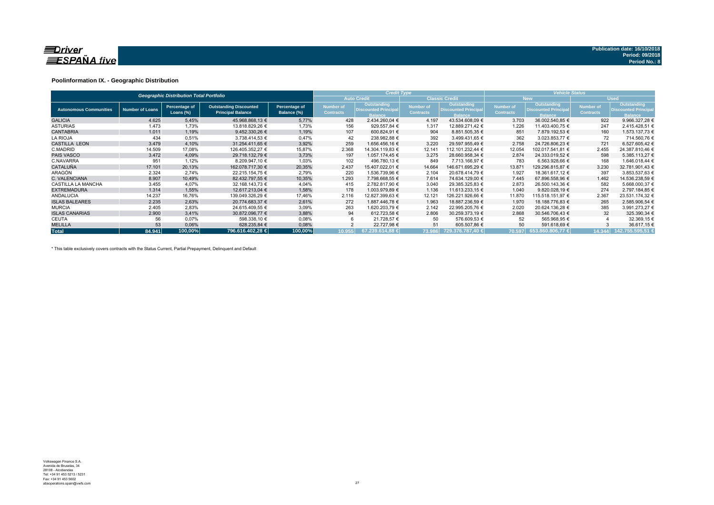

### **Poolinformation IX. - Geographic Distribution**

|                               |                        | <b>Geographic Distribution Total Portfolio</b> |                                                           |                              |                               | <b>Credit Type</b>                                           |                                      |                                                              | <b>Vehicle Status</b>                |                                                                     |                               |                                                             |  |  |
|-------------------------------|------------------------|------------------------------------------------|-----------------------------------------------------------|------------------------------|-------------------------------|--------------------------------------------------------------|--------------------------------------|--------------------------------------------------------------|--------------------------------------|---------------------------------------------------------------------|-------------------------------|-------------------------------------------------------------|--|--|
|                               |                        |                                                |                                                           |                              |                               | <b>Auto Credit</b>                                           |                                      | <b>Classic Credit</b>                                        |                                      | <b>New</b>                                                          |                               | <b>Used</b>                                                 |  |  |
| <b>Autonomous Communities</b> | <b>Number of Loans</b> | Percentage of<br>Loans $(\%)$                  | <b>Outstanding Discounted</b><br><b>Principal Balance</b> | Percentage of<br>Balance (%) | Number of<br><b>Contracts</b> | Outstanding<br><b>Discounted Principal</b><br><b>Balance</b> | <b>Number of</b><br><b>Contracts</b> | Outstanding<br><b>Discounted Principal</b><br><b>Balance</b> | <b>Number of</b><br><b>Contracts</b> | <b>Outstanding</b><br><b>Discounted Principal</b><br><b>Balance</b> | Number of<br><b>Contracts</b> | Outstanding<br><b>Discounted Principa</b><br><b>Balance</b> |  |  |
| <b>GALICIA</b>                | 4.625                  | 5,45%                                          | 45.968.868.13 €                                           | 5,77%                        | 428                           | 2.434.260.04 €                                               | 4.197                                | 43.534.608.09 €                                              | 3.703                                | 36.002.540.85 €                                                     | 922                           | 9.966.327.28 €                                              |  |  |
| <b>ASTURIAS</b>               | 1.473                  | 1,73%                                          | 13.818.829,26 €                                           | 1,73%                        | 156                           | 929.557,84 €                                                 | 1.317                                | 12.889.271.42 €                                              | 1.226                                | 11.403.400,75 €                                                     | 247                           | 2.415.428,51 €                                              |  |  |
| <b>CANTABRIA</b>              | 1.011                  | 1,19%                                          | 9.452.330.26 €                                            | 1,19%                        | 107                           | 600.824.91 €                                                 | 904                                  | 8.851.505,35 €                                               | 851                                  | 7.879.192,53 €                                                      | 160                           | 1.573.137,73 €                                              |  |  |
| <b>LA RIOJA</b>               | 434                    | 0,51%                                          | 3.738.414.53 €                                            | 0,47%                        | 42                            | 238.982,88 €                                                 | 392                                  | 3.499.431,65 €                                               | 362                                  | 3.023.853.77 €                                                      | 72                            | 714.560,76 €                                                |  |  |
| <b>CASTILLA LEON</b>          | 3.479                  | 4,10%                                          | 31.254.411.65 €                                           | 3,92%                        | 259                           | 1.656.456.16 €                                               | 3.220                                | 29.597.955.49 €                                              | 2.758                                | 24.726.806.23 €                                                     | 721                           | 6.527.605,42 €                                              |  |  |
| C.MADRID                      | 14.509                 | 17,08%                                         | 126.405.352.27 €                                          | 15,87%                       | 2.368                         | 14.304.119,83 €                                              | 12.141                               | 112.101.232.44 €                                             | 12.054                               | 102.017.541.81 €                                                    | 2.455                         | 24.387.810,46 €                                             |  |  |
| <b>PAIS VASCO</b>             | 3.472                  | 4,09%                                          | 29.718.132.79 €                                           | 3,73%                        | 197                           | 1.057.174.45 €                                               | 3.275                                | 28.660.958.34 €                                              | 2.874                                | 24.333.019.52 €                                                     | 598                           | 5.385.113.27 €                                              |  |  |
| C.NAVARRA                     | 951                    | 1,12%                                          | 8.209.947,10 €                                            | 1,03%                        | 102                           | 496.780,13 €                                                 | 849                                  | 7.713.166,97 €                                               | 783                                  | 6.563.928,66 €                                                      | 168                           | 1.646.018.44 €                                              |  |  |
| <b>CATALUÑA</b>               | 17.101                 | 20,13%                                         | 162.078.717.30 €                                          | 20,35%                       | 2.437                         | 15.407.022,01 €                                              | 14.664                               | 146.671.695,29 €                                             | 13.871                               | 129.296.815,87 €                                                    | 3.230                         | 32.781.901,43 €                                             |  |  |
| <b>ARAGÓN</b>                 | 2.324                  | 2,74%                                          | 22.215.154,75 €                                           | 2,79%                        | 220                           | 1.536.739,96 €                                               | 2.104                                | 20.678.414,79 €                                              | 1.927                                | 18.361.617,12 €                                                     | 397                           | 3.853.537,63 €                                              |  |  |
| C. VALENCIANA                 | 8.907                  | 10,49%                                         | 82.432.797.55 €                                           | 10,35%                       | 1.293                         | 7.798.668.55 €                                               | 7.614                                | 74.634.129.00 €                                              | 7.445                                | 67.896.558.96 €                                                     | 1.462                         | 14.536.238,59 €                                             |  |  |
| CASTILLA LA MANCHA            | 3.455                  | 4.07%                                          | 32.168.143.73 €                                           | 4,04%                        | 415                           | 2.782.817.90 €                                               | 3.040                                | 29.385.325,83 €                                              | 2.873                                | 26.500.143.36 €                                                     | 582                           | 5.668.000.37 €                                              |  |  |
| <b>EXTREMADURA</b>            | 1.314                  | 1,55%                                          | 12.617.213.04 €                                           | 1,58%                        | 178                           | 1.003.979.89 €                                               | 1.136                                | 11.613.233.15 €                                              | 1.040                                | 9.820.028,19 €                                                      | 274                           | 2.797.184.85 €                                              |  |  |
| <b>ANDALUCIA</b>              | 14.237                 | 16,76%                                         | 139.049.326,29 €                                          | 17,46%                       | 2.116                         | 12.827.399,63 €                                              | 12.121                               | 126.221.926,66 €                                             | 11.870                               | 115.518.151,97 €                                                    | 2.367                         | 23.531.174,32 €                                             |  |  |
| <b>ISLAS BALEARES</b>         | 2.235                  | 2,63%                                          | 20.774.683,37 €                                           | 2,61%                        | 272                           | 1.887.446,78 €                                               | 1.963                                | 18.887.236,59 €                                              | 1.970                                | 18.188.776,83 €                                                     | 265                           | 2.585.906,54 €                                              |  |  |
| <b>MURCIA</b>                 | 2.405                  | 2,83%                                          | 24.615.409,55 €                                           | 3,09%                        | 263                           | 1.620.203,79 €                                               | 2.142                                | 22.995.205.76 €                                              | 2.020                                | 20.624.136.28 €                                                     | 385                           | 3.991.273,27 €                                              |  |  |
| <b>ISLAS CANARIAS</b>         | 2.900                  | 3,41%                                          | 30.872.096.77 €                                           | 3,88%                        | 94                            | 612.723.58 €                                                 | 2.806                                | 30.259.373.19 €                                              | 2.868                                | 30.546.706.43 €                                                     | 32                            | 325.390,34 €                                                |  |  |
| <b>CEUTA</b>                  | 56                     | 0,07%                                          | 598.338,10 €                                              | 0,08%                        |                               | 21.728,57 €                                                  | 50                                   | 576.609,53 €                                                 | 52                                   | 565.968,95 €                                                        |                               | 32.369,15 €                                                 |  |  |
| <b>MELILLA</b>                | 53                     | 0,06%                                          | 628.235,84 €                                              | 0,08%                        |                               | 22.727.98 €                                                  | 51                                   | 605.507.86 €                                                 | 50                                   | 591.618,69 €                                                        |                               | 36.617,15 €                                                 |  |  |
| <b>Total</b>                  | 84.941                 | 100.00%                                        | 796.616.402.28 €                                          | 100.00%                      | 10.955                        | 67.239.614.88 €                                              | 73.986                               | 729.376.787.40 €                                             |                                      | 70.597 653.860.806.77 €                                             | 14.344                        | 142.755.595.51 €                                            |  |  |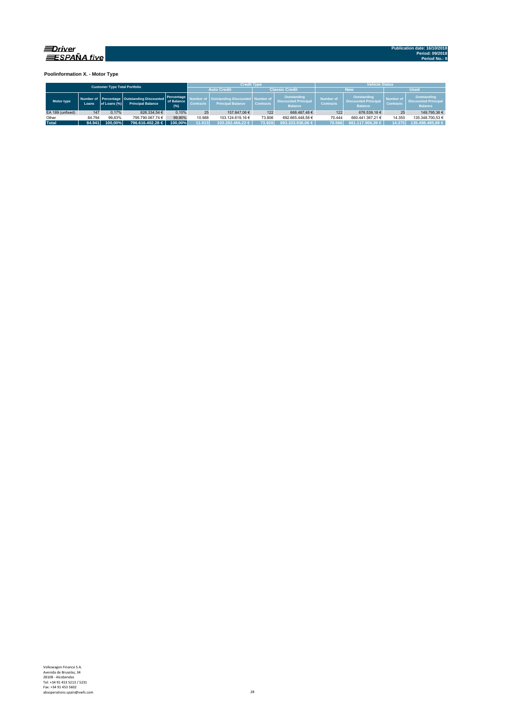

**Poolinformation X. - Motor Type**

|                                      |        |              |                                                                         |                                   |                  | <b>Credit Type</b>                                                  |                  |                                                              | <b>Vehicle Status</b>                |                                                              |                                      |                                                              |  |  |
|--------------------------------------|--------|--------------|-------------------------------------------------------------------------|-----------------------------------|------------------|---------------------------------------------------------------------|------------------|--------------------------------------------------------------|--------------------------------------|--------------------------------------------------------------|--------------------------------------|--------------------------------------------------------------|--|--|
| <b>Customer Type Total Portfolio</b> |        |              |                                                                         |                                   |                  | <b>Auto Credit</b>                                                  |                  | <b>Classic Credit</b>                                        |                                      | <b>New</b>                                                   | <b>Used</b>                          |                                                              |  |  |
| Motor type                           | Loans  | of Loans (%) | Number of Percentage Outstanding Discounted<br><b>Principal Balance</b> | Percentage<br>of Balance<br>(9/6) | <b>Contracts</b> | <b>Outstanding Discounted Number of</b><br><b>Principal Balance</b> | <b>Contracts</b> | Outstanding<br><b>Discounted Principal</b><br><b>Balance</b> | <b>Number of</b><br><b>Contracts</b> | Outstanding<br><b>Discounted Principal</b><br><b>Balance</b> | <b>Number of</b><br><b>Contracts</b> | Outstanding<br><b>Discounted Principal</b><br><b>Balance</b> |  |  |
| EA 189 (unfixed)                     | 147    | 0.17%        | 826.334.54 €                                                            | 0.10%                             | 25               | 157.847.06 €                                                        | 122              | 668.487.48€                                                  | 122                                  | 676.539.18€                                                  | 25                                   | 149.795.36 €                                                 |  |  |
| Other                                | 84.794 | 99.83%       | 795.790.067.74 €                                                        | 99.90%                            | 10.988           | 103.124.619.16 €                                                    | 73.806           | 692.665.448.58 €                                             | 70.444                               | 660.441.367.21 €                                             | 14.350                               | 135.348.700.53 €                                             |  |  |
| <b>Total</b>                         | 84.941 | 100.00%      | 796.616.402.28 €                                                        | 100.00%                           | 11.013           | 103.282.466.22 €                                                    | 73.928           | 693.333.936.06 €                                             | 70.566                               | 661.117.906.39 €                                             | 14.375                               | 135.498.495.89 €                                             |  |  |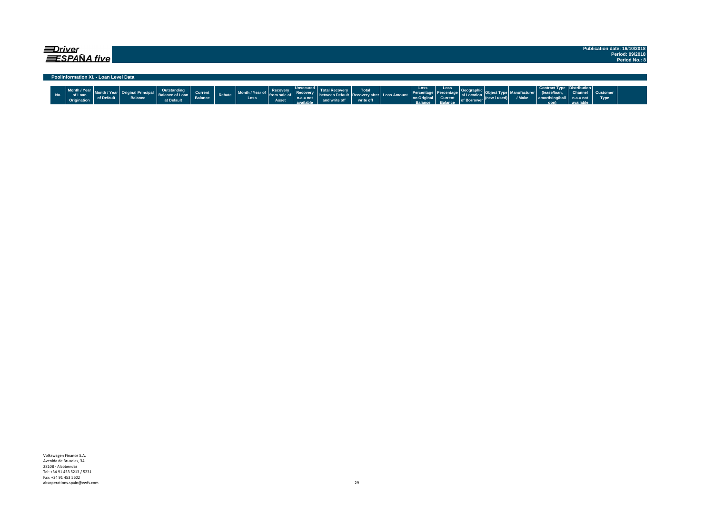| <i>=Driver</i>                        | Publication date: 16/10/2018<br>Period: 09/2018 |
|---------------------------------------|-------------------------------------------------|
| $\equiv$ SPAÑA five                   | Period No.: 8                                   |
| Poolinformation XI. - Loan Level Data |                                                 |

|  |  | <b><i>Continued International</i></b> | ------ | at Default | Currei<br><b>Dalarice</b> | <b>CONTRACTOR</b> | $-11.2$<br>Loss | Asset |  |  | Total<br><b>LOVELY</b> | LOSS A. | Loss<br><b>Pon On</b><br><b>Delegas</b> | Loss | ALDAN |  | $J$ Mola | non) |  | <b>Astomer</b><br><b>Type</b> |  |
|--|--|---------------------------------------|--------|------------|---------------------------|-------------------|-----------------|-------|--|--|------------------------|---------|-----------------------------------------|------|-------|--|----------|------|--|-------------------------------|--|
|--|--|---------------------------------------|--------|------------|---------------------------|-------------------|-----------------|-------|--|--|------------------------|---------|-----------------------------------------|------|-------|--|----------|------|--|-------------------------------|--|